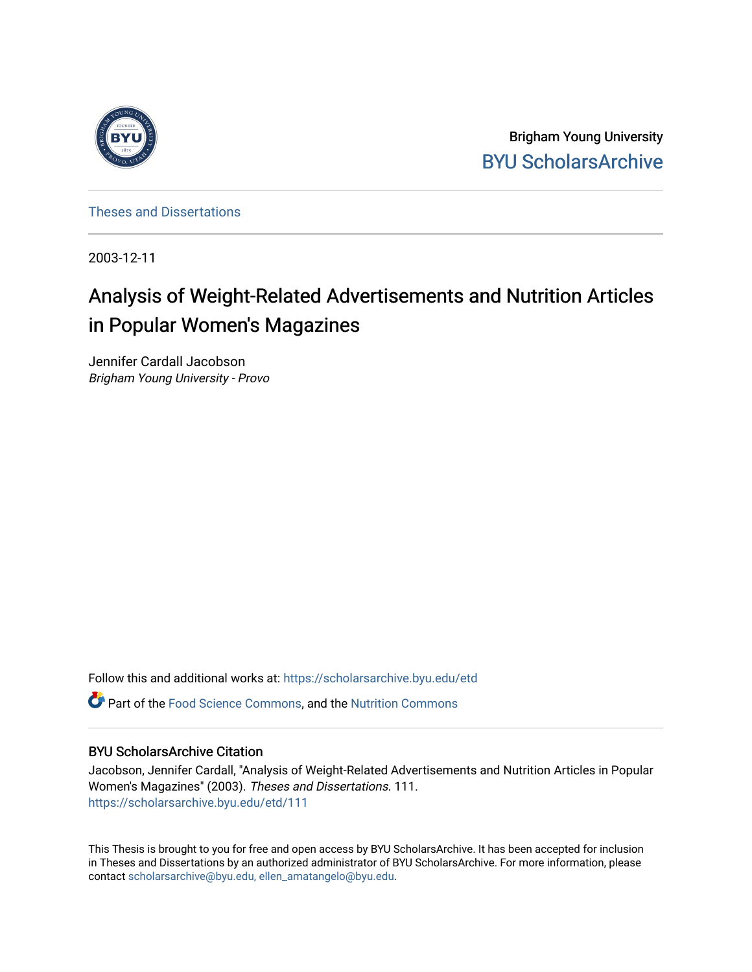

Brigham Young University [BYU ScholarsArchive](https://scholarsarchive.byu.edu/) 

[Theses and Dissertations](https://scholarsarchive.byu.edu/etd)

2003-12-11

# Analysis of Weight-Related Advertisements and Nutrition Articles in Popular Women's Magazines

Jennifer Cardall Jacobson Brigham Young University - Provo

Follow this and additional works at: [https://scholarsarchive.byu.edu/etd](https://scholarsarchive.byu.edu/etd?utm_source=scholarsarchive.byu.edu%2Fetd%2F111&utm_medium=PDF&utm_campaign=PDFCoverPages)

Part of the [Food Science Commons,](http://network.bepress.com/hgg/discipline/84?utm_source=scholarsarchive.byu.edu%2Fetd%2F111&utm_medium=PDF&utm_campaign=PDFCoverPages) and the [Nutrition Commons](http://network.bepress.com/hgg/discipline/95?utm_source=scholarsarchive.byu.edu%2Fetd%2F111&utm_medium=PDF&utm_campaign=PDFCoverPages) 

### BYU ScholarsArchive Citation

Jacobson, Jennifer Cardall, "Analysis of Weight-Related Advertisements and Nutrition Articles in Popular Women's Magazines" (2003). Theses and Dissertations. 111. [https://scholarsarchive.byu.edu/etd/111](https://scholarsarchive.byu.edu/etd/111?utm_source=scholarsarchive.byu.edu%2Fetd%2F111&utm_medium=PDF&utm_campaign=PDFCoverPages)

This Thesis is brought to you for free and open access by BYU ScholarsArchive. It has been accepted for inclusion in Theses and Dissertations by an authorized administrator of BYU ScholarsArchive. For more information, please contact [scholarsarchive@byu.edu, ellen\\_amatangelo@byu.edu](mailto:scholarsarchive@byu.edu,%20ellen_amatangelo@byu.edu).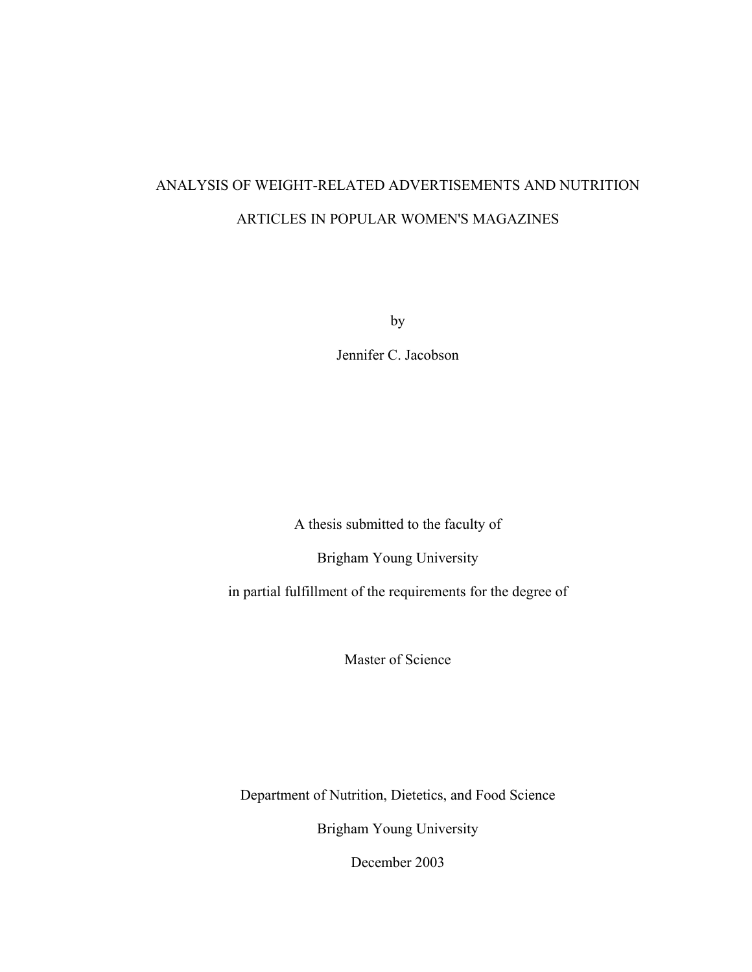# ANALYSIS OF WEIGHT-RELATED ADVERTISEMENTS AND NUTRITION ARTICLES IN POPULAR WOMEN'S MAGAZINES

by

Jennifer C. Jacobson

A thesis submitted to the faculty of

Brigham Young University

in partial fulfillment of the requirements for the degree of

Master of Science

Department of Nutrition, Dietetics, and Food Science

Brigham Young University

December 2003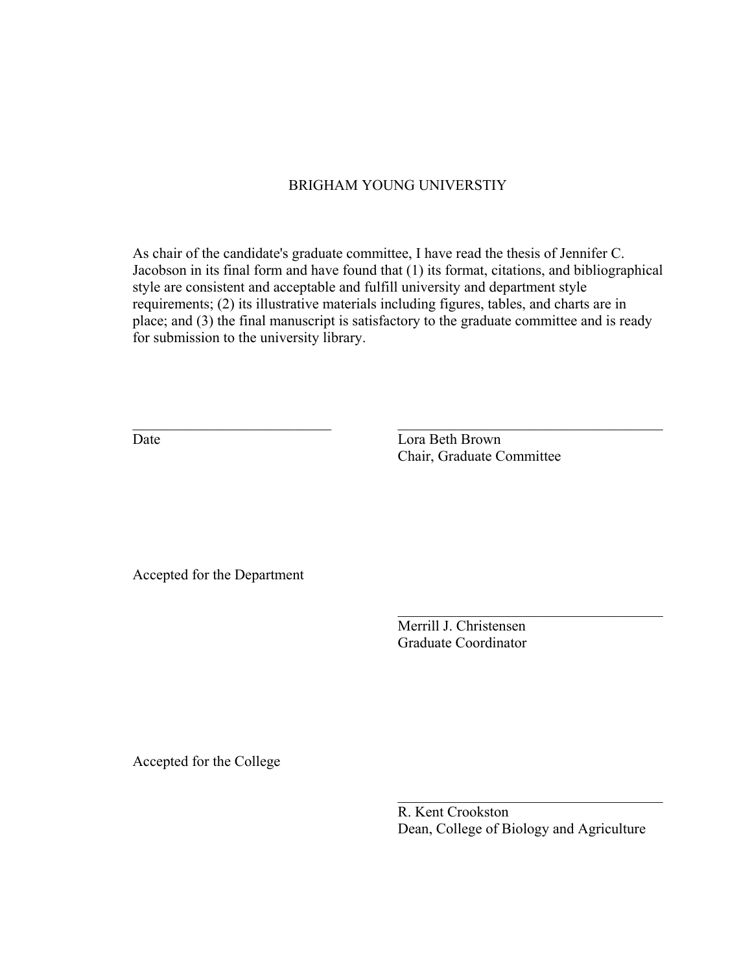### BRIGHAM YOUNG UNIVERSTIY

As chair of the candidate's graduate committee, I have read the thesis of Jennifer C. Jacobson in its final form and have found that (1) its format, citations, and bibliographical style are consistent and acceptable and fulfill university and department style requirements; (2) its illustrative materials including figures, tables, and charts are in place; and (3) the final manuscript is satisfactory to the graduate committee and is ready for submission to the university library.

 $\mathcal{L}_\text{max} = \mathcal{L}_\text{max} = \mathcal{L}_\text{max} = \mathcal{L}_\text{max} = \mathcal{L}_\text{max} = \mathcal{L}_\text{max} = \mathcal{L}_\text{max} = \mathcal{L}_\text{max} = \mathcal{L}_\text{max} = \mathcal{L}_\text{max} = \mathcal{L}_\text{max} = \mathcal{L}_\text{max} = \mathcal{L}_\text{max} = \mathcal{L}_\text{max} = \mathcal{L}_\text{max} = \mathcal{L}_\text{max} = \mathcal{L}_\text{max} = \mathcal{L}_\text{max} = \mathcal{$ 

 $\mathcal{L}_\text{max}$  and  $\mathcal{L}_\text{max}$  and  $\mathcal{L}_\text{max}$  and  $\mathcal{L}_\text{max}$  and  $\mathcal{L}_\text{max}$  and  $\mathcal{L}_\text{max}$ 

 $\mathcal{L}_\text{max}$  and  $\mathcal{L}_\text{max}$  and  $\mathcal{L}_\text{max}$  and  $\mathcal{L}_\text{max}$  and  $\mathcal{L}_\text{max}$  and  $\mathcal{L}_\text{max}$ 

Date Lora Beth Brown Chair, Graduate Committee

Accepted for the Department

 Merrill J. Christensen Graduate Coordinator

Accepted for the College

 R. Kent Crookston Dean, College of Biology and Agriculture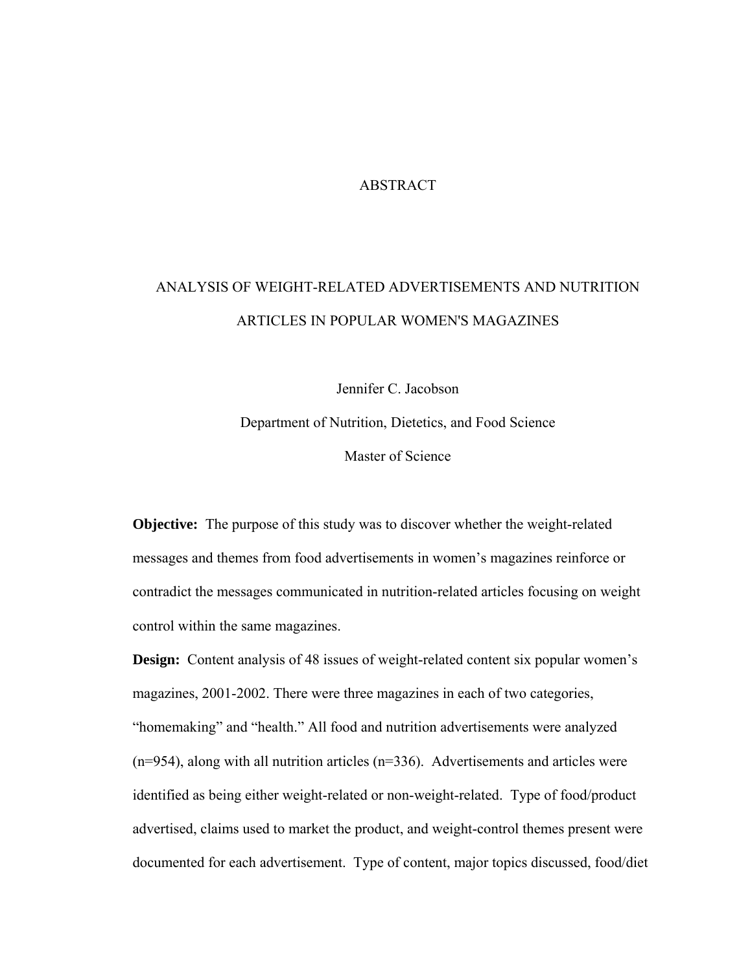#### ABSTRACT

# ANALYSIS OF WEIGHT-RELATED ADVERTISEMENTS AND NUTRITION ARTICLES IN POPULAR WOMEN'S MAGAZINES

Jennifer C. Jacobson Department of Nutrition, Dietetics, and Food Science Master of Science

**Objective:** The purpose of this study was to discover whether the weight-related messages and themes from food advertisements in women's magazines reinforce or contradict the messages communicated in nutrition-related articles focusing on weight control within the same magazines.

**Design:** Content analysis of 48 issues of weight-related content six popular women's magazines, 2001-2002. There were three magazines in each of two categories, "homemaking" and "health." All food and nutrition advertisements were analyzed (n=954), along with all nutrition articles (n=336). Advertisements and articles were identified as being either weight-related or non-weight-related. Type of food/product advertised, claims used to market the product, and weight-control themes present were documented for each advertisement. Type of content, major topics discussed, food/diet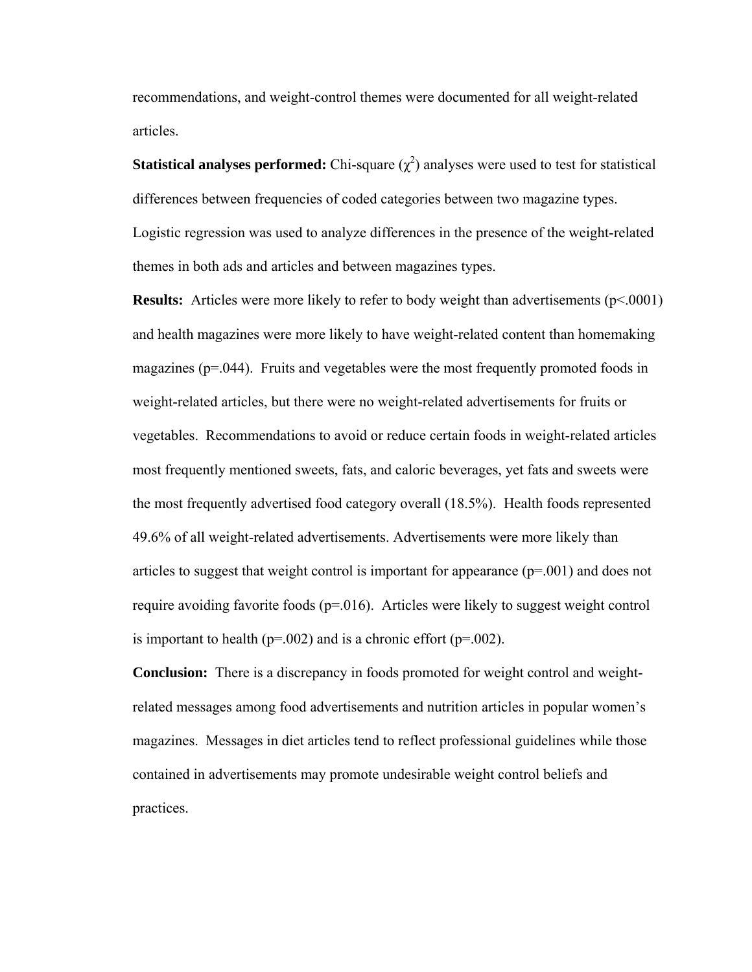recommendations, and weight-control themes were documented for all weight-related articles.

**Statistical analyses performed:** Chi-square  $(\chi^2)$  analyses were used to test for statistical differences between frequencies of coded categories between two magazine types. Logistic regression was used to analyze differences in the presence of the weight-related themes in both ads and articles and between magazines types.

**Results:** Articles were more likely to refer to body weight than advertisements (p<.0001) and health magazines were more likely to have weight-related content than homemaking magazines (p=.044). Fruits and vegetables were the most frequently promoted foods in weight-related articles, but there were no weight-related advertisements for fruits or vegetables. Recommendations to avoid or reduce certain foods in weight-related articles most frequently mentioned sweets, fats, and caloric beverages, yet fats and sweets were the most frequently advertised food category overall (18.5%). Health foods represented 49.6% of all weight-related advertisements. Advertisements were more likely than articles to suggest that weight control is important for appearance (p=.001) and does not require avoiding favorite foods  $(p=0.016)$ . Articles were likely to suggest weight control is important to health ( $p=0.002$ ) and is a chronic effort ( $p=0.002$ ).

**Conclusion:** There is a discrepancy in foods promoted for weight control and weightrelated messages among food advertisements and nutrition articles in popular women's magazines. Messages in diet articles tend to reflect professional guidelines while those contained in advertisements may promote undesirable weight control beliefs and practices.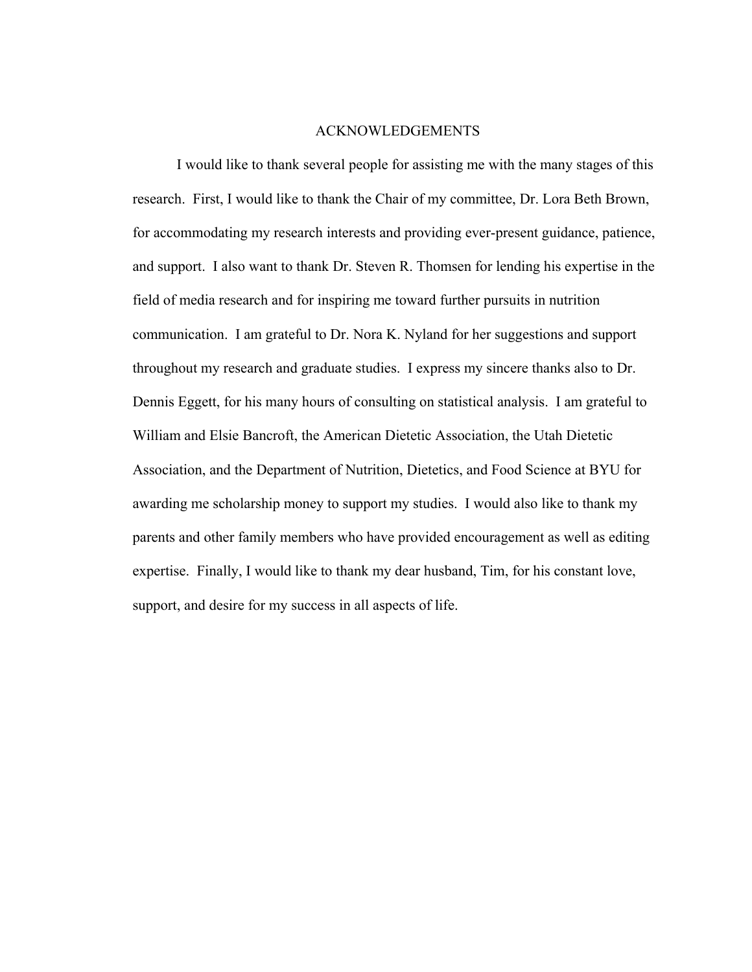#### ACKNOWLEDGEMENTS

 I would like to thank several people for assisting me with the many stages of this research. First, I would like to thank the Chair of my committee, Dr. Lora Beth Brown, for accommodating my research interests and providing ever-present guidance, patience, and support. I also want to thank Dr. Steven R. Thomsen for lending his expertise in the field of media research and for inspiring me toward further pursuits in nutrition communication. I am grateful to Dr. Nora K. Nyland for her suggestions and support throughout my research and graduate studies. I express my sincere thanks also to Dr. Dennis Eggett, for his many hours of consulting on statistical analysis. I am grateful to William and Elsie Bancroft, the American Dietetic Association, the Utah Dietetic Association, and the Department of Nutrition, Dietetics, and Food Science at BYU for awarding me scholarship money to support my studies. I would also like to thank my parents and other family members who have provided encouragement as well as editing expertise. Finally, I would like to thank my dear husband, Tim, for his constant love, support, and desire for my success in all aspects of life.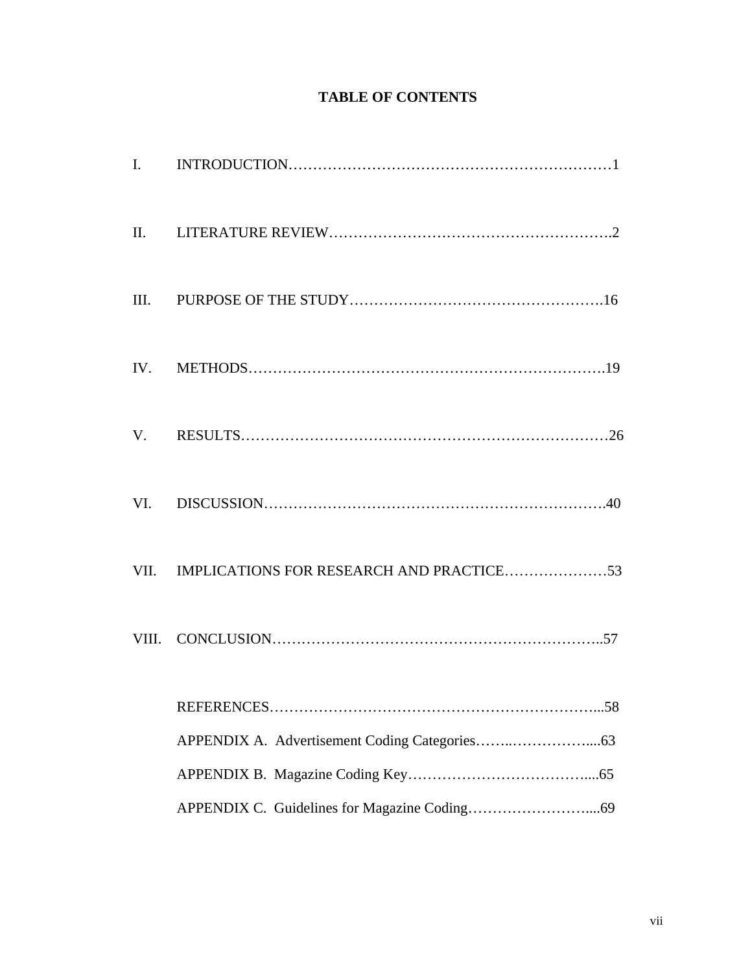## **TABLE OF CONTENTS**

| VI. |  |
|-----|--|
|     |  |
|     |  |
|     |  |
|     |  |
|     |  |
|     |  |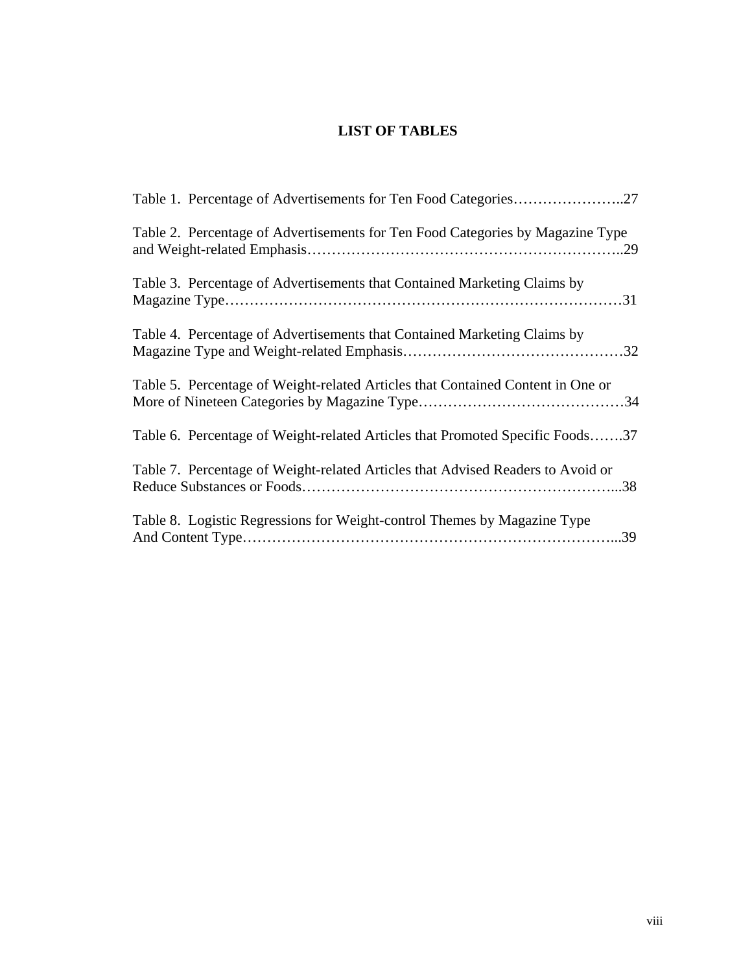## **LIST OF TABLES**

| Table 2. Percentage of Advertisements for Ten Food Categories by Magazine Type  |
|---------------------------------------------------------------------------------|
| Table 3. Percentage of Advertisements that Contained Marketing Claims by        |
| Table 4. Percentage of Advertisements that Contained Marketing Claims by        |
| Table 5. Percentage of Weight-related Articles that Contained Content in One or |
| Table 6. Percentage of Weight-related Articles that Promoted Specific Foods37   |
| Table 7. Percentage of Weight-related Articles that Advised Readers to Avoid or |
| Table 8. Logistic Regressions for Weight-control Themes by Magazine Type        |
|                                                                                 |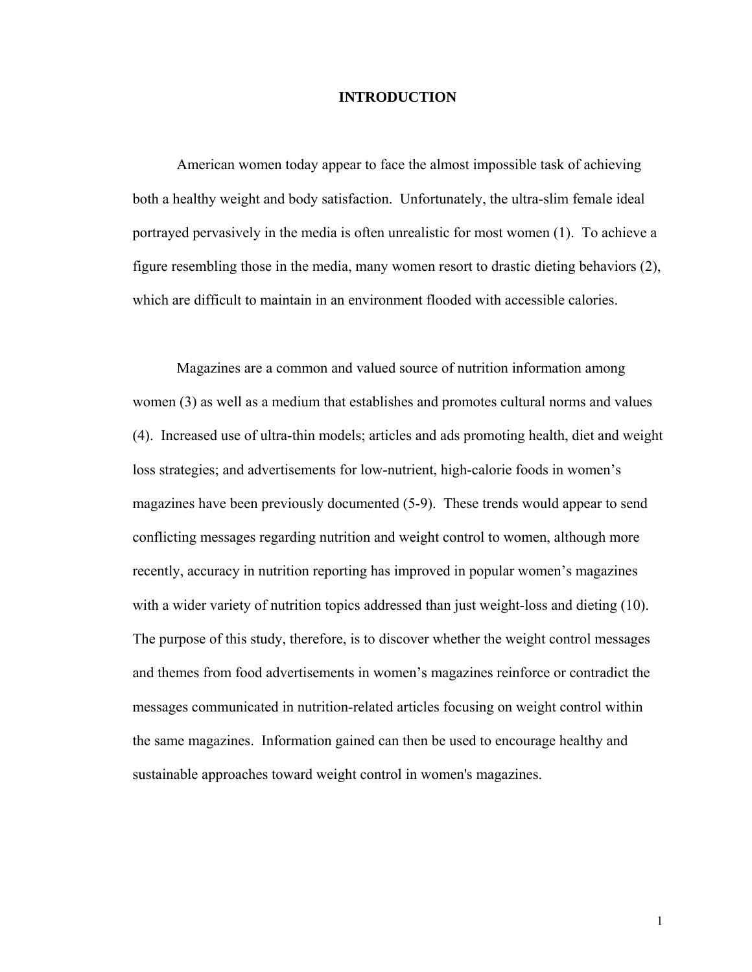#### **INTRODUCTION**

American women today appear to face the almost impossible task of achieving both a healthy weight and body satisfaction. Unfortunately, the ultra-slim female ideal portrayed pervasively in the media is often unrealistic for most women (1). To achieve a figure resembling those in the media, many women resort to drastic dieting behaviors (2), which are difficult to maintain in an environment flooded with accessible calories.

Magazines are a common and valued source of nutrition information among women (3) as well as a medium that establishes and promotes cultural norms and values (4). Increased use of ultra-thin models; articles and ads promoting health, diet and weight loss strategies; and advertisements for low-nutrient, high-calorie foods in women's magazines have been previously documented (5-9). These trends would appear to send conflicting messages regarding nutrition and weight control to women, although more recently, accuracy in nutrition reporting has improved in popular women's magazines with a wider variety of nutrition topics addressed than just weight-loss and dieting (10). The purpose of this study, therefore, is to discover whether the weight control messages and themes from food advertisements in women's magazines reinforce or contradict the messages communicated in nutrition-related articles focusing on weight control within the same magazines. Information gained can then be used to encourage healthy and sustainable approaches toward weight control in women's magazines.

1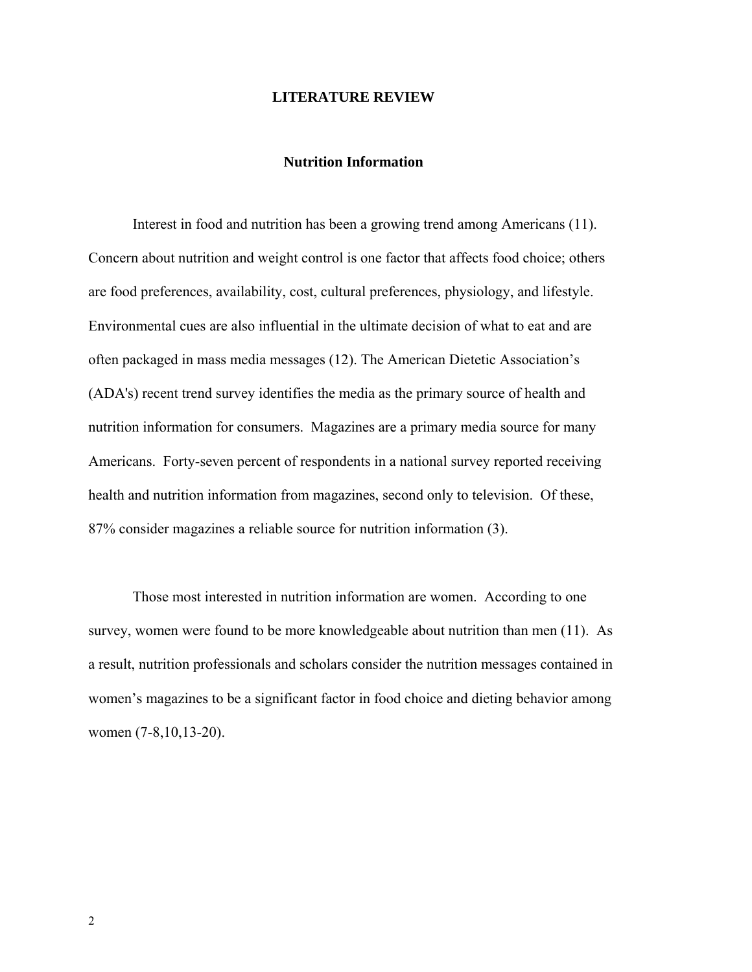#### **LITERATURE REVIEW**

#### **Nutrition Information**

Interest in food and nutrition has been a growing trend among Americans (11). Concern about nutrition and weight control is one factor that affects food choice; others are food preferences, availability, cost, cultural preferences, physiology, and lifestyle. Environmental cues are also influential in the ultimate decision of what to eat and are often packaged in mass media messages (12). The American Dietetic Association's (ADA's) recent trend survey identifies the media as the primary source of health and nutrition information for consumers. Magazines are a primary media source for many Americans. Forty-seven percent of respondents in a national survey reported receiving health and nutrition information from magazines, second only to television. Of these, 87% consider magazines a reliable source for nutrition information (3).

Those most interested in nutrition information are women. According to one survey, women were found to be more knowledgeable about nutrition than men (11). As a result, nutrition professionals and scholars consider the nutrition messages contained in women's magazines to be a significant factor in food choice and dieting behavior among women (7-8,10,13-20).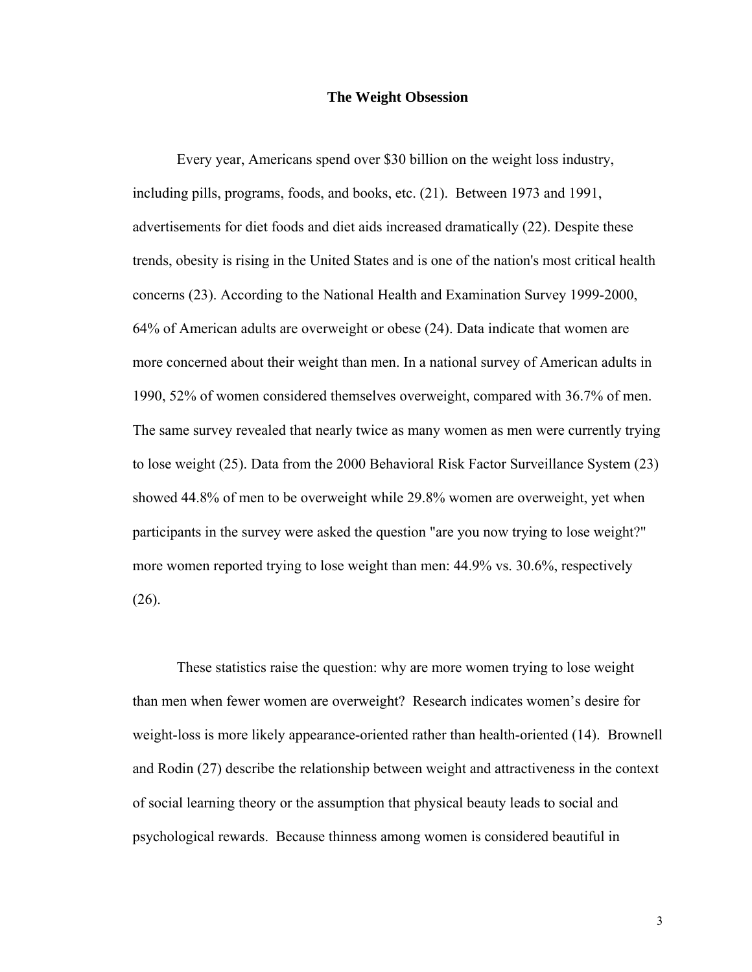#### **The Weight Obsession**

Every year, Americans spend over \$30 billion on the weight loss industry, including pills, programs, foods, and books, etc. (21). Between 1973 and 1991, advertisements for diet foods and diet aids increased dramatically (22). Despite these trends, obesity is rising in the United States and is one of the nation's most critical health concerns (23). According to the National Health and Examination Survey 1999-2000, 64% of American adults are overweight or obese (24). Data indicate that women are more concerned about their weight than men. In a national survey of American adults in 1990, 52% of women considered themselves overweight, compared with 36.7% of men. The same survey revealed that nearly twice as many women as men were currently trying to lose weight (25). Data from the 2000 Behavioral Risk Factor Surveillance System (23) showed 44.8% of men to be overweight while 29.8% women are overweight, yet when participants in the survey were asked the question "are you now trying to lose weight?" more women reported trying to lose weight than men: 44.9% vs. 30.6%, respectively (26).

These statistics raise the question: why are more women trying to lose weight than men when fewer women are overweight? Research indicates women's desire for weight-loss is more likely appearance-oriented rather than health-oriented (14). Brownell and Rodin (27) describe the relationship between weight and attractiveness in the context of social learning theory or the assumption that physical beauty leads to social and psychological rewards. Because thinness among women is considered beautiful in

3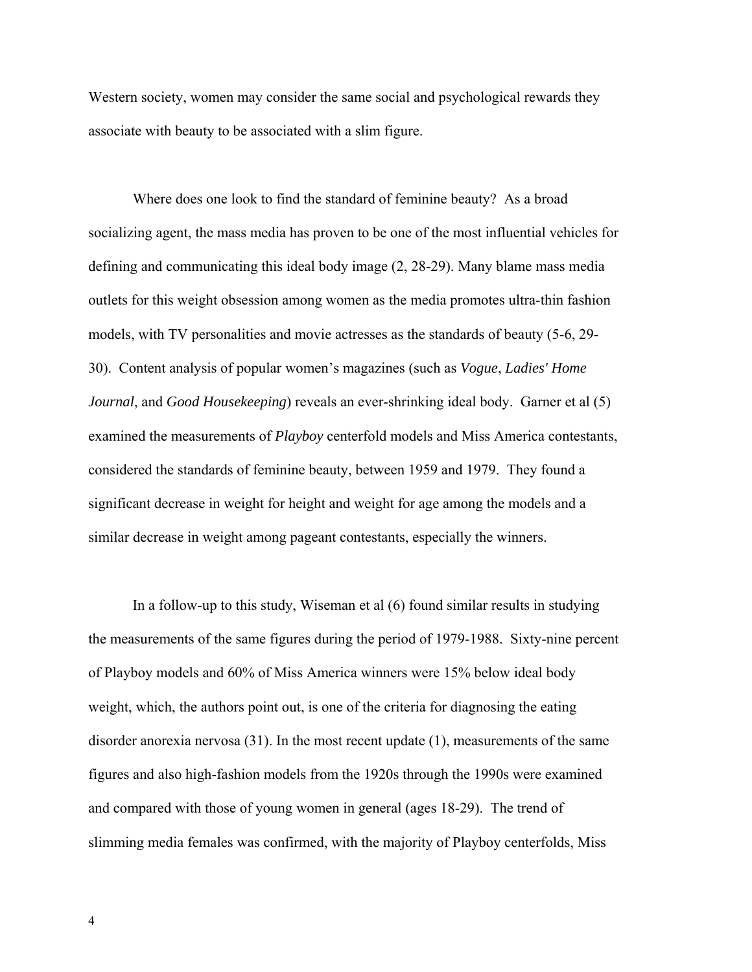Western society, women may consider the same social and psychological rewards they associate with beauty to be associated with a slim figure.

Where does one look to find the standard of feminine beauty? As a broad socializing agent, the mass media has proven to be one of the most influential vehicles for defining and communicating this ideal body image (2, 28-29). Many blame mass media outlets for this weight obsession among women as the media promotes ultra-thin fashion models, with TV personalities and movie actresses as the standards of beauty (5-6, 29- 30). Content analysis of popular women's magazines (such as *Vogue*, *Ladies' Home Journal*, and *Good Housekeeping*) reveals an ever-shrinking ideal body. Garner et al (5) examined the measurements of *Playboy* centerfold models and Miss America contestants, considered the standards of feminine beauty, between 1959 and 1979. They found a significant decrease in weight for height and weight for age among the models and a similar decrease in weight among pageant contestants, especially the winners.

In a follow-up to this study, Wiseman et al (6) found similar results in studying the measurements of the same figures during the period of 1979-1988. Sixty-nine percent of Playboy models and 60% of Miss America winners were 15% below ideal body weight, which, the authors point out, is one of the criteria for diagnosing the eating disorder anorexia nervosa (31). In the most recent update (1), measurements of the same figures and also high-fashion models from the 1920s through the 1990s were examined and compared with those of young women in general (ages 18-29). The trend of slimming media females was confirmed, with the majority of Playboy centerfolds, Miss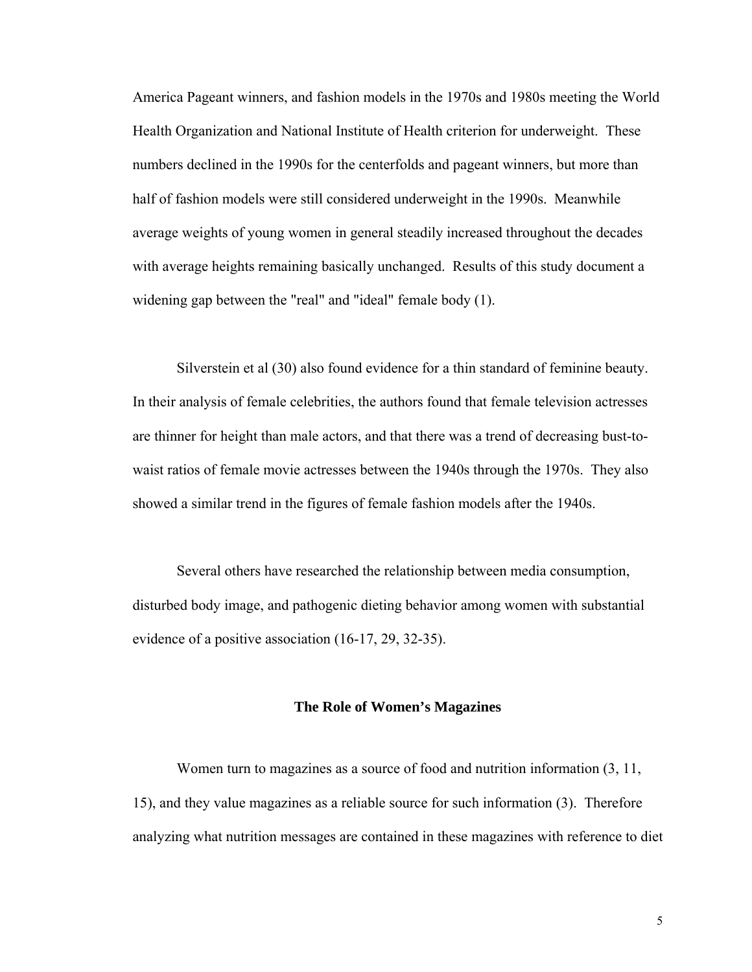America Pageant winners, and fashion models in the 1970s and 1980s meeting the World Health Organization and National Institute of Health criterion for underweight. These numbers declined in the 1990s for the centerfolds and pageant winners, but more than half of fashion models were still considered underweight in the 1990s. Meanwhile average weights of young women in general steadily increased throughout the decades with average heights remaining basically unchanged. Results of this study document a widening gap between the "real" and "ideal" female body (1).

Silverstein et al (30) also found evidence for a thin standard of feminine beauty. In their analysis of female celebrities, the authors found that female television actresses are thinner for height than male actors, and that there was a trend of decreasing bust-towaist ratios of female movie actresses between the 1940s through the 1970s. They also showed a similar trend in the figures of female fashion models after the 1940s.

Several others have researched the relationship between media consumption, disturbed body image, and pathogenic dieting behavior among women with substantial evidence of a positive association (16-17, 29, 32-35).

#### **The Role of Women's Magazines**

Women turn to magazines as a source of food and nutrition information (3, 11, 15), and they value magazines as a reliable source for such information (3). Therefore analyzing what nutrition messages are contained in these magazines with reference to diet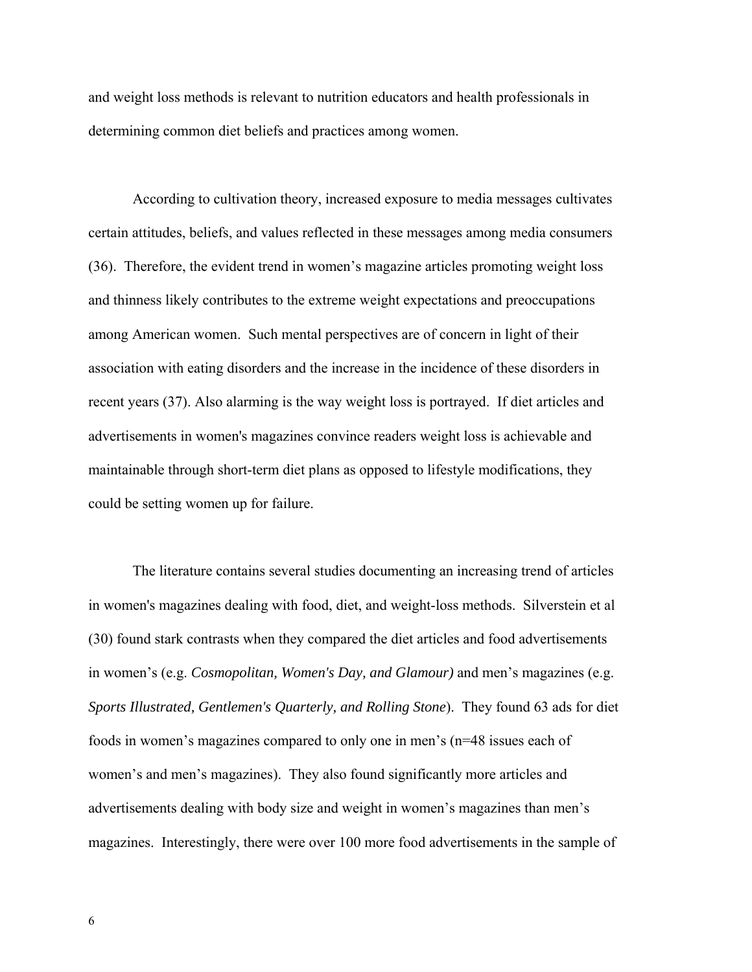and weight loss methods is relevant to nutrition educators and health professionals in determining common diet beliefs and practices among women.

According to cultivation theory, increased exposure to media messages cultivates certain attitudes, beliefs, and values reflected in these messages among media consumers (36). Therefore, the evident trend in women's magazine articles promoting weight loss and thinness likely contributes to the extreme weight expectations and preoccupations among American women. Such mental perspectives are of concern in light of their association with eating disorders and the increase in the incidence of these disorders in recent years (37). Also alarming is the way weight loss is portrayed. If diet articles and advertisements in women's magazines convince readers weight loss is achievable and maintainable through short-term diet plans as opposed to lifestyle modifications, they could be setting women up for failure.

The literature contains several studies documenting an increasing trend of articles in women's magazines dealing with food, diet, and weight-loss methods. Silverstein et al (30) found stark contrasts when they compared the diet articles and food advertisements in women's (e.g. *Cosmopolitan, Women's Day, and Glamour)* and men's magazines (e.g. *Sports Illustrated, Gentlemen's Quarterly, and Rolling Stone*). They found 63 ads for diet foods in women's magazines compared to only one in men's (n=48 issues each of women's and men's magazines). They also found significantly more articles and advertisements dealing with body size and weight in women's magazines than men's magazines. Interestingly, there were over 100 more food advertisements in the sample of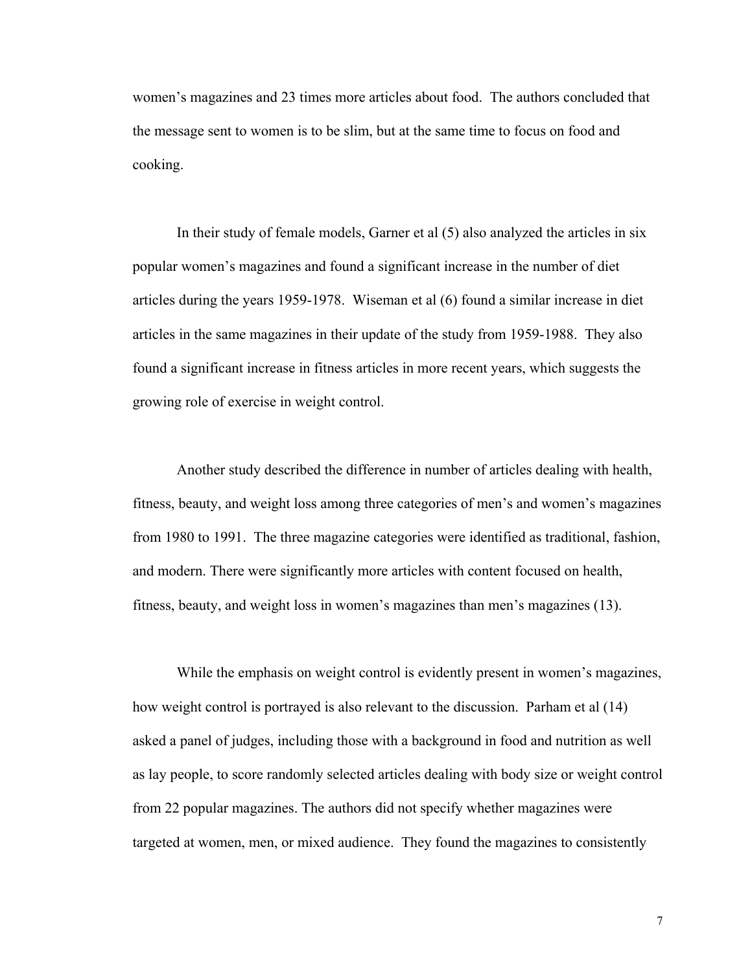women's magazines and 23 times more articles about food. The authors concluded that the message sent to women is to be slim, but at the same time to focus on food and cooking.

In their study of female models, Garner et al (5) also analyzed the articles in six popular women's magazines and found a significant increase in the number of diet articles during the years 1959-1978. Wiseman et al (6) found a similar increase in diet articles in the same magazines in their update of the study from 1959-1988. They also found a significant increase in fitness articles in more recent years, which suggests the growing role of exercise in weight control.

Another study described the difference in number of articles dealing with health, fitness, beauty, and weight loss among three categories of men's and women's magazines from 1980 to 1991. The three magazine categories were identified as traditional, fashion, and modern. There were significantly more articles with content focused on health, fitness, beauty, and weight loss in women's magazines than men's magazines (13).

While the emphasis on weight control is evidently present in women's magazines, how weight control is portrayed is also relevant to the discussion. Parham et al (14) asked a panel of judges, including those with a background in food and nutrition as well as lay people, to score randomly selected articles dealing with body size or weight control from 22 popular magazines. The authors did not specify whether magazines were targeted at women, men, or mixed audience. They found the magazines to consistently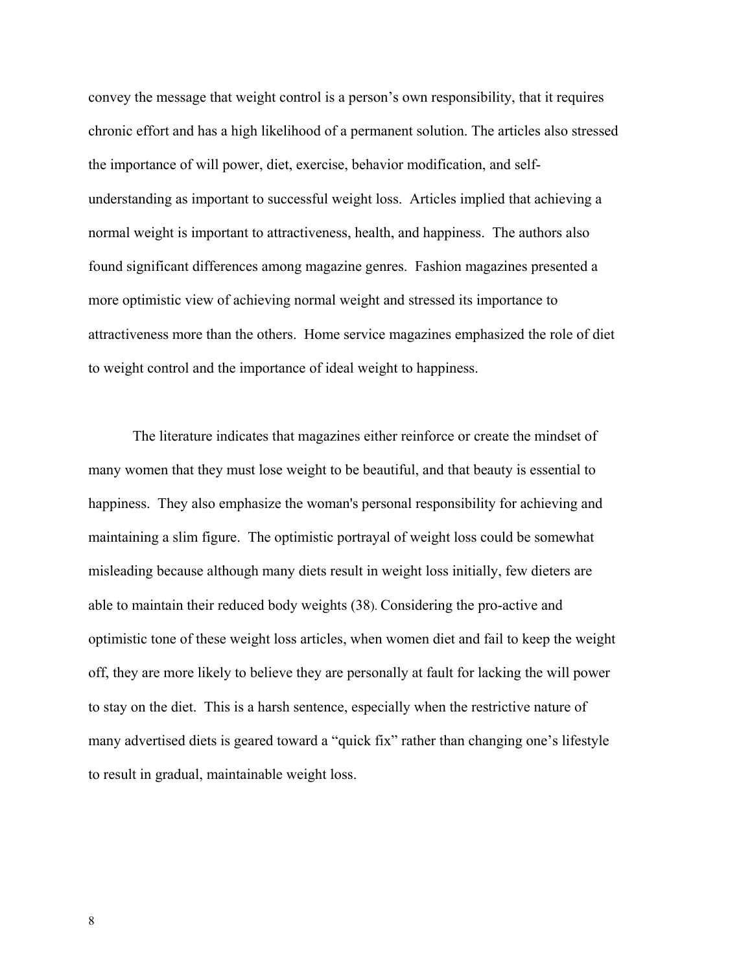convey the message that weight control is a person's own responsibility, that it requires chronic effort and has a high likelihood of a permanent solution. The articles also stressed the importance of will power, diet, exercise, behavior modification, and selfunderstanding as important to successful weight loss. Articles implied that achieving a normal weight is important to attractiveness, health, and happiness. The authors also found significant differences among magazine genres. Fashion magazines presented a more optimistic view of achieving normal weight and stressed its importance to attractiveness more than the others. Home service magazines emphasized the role of diet to weight control and the importance of ideal weight to happiness.

The literature indicates that magazines either reinforce or create the mindset of many women that they must lose weight to be beautiful, and that beauty is essential to happiness. They also emphasize the woman's personal responsibility for achieving and maintaining a slim figure. The optimistic portrayal of weight loss could be somewhat misleading because although many diets result in weight loss initially, few dieters are able to maintain their reduced body weights (38). Considering the pro-active and optimistic tone of these weight loss articles, when women diet and fail to keep the weight off, they are more likely to believe they are personally at fault for lacking the will power to stay on the diet. This is a harsh sentence, especially when the restrictive nature of many advertised diets is geared toward a "quick fix" rather than changing one's lifestyle to result in gradual, maintainable weight loss.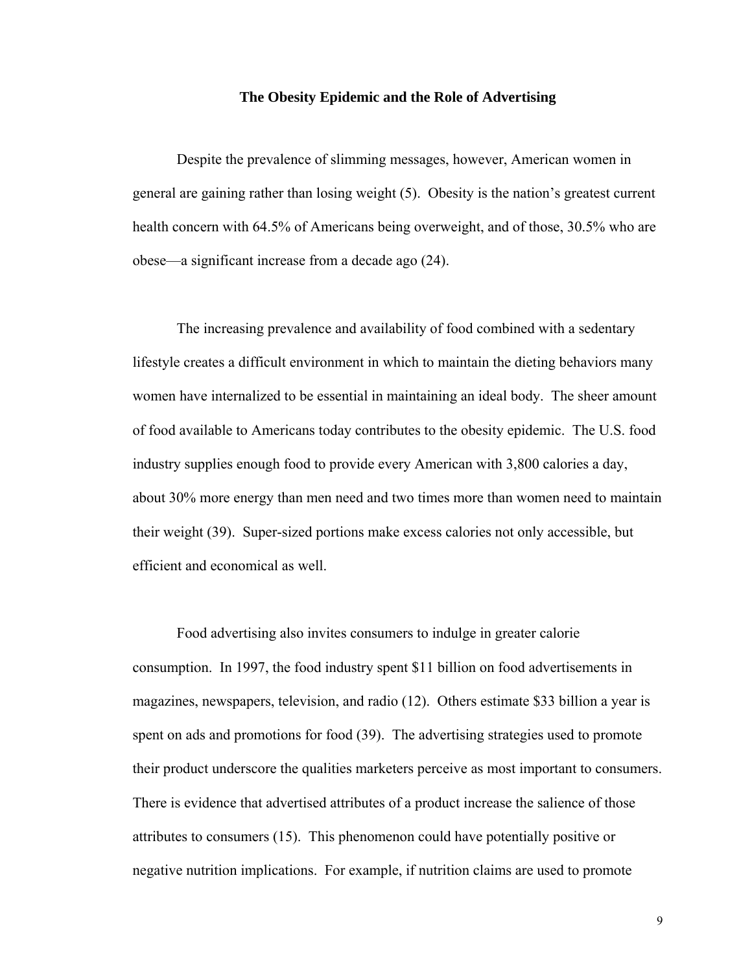#### **The Obesity Epidemic and the Role of Advertising**

 Despite the prevalence of slimming messages, however, American women in general are gaining rather than losing weight (5). Obesity is the nation's greatest current health concern with 64.5% of Americans being overweight, and of those, 30.5% who are obese—a significant increase from a decade ago (24).

The increasing prevalence and availability of food combined with a sedentary lifestyle creates a difficult environment in which to maintain the dieting behaviors many women have internalized to be essential in maintaining an ideal body. The sheer amount of food available to Americans today contributes to the obesity epidemic. The U.S. food industry supplies enough food to provide every American with 3,800 calories a day, about 30% more energy than men need and two times more than women need to maintain their weight (39). Super-sized portions make excess calories not only accessible, but efficient and economical as well.

Food advertising also invites consumers to indulge in greater calorie consumption. In 1997, the food industry spent \$11 billion on food advertisements in magazines, newspapers, television, and radio (12). Others estimate \$33 billion a year is spent on ads and promotions for food (39). The advertising strategies used to promote their product underscore the qualities marketers perceive as most important to consumers. There is evidence that advertised attributes of a product increase the salience of those attributes to consumers (15). This phenomenon could have potentially positive or negative nutrition implications. For example, if nutrition claims are used to promote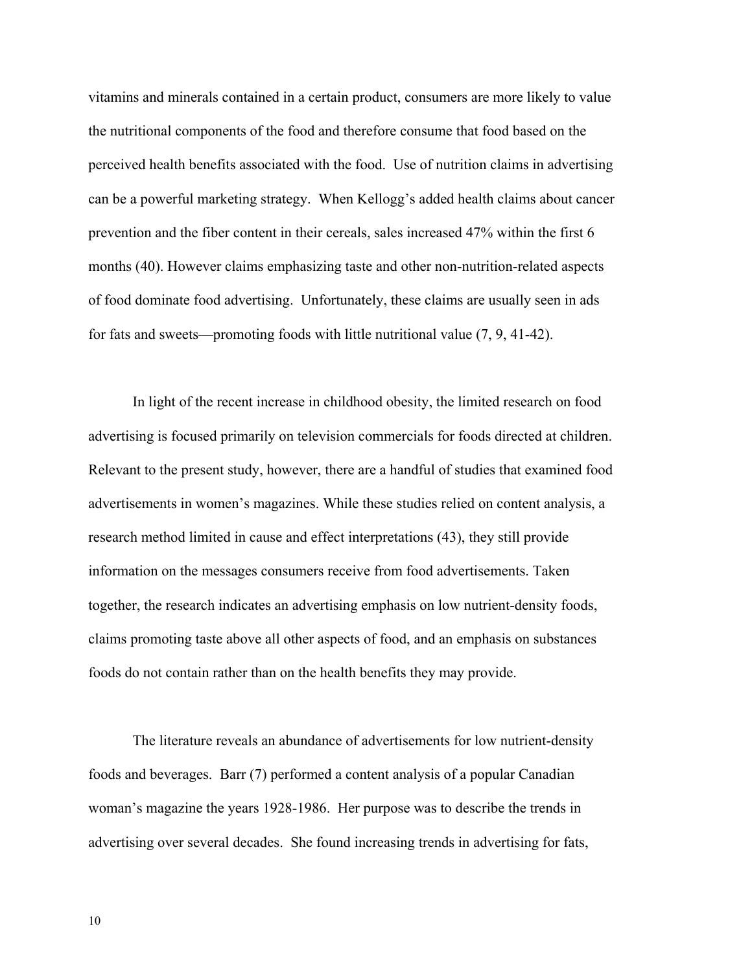vitamins and minerals contained in a certain product, consumers are more likely to value the nutritional components of the food and therefore consume that food based on the perceived health benefits associated with the food. Use of nutrition claims in advertising can be a powerful marketing strategy. When Kellogg's added health claims about cancer prevention and the fiber content in their cereals, sales increased 47% within the first 6 months (40). However claims emphasizing taste and other non-nutrition-related aspects of food dominate food advertising. Unfortunately, these claims are usually seen in ads for fats and sweets—promoting foods with little nutritional value (7, 9, 41-42).

In light of the recent increase in childhood obesity, the limited research on food advertising is focused primarily on television commercials for foods directed at children. Relevant to the present study, however, there are a handful of studies that examined food advertisements in women's magazines. While these studies relied on content analysis, a research method limited in cause and effect interpretations (43), they still provide information on the messages consumers receive from food advertisements. Taken together, the research indicates an advertising emphasis on low nutrient-density foods, claims promoting taste above all other aspects of food, and an emphasis on substances foods do not contain rather than on the health benefits they may provide.

The literature reveals an abundance of advertisements for low nutrient-density foods and beverages. Barr (7) performed a content analysis of a popular Canadian woman's magazine the years 1928-1986. Her purpose was to describe the trends in advertising over several decades. She found increasing trends in advertising for fats,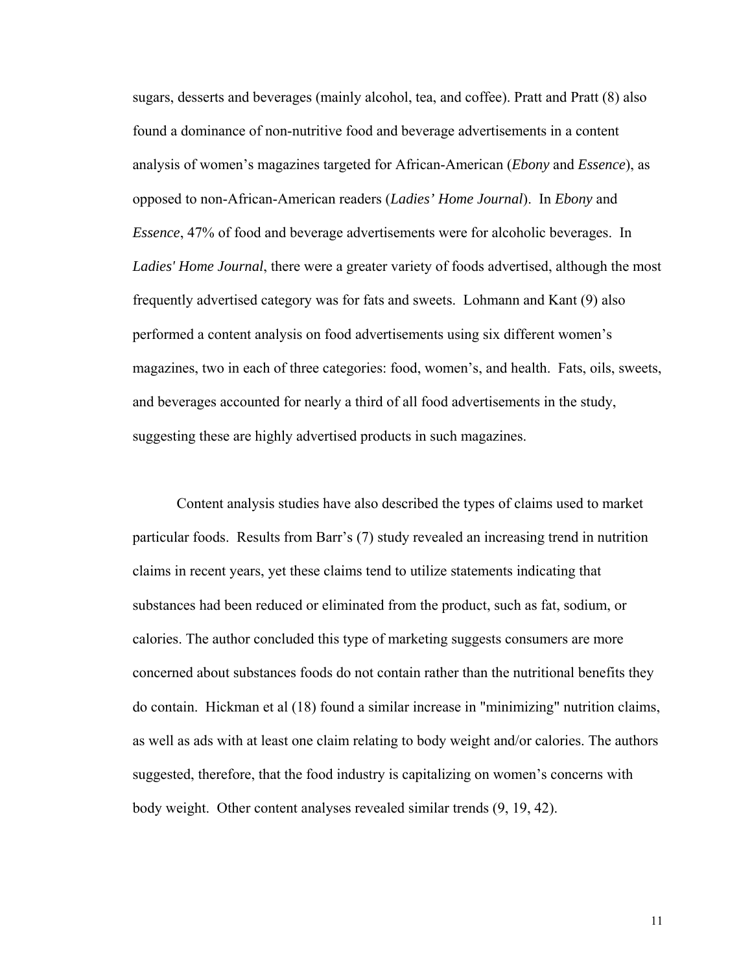sugars, desserts and beverages (mainly alcohol, tea, and coffee). Pratt and Pratt (8) also found a dominance of non-nutritive food and beverage advertisements in a content analysis of women's magazines targeted for African-American (*Ebony* and *Essence*), as opposed to non-African-American readers (*Ladies' Home Journal*). In *Ebony* and *Essence*, 47% of food and beverage advertisements were for alcoholic beverages. In *Ladies' Home Journal*, there were a greater variety of foods advertised, although the most frequently advertised category was for fats and sweets. Lohmann and Kant (9) also performed a content analysis on food advertisements using six different women's magazines, two in each of three categories: food, women's, and health. Fats, oils, sweets, and beverages accounted for nearly a third of all food advertisements in the study, suggesting these are highly advertised products in such magazines.

Content analysis studies have also described the types of claims used to market particular foods. Results from Barr's (7) study revealed an increasing trend in nutrition claims in recent years, yet these claims tend to utilize statements indicating that substances had been reduced or eliminated from the product, such as fat, sodium, or calories. The author concluded this type of marketing suggests consumers are more concerned about substances foods do not contain rather than the nutritional benefits they do contain. Hickman et al (18) found a similar increase in "minimizing" nutrition claims, as well as ads with at least one claim relating to body weight and/or calories. The authors suggested, therefore, that the food industry is capitalizing on women's concerns with body weight. Other content analyses revealed similar trends (9, 19, 42).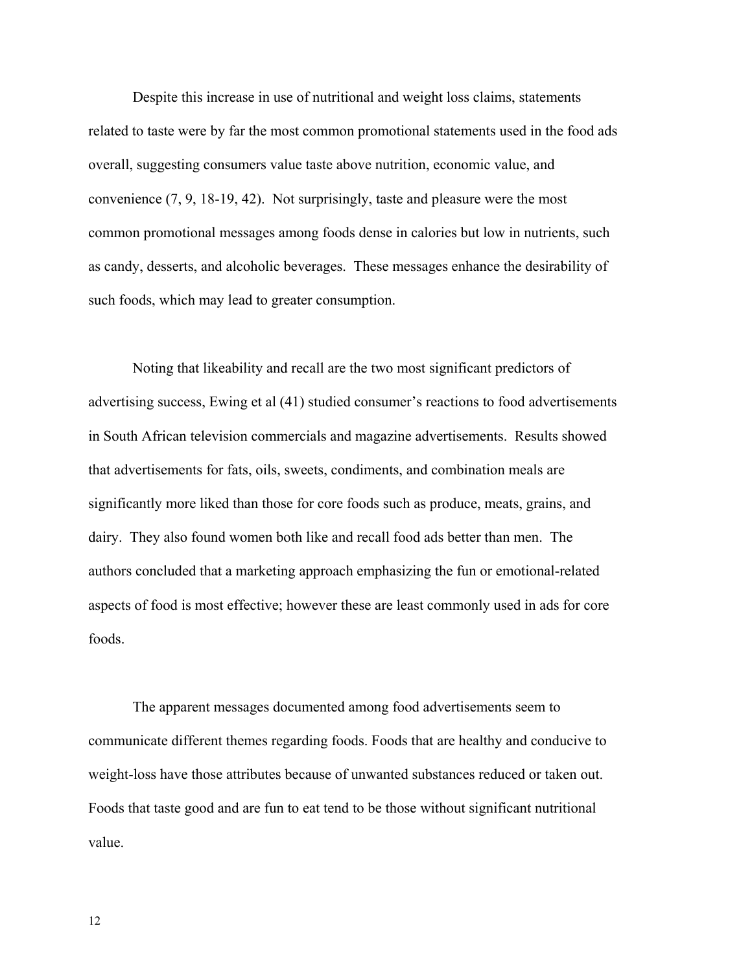Despite this increase in use of nutritional and weight loss claims, statements related to taste were by far the most common promotional statements used in the food ads overall, suggesting consumers value taste above nutrition, economic value, and convenience (7, 9, 18-19, 42). Not surprisingly, taste and pleasure were the most common promotional messages among foods dense in calories but low in nutrients, such as candy, desserts, and alcoholic beverages. These messages enhance the desirability of such foods, which may lead to greater consumption.

Noting that likeability and recall are the two most significant predictors of advertising success, Ewing et al (41) studied consumer's reactions to food advertisements in South African television commercials and magazine advertisements. Results showed that advertisements for fats, oils, sweets, condiments, and combination meals are significantly more liked than those for core foods such as produce, meats, grains, and dairy. They also found women both like and recall food ads better than men. The authors concluded that a marketing approach emphasizing the fun or emotional-related aspects of food is most effective; however these are least commonly used in ads for core foods.

The apparent messages documented among food advertisements seem to communicate different themes regarding foods. Foods that are healthy and conducive to weight-loss have those attributes because of unwanted substances reduced or taken out. Foods that taste good and are fun to eat tend to be those without significant nutritional value.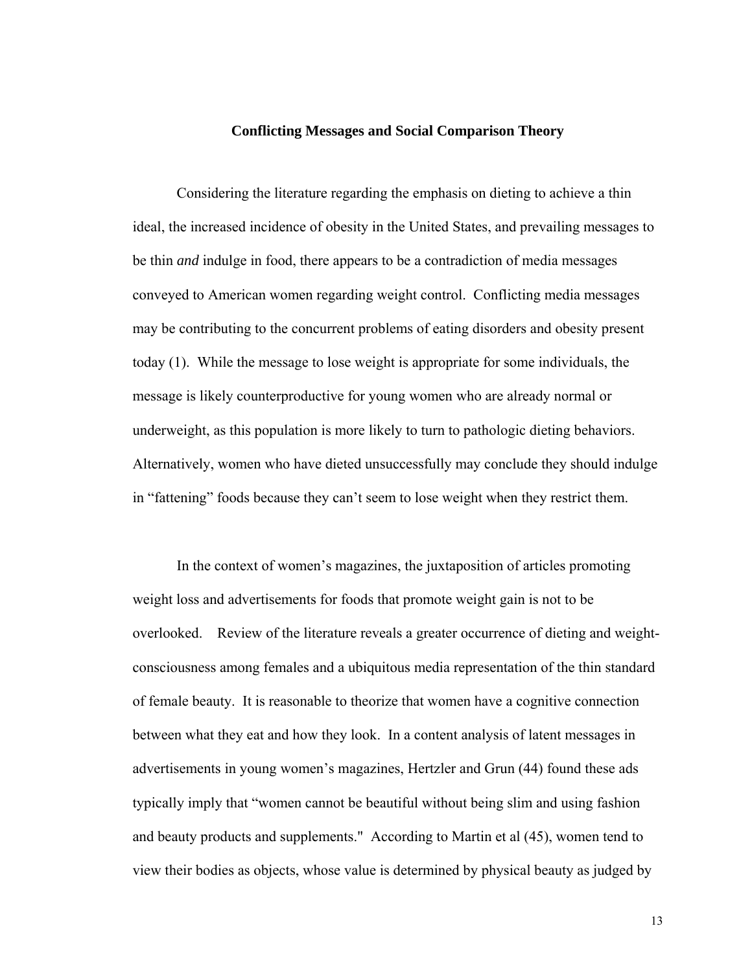#### **Conflicting Messages and Social Comparison Theory**

 Considering the literature regarding the emphasis on dieting to achieve a thin ideal, the increased incidence of obesity in the United States, and prevailing messages to be thin *and* indulge in food, there appears to be a contradiction of media messages conveyed to American women regarding weight control. Conflicting media messages may be contributing to the concurrent problems of eating disorders and obesity present today (1). While the message to lose weight is appropriate for some individuals, the message is likely counterproductive for young women who are already normal or underweight, as this population is more likely to turn to pathologic dieting behaviors. Alternatively, women who have dieted unsuccessfully may conclude they should indulge in "fattening" foods because they can't seem to lose weight when they restrict them.

In the context of women's magazines, the juxtaposition of articles promoting weight loss and advertisements for foods that promote weight gain is not to be overlooked. Review of the literature reveals a greater occurrence of dieting and weightconsciousness among females and a ubiquitous media representation of the thin standard of female beauty. It is reasonable to theorize that women have a cognitive connection between what they eat and how they look. In a content analysis of latent messages in advertisements in young women's magazines, Hertzler and Grun (44) found these ads typically imply that "women cannot be beautiful without being slim and using fashion and beauty products and supplements." According to Martin et al (45), women tend to view their bodies as objects, whose value is determined by physical beauty as judged by

13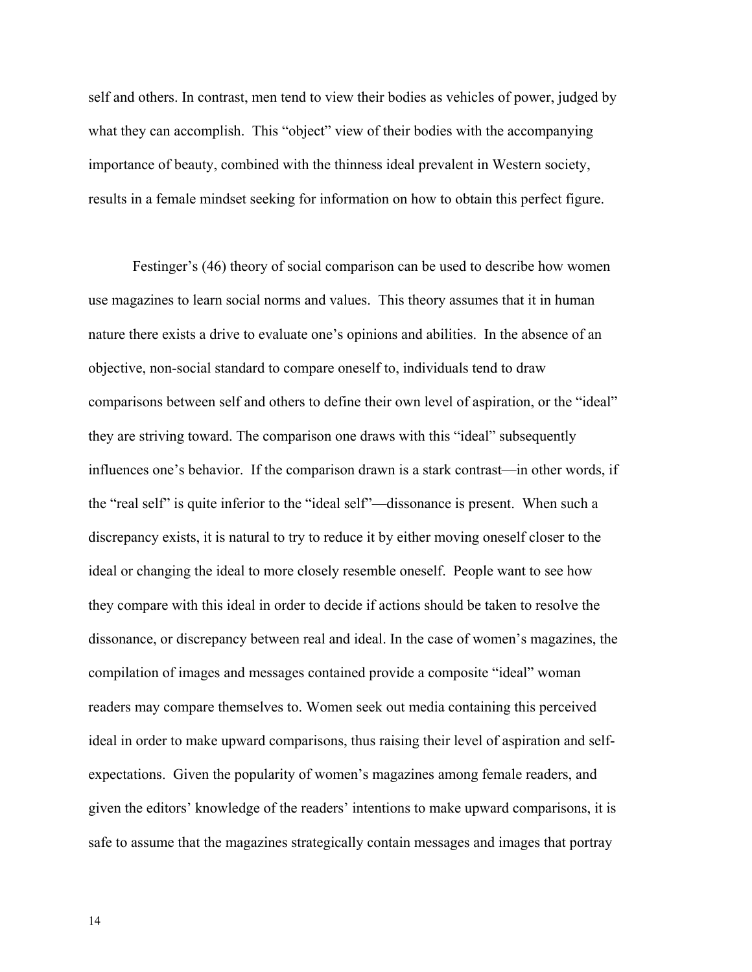self and others. In contrast, men tend to view their bodies as vehicles of power, judged by what they can accomplish. This "object" view of their bodies with the accompanying importance of beauty, combined with the thinness ideal prevalent in Western society, results in a female mindset seeking for information on how to obtain this perfect figure.

Festinger's (46) theory of social comparison can be used to describe how women use magazines to learn social norms and values. This theory assumes that it in human nature there exists a drive to evaluate one's opinions and abilities. In the absence of an objective, non-social standard to compare oneself to, individuals tend to draw comparisons between self and others to define their own level of aspiration, or the "ideal" they are striving toward. The comparison one draws with this "ideal" subsequently influences one's behavior. If the comparison drawn is a stark contrast—in other words, if the "real self" is quite inferior to the "ideal self"—dissonance is present. When such a discrepancy exists, it is natural to try to reduce it by either moving oneself closer to the ideal or changing the ideal to more closely resemble oneself. People want to see how they compare with this ideal in order to decide if actions should be taken to resolve the dissonance, or discrepancy between real and ideal. In the case of women's magazines, the compilation of images and messages contained provide a composite "ideal" woman readers may compare themselves to. Women seek out media containing this perceived ideal in order to make upward comparisons, thus raising their level of aspiration and selfexpectations. Given the popularity of women's magazines among female readers, and given the editors' knowledge of the readers' intentions to make upward comparisons, it is safe to assume that the magazines strategically contain messages and images that portray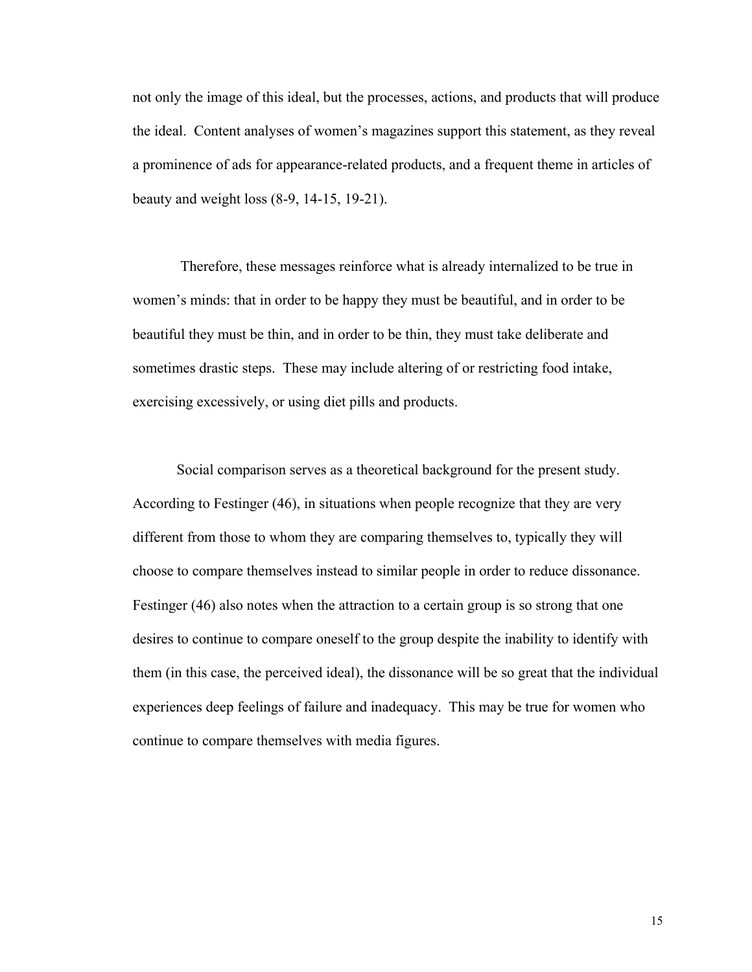not only the image of this ideal, but the processes, actions, and products that will produce the ideal. Content analyses of women's magazines support this statement, as they reveal a prominence of ads for appearance-related products, and a frequent theme in articles of beauty and weight loss (8-9, 14-15, 19-21).

 Therefore, these messages reinforce what is already internalized to be true in women's minds: that in order to be happy they must be beautiful, and in order to be beautiful they must be thin, and in order to be thin, they must take deliberate and sometimes drastic steps. These may include altering of or restricting food intake, exercising excessively, or using diet pills and products.

 Social comparison serves as a theoretical background for the present study. According to Festinger (46), in situations when people recognize that they are very different from those to whom they are comparing themselves to, typically they will choose to compare themselves instead to similar people in order to reduce dissonance. Festinger (46) also notes when the attraction to a certain group is so strong that one desires to continue to compare oneself to the group despite the inability to identify with them (in this case, the perceived ideal), the dissonance will be so great that the individual experiences deep feelings of failure and inadequacy. This may be true for women who continue to compare themselves with media figures.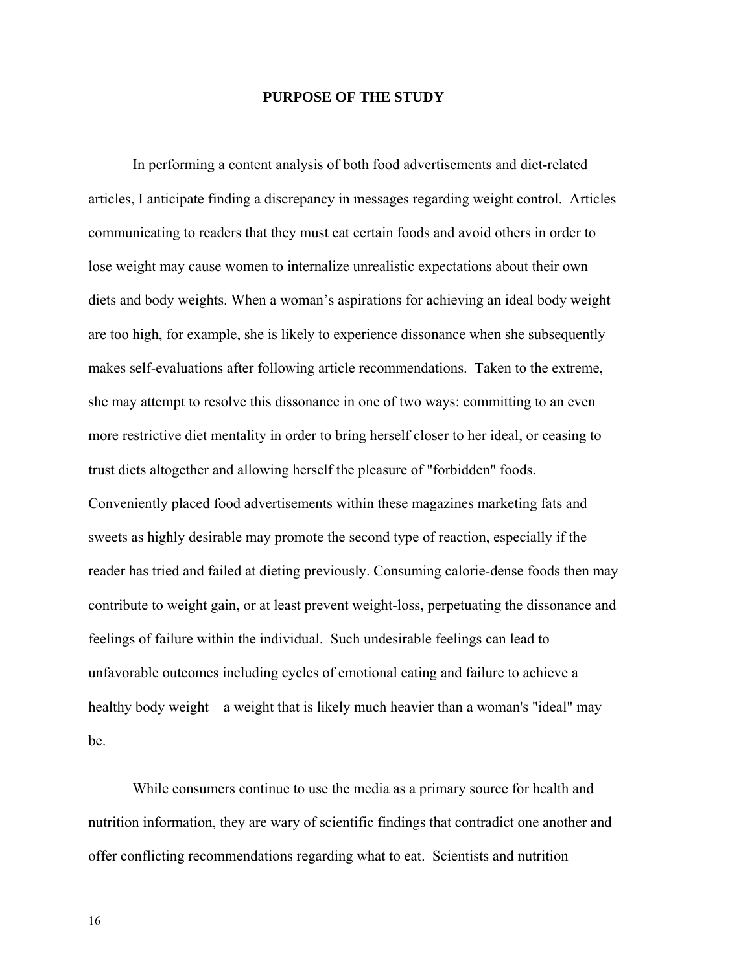#### **PURPOSE OF THE STUDY**

In performing a content analysis of both food advertisements and diet-related articles, I anticipate finding a discrepancy in messages regarding weight control. Articles communicating to readers that they must eat certain foods and avoid others in order to lose weight may cause women to internalize unrealistic expectations about their own diets and body weights. When a woman's aspirations for achieving an ideal body weight are too high, for example, she is likely to experience dissonance when she subsequently makes self-evaluations after following article recommendations. Taken to the extreme, she may attempt to resolve this dissonance in one of two ways: committing to an even more restrictive diet mentality in order to bring herself closer to her ideal, or ceasing to trust diets altogether and allowing herself the pleasure of "forbidden" foods. Conveniently placed food advertisements within these magazines marketing fats and sweets as highly desirable may promote the second type of reaction, especially if the reader has tried and failed at dieting previously. Consuming calorie-dense foods then may contribute to weight gain, or at least prevent weight-loss, perpetuating the dissonance and feelings of failure within the individual. Such undesirable feelings can lead to unfavorable outcomes including cycles of emotional eating and failure to achieve a healthy body weight—a weight that is likely much heavier than a woman's "ideal" may be.

 While consumers continue to use the media as a primary source for health and nutrition information, they are wary of scientific findings that contradict one another and offer conflicting recommendations regarding what to eat. Scientists and nutrition

16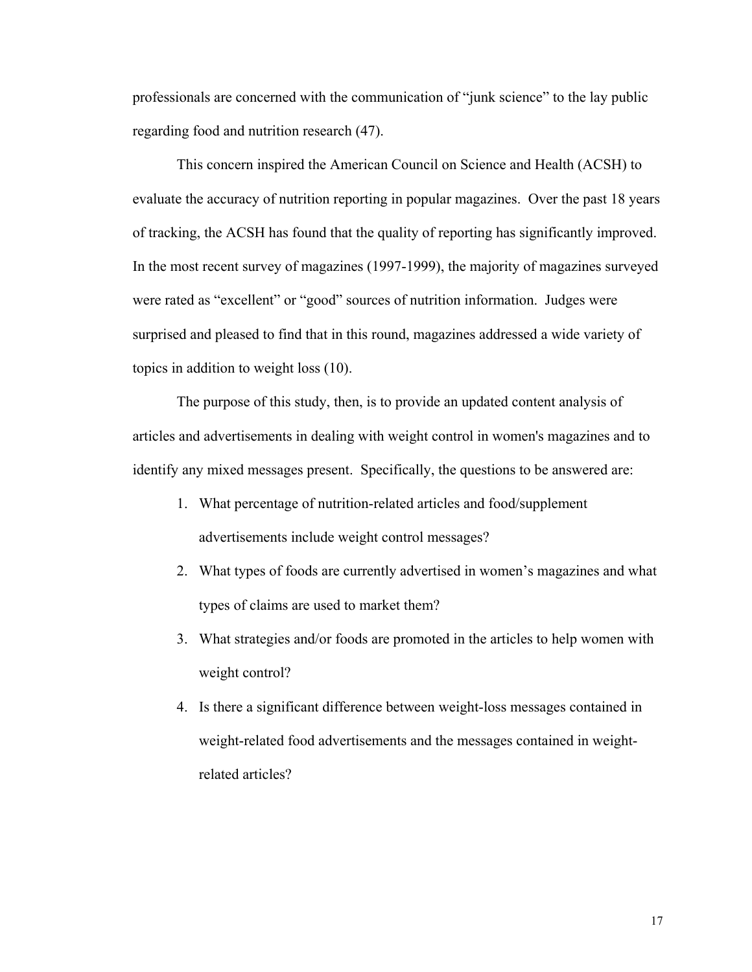professionals are concerned with the communication of "junk science" to the lay public regarding food and nutrition research (47).

 This concern inspired the American Council on Science and Health (ACSH) to evaluate the accuracy of nutrition reporting in popular magazines. Over the past 18 years of tracking, the ACSH has found that the quality of reporting has significantly improved. In the most recent survey of magazines (1997-1999), the majority of magazines surveyed were rated as "excellent" or "good" sources of nutrition information. Judges were surprised and pleased to find that in this round, magazines addressed a wide variety of topics in addition to weight loss (10).

 The purpose of this study, then, is to provide an updated content analysis of articles and advertisements in dealing with weight control in women's magazines and to identify any mixed messages present. Specifically, the questions to be answered are:

- 1. What percentage of nutrition-related articles and food/supplement advertisements include weight control messages?
- 2. What types of foods are currently advertised in women's magazines and what types of claims are used to market them?
- 3. What strategies and/or foods are promoted in the articles to help women with weight control?
- 4. Is there a significant difference between weight-loss messages contained in weight-related food advertisements and the messages contained in weightrelated articles?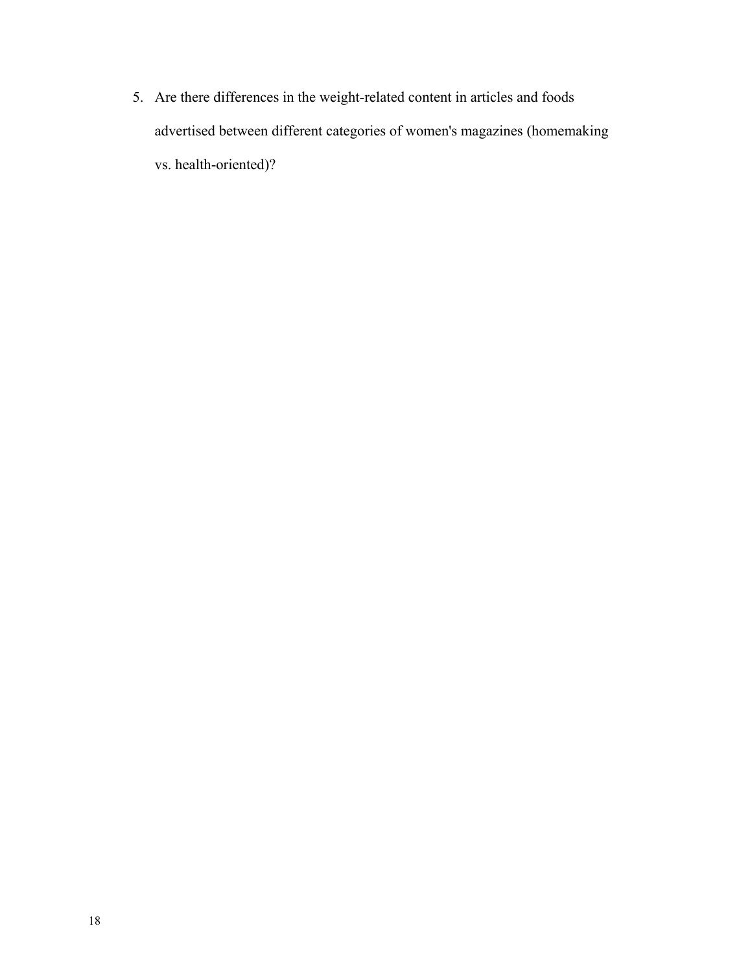5. Are there differences in the weight-related content in articles and foods advertised between different categories of women's magazines (homemaking vs. health-oriented)?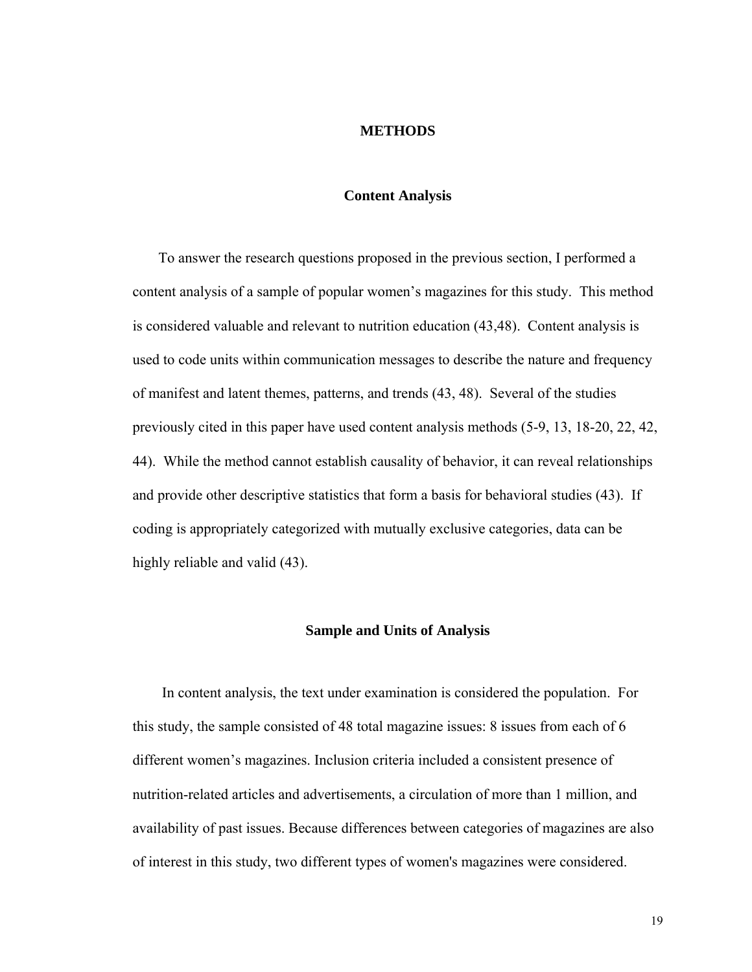#### **METHODS**

#### **Content Analysis**

 To answer the research questions proposed in the previous section, I performed a content analysis of a sample of popular women's magazines for this study. This method is considered valuable and relevant to nutrition education (43,48). Content analysis is used to code units within communication messages to describe the nature and frequency of manifest and latent themes, patterns, and trends (43, 48). Several of the studies previously cited in this paper have used content analysis methods (5-9, 13, 18-20, 22, 42, 44). While the method cannot establish causality of behavior, it can reveal relationships and provide other descriptive statistics that form a basis for behavioral studies (43). If coding is appropriately categorized with mutually exclusive categories, data can be highly reliable and valid (43).

#### **Sample and Units of Analysis**

 In content analysis, the text under examination is considered the population. For this study, the sample consisted of 48 total magazine issues: 8 issues from each of 6 different women's magazines. Inclusion criteria included a consistent presence of nutrition-related articles and advertisements, a circulation of more than 1 million, and availability of past issues. Because differences between categories of magazines are also of interest in this study, two different types of women's magazines were considered.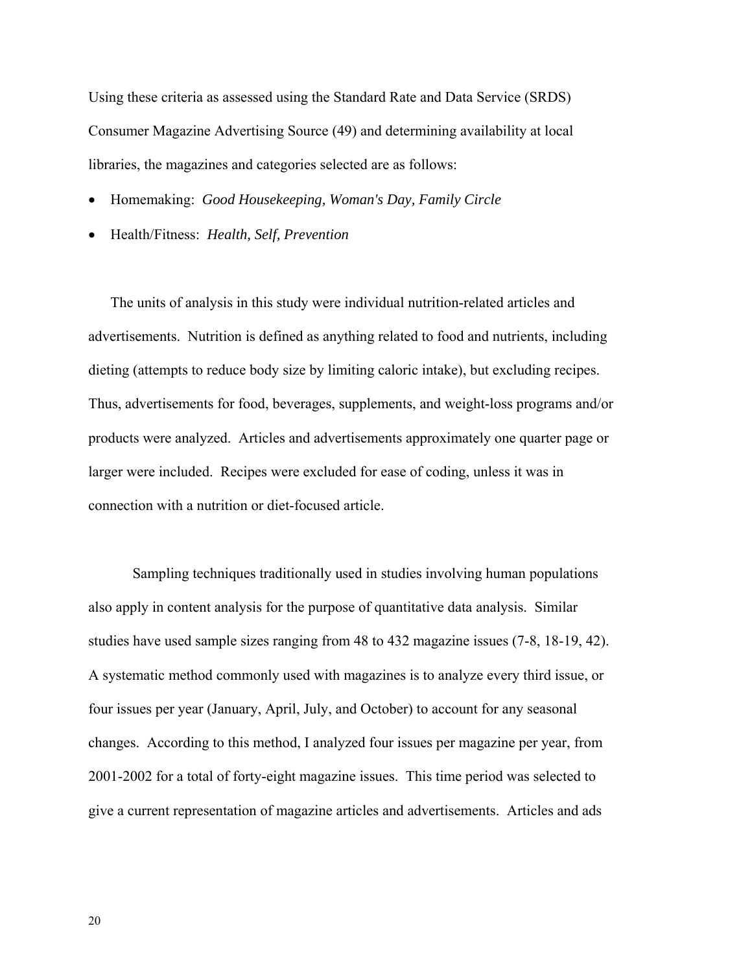Using these criteria as assessed using the Standard Rate and Data Service (SRDS) Consumer Magazine Advertising Source (49) and determining availability at local libraries, the magazines and categories selected are as follows:

- Homemaking: *Good Housekeeping, Woman's Day, Family Circle*
- Health/Fitness: *Health, Self, Prevention*

The units of analysis in this study were individual nutrition-related articles and advertisements. Nutrition is defined as anything related to food and nutrients, including dieting (attempts to reduce body size by limiting caloric intake), but excluding recipes. Thus, advertisements for food, beverages, supplements, and weight-loss programs and/or products were analyzed. Articles and advertisements approximately one quarter page or larger were included. Recipes were excluded for ease of coding, unless it was in connection with a nutrition or diet-focused article.

 Sampling techniques traditionally used in studies involving human populations also apply in content analysis for the purpose of quantitative data analysis. Similar studies have used sample sizes ranging from 48 to 432 magazine issues (7-8, 18-19, 42). A systematic method commonly used with magazines is to analyze every third issue, or four issues per year (January, April, July, and October) to account for any seasonal changes. According to this method, I analyzed four issues per magazine per year, from 2001-2002 for a total of forty-eight magazine issues. This time period was selected to give a current representation of magazine articles and advertisements. Articles and ads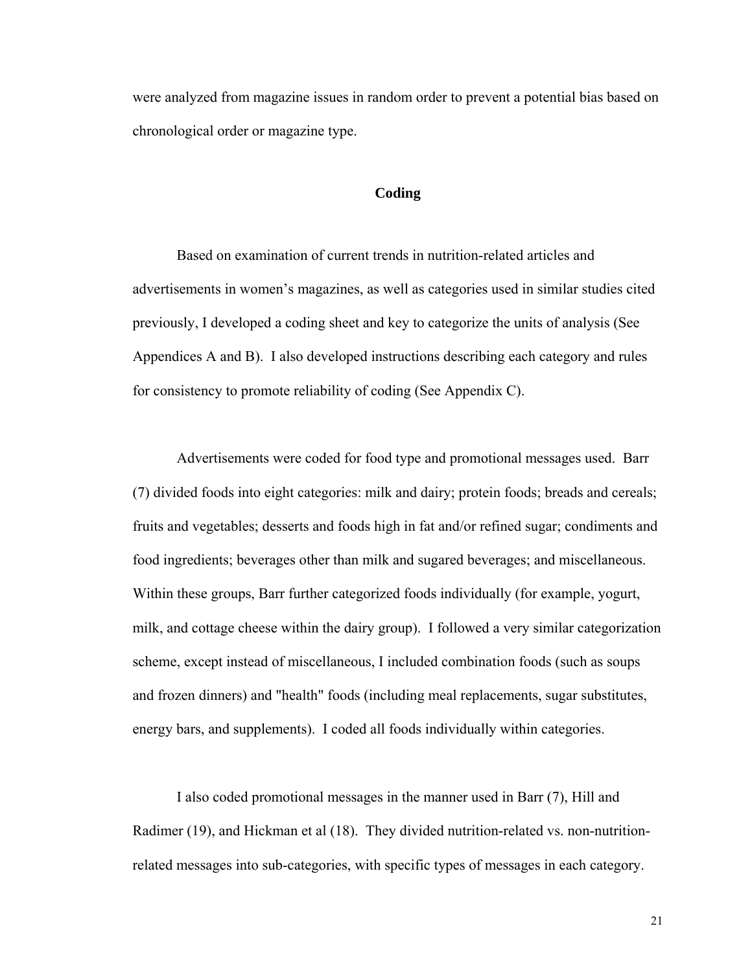were analyzed from magazine issues in random order to prevent a potential bias based on chronological order or magazine type.

#### **Coding**

Based on examination of current trends in nutrition-related articles and advertisements in women's magazines, as well as categories used in similar studies cited previously, I developed a coding sheet and key to categorize the units of analysis (See Appendices A and B). I also developed instructions describing each category and rules for consistency to promote reliability of coding (See Appendix C).

 Advertisements were coded for food type and promotional messages used. Barr (7) divided foods into eight categories: milk and dairy; protein foods; breads and cereals; fruits and vegetables; desserts and foods high in fat and/or refined sugar; condiments and food ingredients; beverages other than milk and sugared beverages; and miscellaneous. Within these groups, Barr further categorized foods individually (for example, yogurt, milk, and cottage cheese within the dairy group). I followed a very similar categorization scheme, except instead of miscellaneous, I included combination foods (such as soups and frozen dinners) and "health" foods (including meal replacements, sugar substitutes, energy bars, and supplements). I coded all foods individually within categories.

I also coded promotional messages in the manner used in Barr (7), Hill and Radimer (19), and Hickman et al (18). They divided nutrition-related vs. non-nutritionrelated messages into sub-categories, with specific types of messages in each category.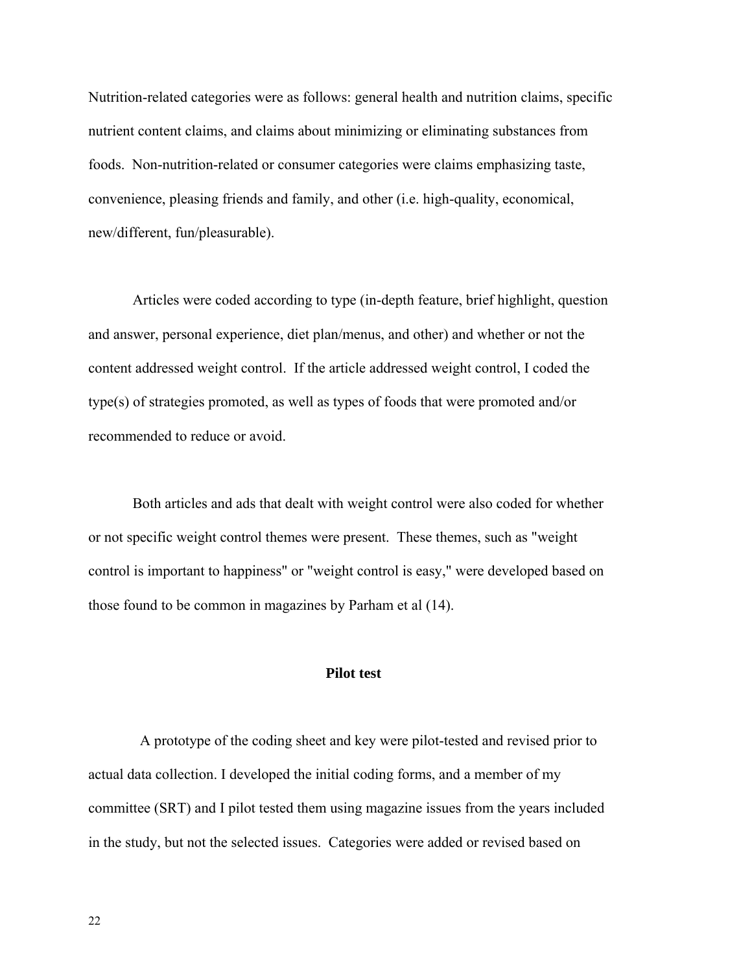Nutrition-related categories were as follows: general health and nutrition claims, specific nutrient content claims, and claims about minimizing or eliminating substances from foods. Non-nutrition-related or consumer categories were claims emphasizing taste, convenience, pleasing friends and family, and other (i.e. high-quality, economical, new/different, fun/pleasurable).

 Articles were coded according to type (in-depth feature, brief highlight, question and answer, personal experience, diet plan/menus, and other) and whether or not the content addressed weight control. If the article addressed weight control, I coded the type(s) of strategies promoted, as well as types of foods that were promoted and/or recommended to reduce or avoid.

 Both articles and ads that dealt with weight control were also coded for whether or not specific weight control themes were present. These themes, such as "weight control is important to happiness" or "weight control is easy," were developed based on those found to be common in magazines by Parham et al (14).

#### **Pilot test**

 A prototype of the coding sheet and key were pilot-tested and revised prior to actual data collection. I developed the initial coding forms, and a member of my committee (SRT) and I pilot tested them using magazine issues from the years included in the study, but not the selected issues. Categories were added or revised based on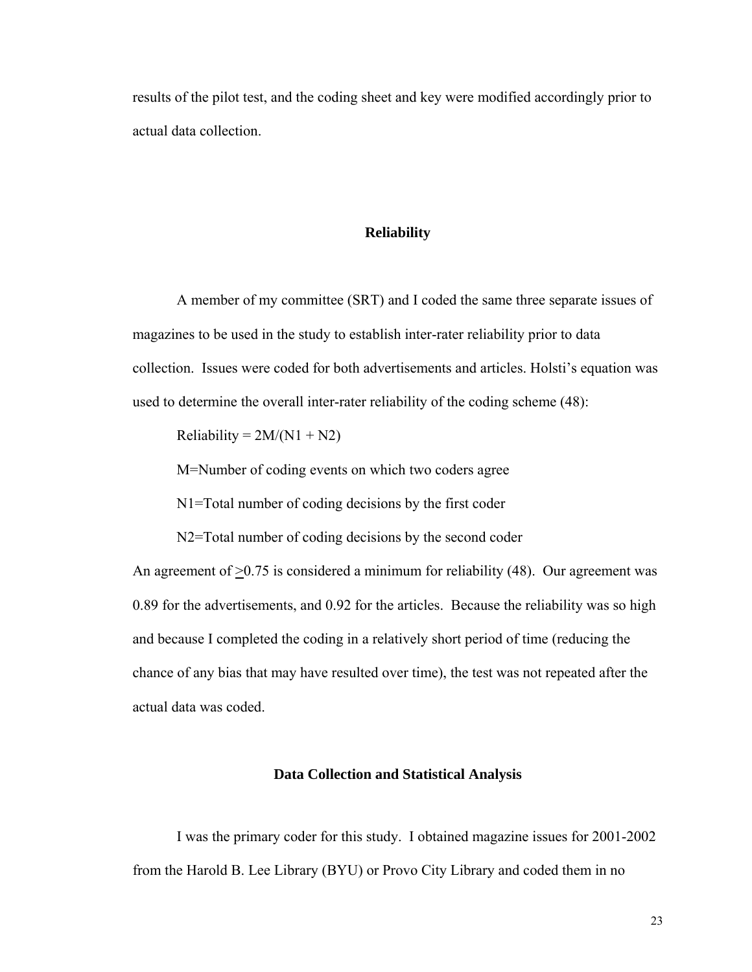results of the pilot test, and the coding sheet and key were modified accordingly prior to actual data collection.

#### **Reliability**

A member of my committee (SRT) and I coded the same three separate issues of magazines to be used in the study to establish inter-rater reliability prior to data collection. Issues were coded for both advertisements and articles. Holsti's equation was used to determine the overall inter-rater reliability of the coding scheme (48):

Reliability =  $2M/(N1 + N2)$ 

M=Number of coding events on which two coders agree

N1=Total number of coding decisions by the first coder

N2=Total number of coding decisions by the second coder

An agreement of  $\geq 0.75$  is considered a minimum for reliability (48). Our agreement was 0.89 for the advertisements, and 0.92 for the articles. Because the reliability was so high and because I completed the coding in a relatively short period of time (reducing the chance of any bias that may have resulted over time), the test was not repeated after the actual data was coded.

#### **Data Collection and Statistical Analysis**

I was the primary coder for this study. I obtained magazine issues for 2001-2002 from the Harold B. Lee Library (BYU) or Provo City Library and coded them in no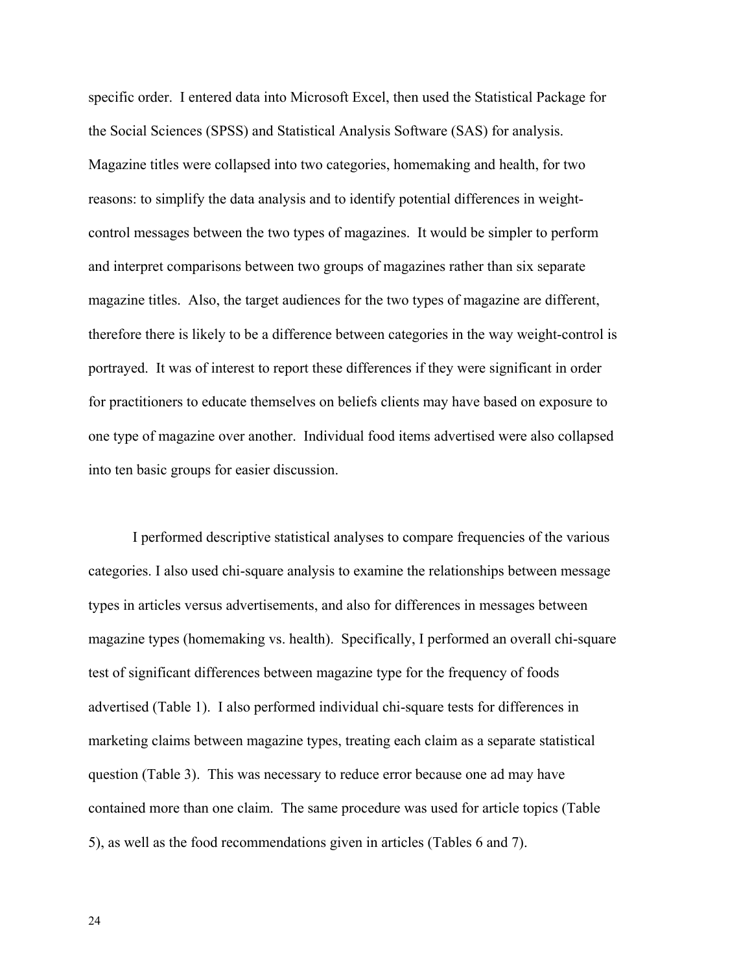specific order. I entered data into Microsoft Excel, then used the Statistical Package for the Social Sciences (SPSS) and Statistical Analysis Software (SAS) for analysis. Magazine titles were collapsed into two categories, homemaking and health, for two reasons: to simplify the data analysis and to identify potential differences in weightcontrol messages between the two types of magazines. It would be simpler to perform and interpret comparisons between two groups of magazines rather than six separate magazine titles. Also, the target audiences for the two types of magazine are different, therefore there is likely to be a difference between categories in the way weight-control is portrayed. It was of interest to report these differences if they were significant in order for practitioners to educate themselves on beliefs clients may have based on exposure to one type of magazine over another. Individual food items advertised were also collapsed into ten basic groups for easier discussion.

I performed descriptive statistical analyses to compare frequencies of the various categories. I also used chi-square analysis to examine the relationships between message types in articles versus advertisements, and also for differences in messages between magazine types (homemaking vs. health). Specifically, I performed an overall chi-square test of significant differences between magazine type for the frequency of foods advertised (Table 1). I also performed individual chi-square tests for differences in marketing claims between magazine types, treating each claim as a separate statistical question (Table 3). This was necessary to reduce error because one ad may have contained more than one claim. The same procedure was used for article topics (Table 5), as well as the food recommendations given in articles (Tables 6 and 7).

24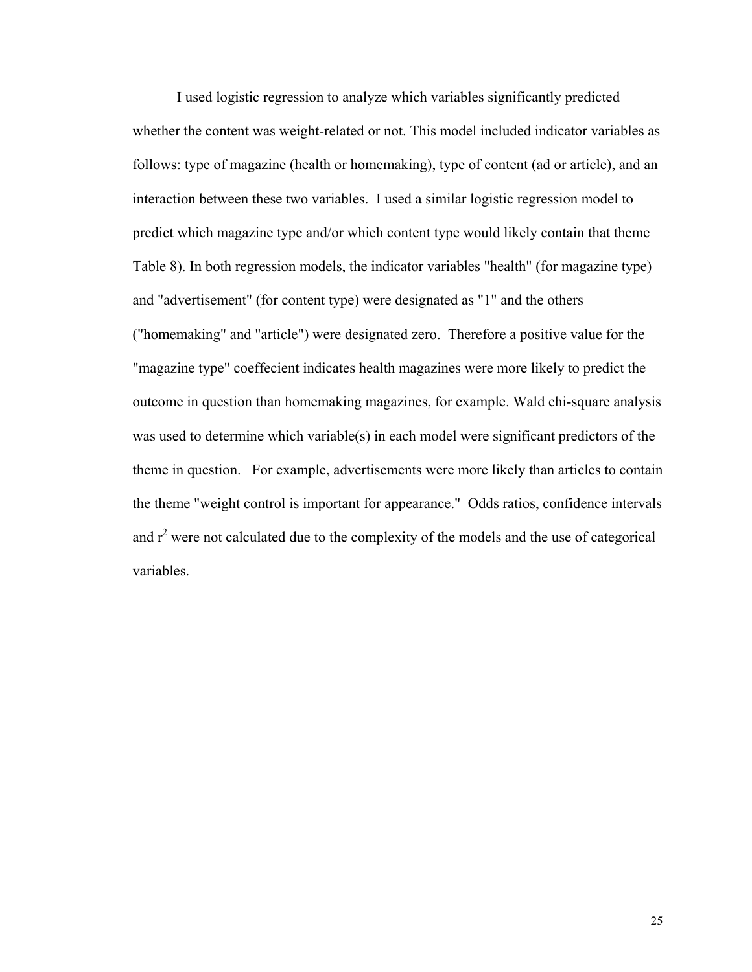I used logistic regression to analyze which variables significantly predicted whether the content was weight-related or not. This model included indicator variables as follows: type of magazine (health or homemaking), type of content (ad or article), and an interaction between these two variables. I used a similar logistic regression model to predict which magazine type and/or which content type would likely contain that theme Table 8). In both regression models, the indicator variables "health" (for magazine type) and "advertisement" (for content type) were designated as "1" and the others ("homemaking" and "article") were designated zero. Therefore a positive value for the "magazine type" coeffecient indicates health magazines were more likely to predict the outcome in question than homemaking magazines, for example. Wald chi-square analysis was used to determine which variable(s) in each model were significant predictors of the theme in question. For example, advertisements were more likely than articles to contain the theme "weight control is important for appearance." Odds ratios, confidence intervals and  $r^2$  were not calculated due to the complexity of the models and the use of categorical variables.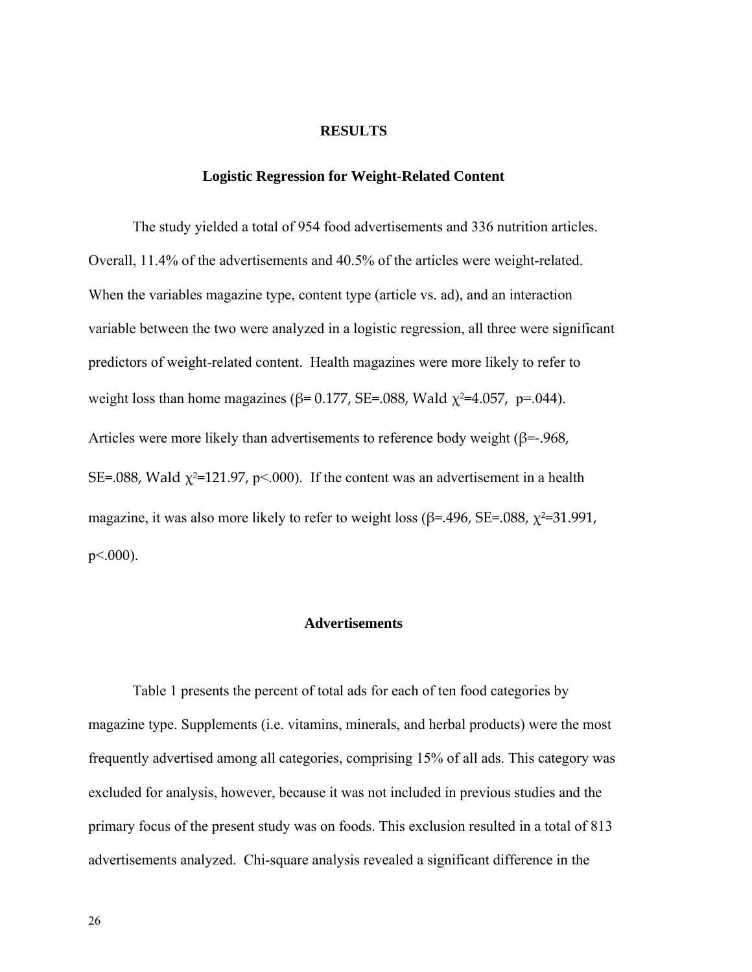#### **RESULTS**

#### **Logistic Regression for Weight-Related Content**

 The study yielded a total of 954 food advertisements and 336 nutrition articles. Overall, 11.4% of the advertisements and 40.5% of the articles were weight-related. When the variables magazine type, content type (article vs. ad), and an interaction variable between the two were analyzed in a logistic regression, all three were significant predictors of weight-related content. Health magazines were more likely to refer to weight loss than home magazines ( $\beta$ = 0.177, SE=.088, Wald  $\chi$ <sup>2=4.057</sup>, p=.044). Articles were more likely than advertisements to reference body weight ( $\beta$ =-.968, SE=.088, Wald  $\chi^2$ =121.97, p<.000). If the content was an advertisement in a health magazine, it was also more likely to refer to weight loss ( $\beta$ =.496, SE=.088,  $\chi^2$ =31.991,  $p<.000$ ).

#### **Advertisements**

Table 1 presents the percent of total ads for each of ten food categories by magazine type. Supplements (i.e. vitamins, minerals, and herbal products) were the most frequently advertised among all categories, comprising 15% of all ads. This category was excluded for analysis, however, because it was not included in previous studies and the primary focus of the present study was on foods. This exclusion resulted in a total of 813 advertisements analyzed. Chi-square analysis revealed a significant difference in the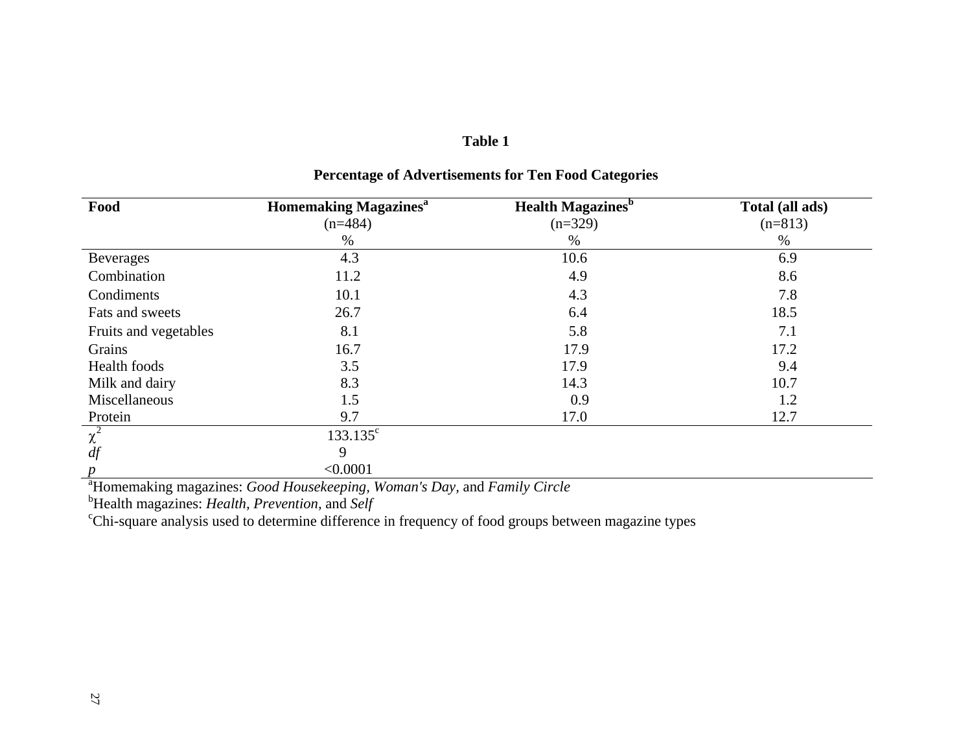#### **Table 1**

| Food                  | <b>Homemaking Magazines<sup>a</sup></b> | <b>Health Magazines</b> <sup>b</sup> | Total (all ads) |
|-----------------------|-----------------------------------------|--------------------------------------|-----------------|
|                       | $(n=484)$                               | $(n=329)$                            | $(n=813)$       |
|                       | %                                       | $\%$                                 | $\%$            |
| <b>Beverages</b>      | 4.3                                     | 10.6                                 | 6.9             |
| Combination           | 11.2                                    | 4.9                                  | 8.6             |
| Condiments            | 10.1                                    | 4.3                                  | 7.8             |
| Fats and sweets       | 26.7                                    | 6.4                                  | 18.5            |
| Fruits and vegetables | 8.1                                     | 5.8                                  | 7.1             |
| Grains                | 16.7                                    | 17.9                                 | 17.2            |
| Health foods          | 3.5                                     | 17.9                                 | 9.4             |
| Milk and dairy        | 8.3                                     | 14.3                                 | 10.7            |
| Miscellaneous         | 1.5                                     | 0.9                                  | 1.2             |
| Protein               | 9.7                                     | 17.0                                 | 12.7            |
| $\chi^2$              | $133.135^{\circ}$                       |                                      |                 |
| df                    | 9                                       |                                      |                 |
|                       | < 0.0001                                |                                      |                 |

### **Percentage of Advertisements for Ten Food Categories**

aHomemaking magazines: *Good Housekeeping, Woman's Day,* and *Family Circle* 

bHealth magazines: *Health, Prevention,* and *Self* 

<sup>c</sup>Chi-square analysis used to determine difference in frequency of food groups between magazine types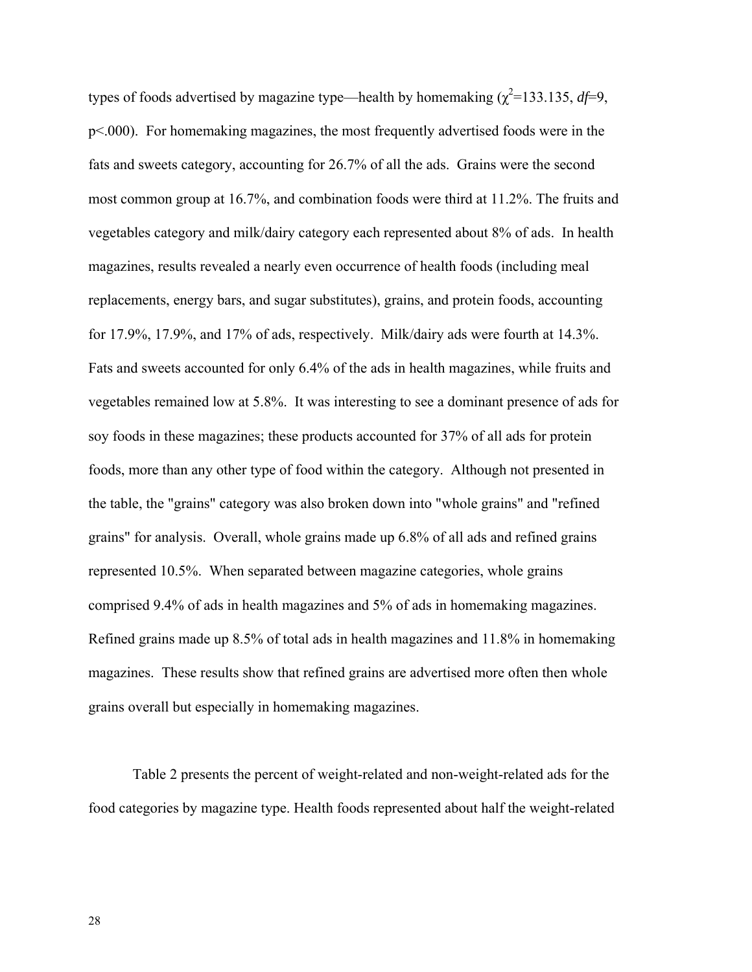types of foods advertised by magazine type—health by homemaking  $(\chi^2=133.135, df=9,$ p<.000). For homemaking magazines, the most frequently advertised foods were in the fats and sweets category, accounting for 26.7% of all the ads. Grains were the second most common group at 16.7%, and combination foods were third at 11.2%. The fruits and vegetables category and milk/dairy category each represented about 8% of ads. In health magazines, results revealed a nearly even occurrence of health foods (including meal replacements, energy bars, and sugar substitutes), grains, and protein foods, accounting for 17.9%, 17.9%, and 17% of ads, respectively. Milk/dairy ads were fourth at 14.3%. Fats and sweets accounted for only 6.4% of the ads in health magazines, while fruits and vegetables remained low at 5.8%. It was interesting to see a dominant presence of ads for soy foods in these magazines; these products accounted for 37% of all ads for protein foods, more than any other type of food within the category. Although not presented in the table, the "grains" category was also broken down into "whole grains" and "refined grains" for analysis. Overall, whole grains made up 6.8% of all ads and refined grains represented 10.5%. When separated between magazine categories, whole grains comprised 9.4% of ads in health magazines and 5% of ads in homemaking magazines. Refined grains made up 8.5% of total ads in health magazines and 11.8% in homemaking magazines. These results show that refined grains are advertised more often then whole grains overall but especially in homemaking magazines.

Table 2 presents the percent of weight-related and non-weight-related ads for the food categories by magazine type. Health foods represented about half the weight-related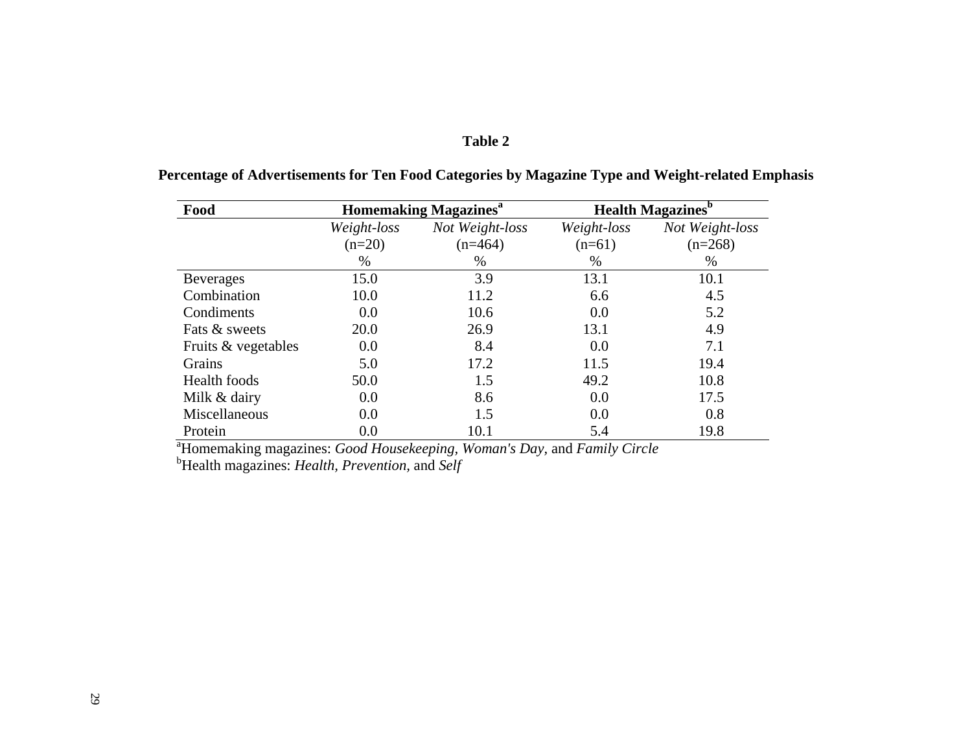| Food                | <b>Homemaking Magazines</b> <sup>a</sup> |                 | <b>Health Magazines</b> <sup>b</sup> |                 |
|---------------------|------------------------------------------|-----------------|--------------------------------------|-----------------|
|                     | Weight-loss                              | Not Weight-loss | Weight-loss                          | Not Weight-loss |
|                     | $(n=20)$                                 | $(n=464)$       | $(n=61)$                             | $(n=268)$       |
|                     | %                                        | $\%$            | $\%$                                 | $\%$            |
| <b>Beverages</b>    | 15.0                                     | 3.9             | 13.1                                 | 10.1            |
| Combination         | 10.0                                     | 11.2            | 6.6                                  | 4.5             |
| Condiments          | 0.0                                      | 10.6            | 0.0                                  | 5.2             |
| Fats & sweets       | 20.0                                     | 26.9            | 13.1                                 | 4.9             |
| Fruits & vegetables | 0.0                                      | 8.4             | 0.0                                  | 7.1             |
| Grains              | 5.0                                      | 17.2            | 11.5                                 | 19.4            |
| <b>Health</b> foods | 50.0                                     | 1.5             | 49.2                                 | 10.8            |
| Milk & dairy        | 0.0                                      | 8.6             | 0.0                                  | 17.5            |
| Miscellaneous       | 0.0                                      | 1.5             | 0.0                                  | 0.8             |
| Protein             | 0.0                                      | 10.1            | 5.4                                  | 19.8            |

# **Percentage of Advertisements for Ten Food Categories by Magazine Type and Weight-related Emphasis**

aHomemaking magazines: *Good Housekeeping, Woman's Day,* and *Family Circle*  bHealth magazines: *Health, Prevention,* and *Self*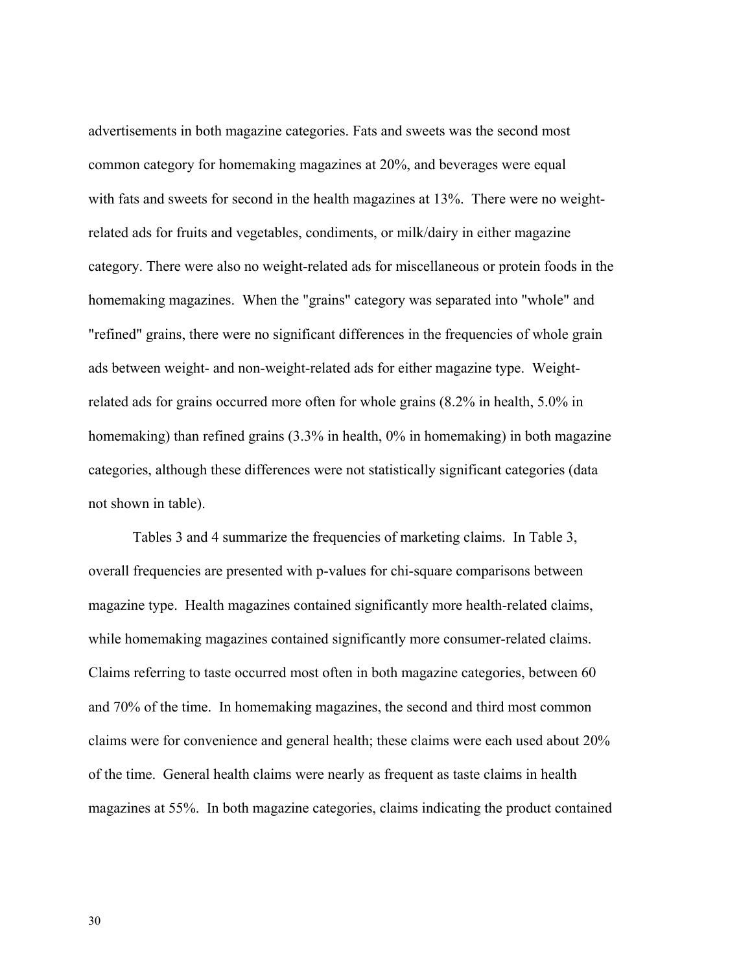advertisements in both magazine categories. Fats and sweets was the second most common category for homemaking magazines at 20%, and beverages were equal with fats and sweets for second in the health magazines at 13%. There were no weightrelated ads for fruits and vegetables, condiments, or milk/dairy in either magazine category. There were also no weight-related ads for miscellaneous or protein foods in the homemaking magazines. When the "grains" category was separated into "whole" and "refined" grains, there were no significant differences in the frequencies of whole grain ads between weight- and non-weight-related ads for either magazine type. Weightrelated ads for grains occurred more often for whole grains (8.2% in health, 5.0% in homemaking) than refined grains (3.3% in health, 0% in homemaking) in both magazine categories, although these differences were not statistically significant categories (data not shown in table).

Tables 3 and 4 summarize the frequencies of marketing claims. In Table 3, overall frequencies are presented with p-values for chi-square comparisons between magazine type. Health magazines contained significantly more health-related claims, while homemaking magazines contained significantly more consumer-related claims. Claims referring to taste occurred most often in both magazine categories, between 60 and 70% of the time. In homemaking magazines, the second and third most common claims were for convenience and general health; these claims were each used about 20% of the time. General health claims were nearly as frequent as taste claims in health magazines at 55%. In both magazine categories, claims indicating the product contained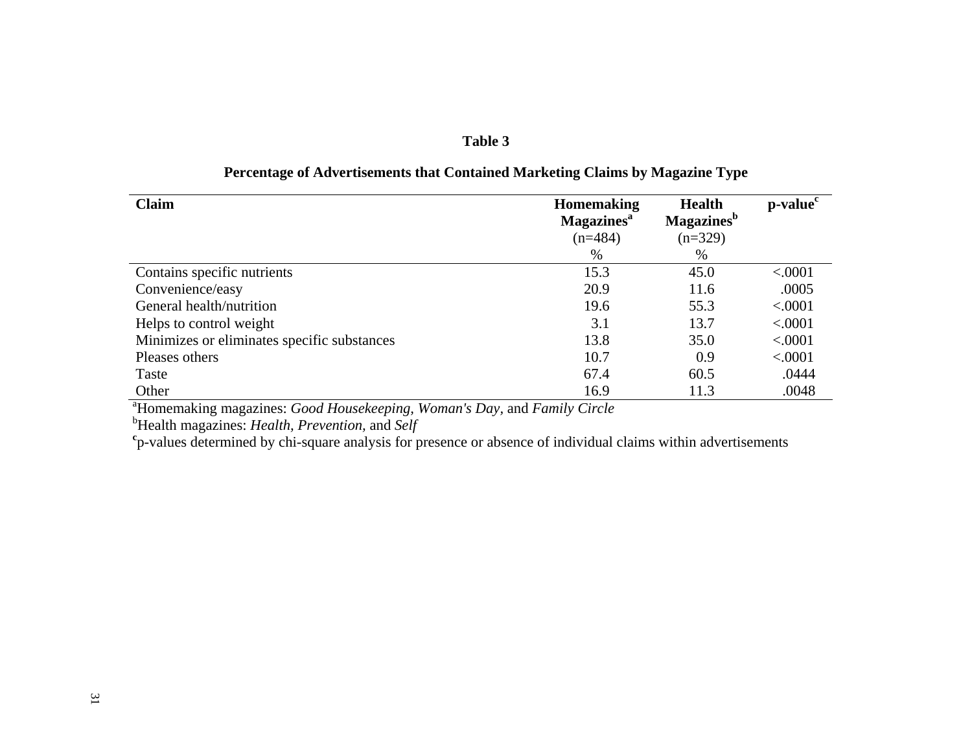| <b>Claim</b>                                | <b>Homemaking</b><br><b>Magazines</b> <sup>a</sup><br>$(n=484)$ | <b>Health</b><br><b>Magazines</b> <sup>b</sup><br>$(n=329)$ | p-value <sup>c</sup> |
|---------------------------------------------|-----------------------------------------------------------------|-------------------------------------------------------------|----------------------|
|                                             | %                                                               | %                                                           |                      |
| Contains specific nutrients                 | 15.3                                                            | 45.0                                                        | < .0001              |
| Convenience/easy                            | 20.9                                                            | 11.6                                                        | .0005                |
| General health/nutrition                    | 19.6                                                            | 55.3                                                        | < .0001              |
| Helps to control weight                     | 3.1                                                             | 13.7                                                        | < .0001              |
| Minimizes or eliminates specific substances | 13.8                                                            | 35.0                                                        | < .0001              |
| Pleases others                              | 10.7                                                            | 0.9                                                         | < .0001              |
| Taste                                       | 67.4                                                            | 60.5                                                        | .0444                |
| Other                                       | 16.9                                                            | 11.3                                                        | .0048                |

# **Percentage of Advertisements that Contained Marketing Claims by Magazine Type**

aHomemaking magazines: *Good Housekeeping, Woman's Day,* and *Family Circle* 

bHealth magazines: *Health, Prevention,* and *Self* 

**<sup>c</sup>**p-values determined by chi-square analysis for presence or absence of individual claims within advertisements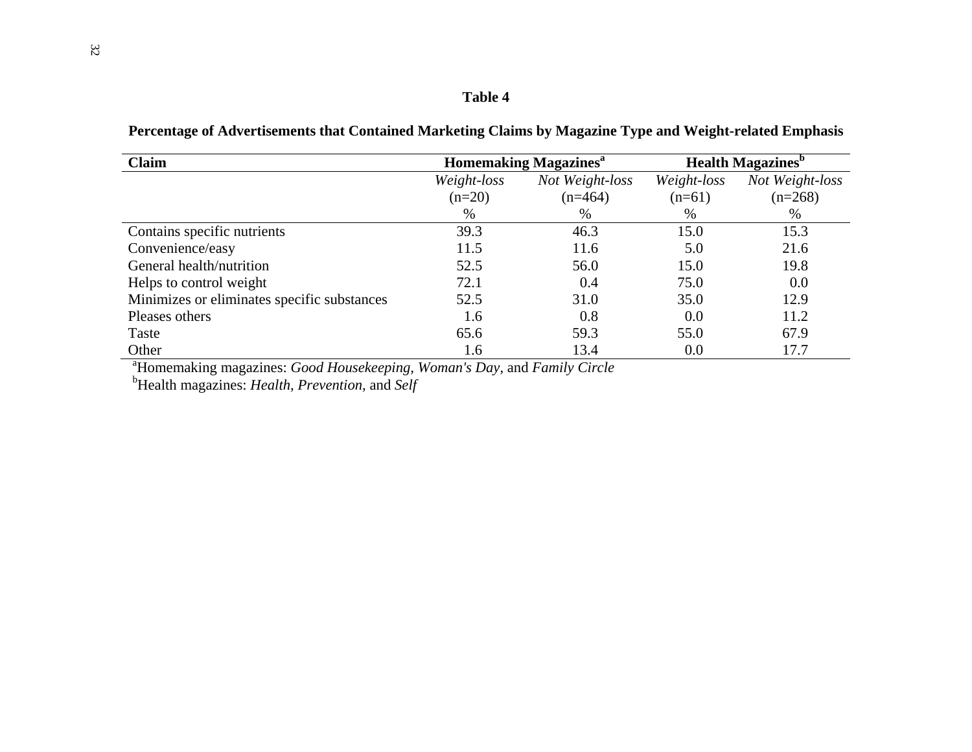| Percentage of Advertisements that Contained Marketing Claims by Magazine Type and Weight-related Emphasis |  |  |
|-----------------------------------------------------------------------------------------------------------|--|--|
|                                                                                                           |  |  |

| Claim                                       | <b>Homemaking Magazines</b> <sup>a</sup> |                 | <b>Health Magazines</b> <sup>b</sup> |                 |
|---------------------------------------------|------------------------------------------|-----------------|--------------------------------------|-----------------|
|                                             | Weight-loss                              | Not Weight-loss | Weight-loss                          | Not Weight-loss |
|                                             | $(n=20)$                                 | $(n=464)$       | $(n=61)$                             | $(n=268)$       |
|                                             | %                                        | %               | %                                    | $\%$            |
| Contains specific nutrients                 | 39.3                                     | 46.3            | 15.0                                 | 15.3            |
| Convenience/easy                            | 11.5                                     | 11.6            | 5.0                                  | 21.6            |
| General health/nutrition                    | 52.5                                     | 56.0            | 15.0                                 | 19.8            |
| Helps to control weight                     | 72.1                                     | 0.4             | 75.0                                 | 0.0             |
| Minimizes or eliminates specific substances | 52.5                                     | 31.0            | 35.0                                 | 12.9            |
| Pleases others                              | 1.6                                      | 0.8             | 0.0                                  | 11.2            |
| Taste                                       | 65.6                                     | 59.3            | 55.0                                 | 67.9            |
| Other                                       | 1.6                                      | 13.4            | 0.0                                  | 17.7            |

aHomemaking magazines: *Good Housekeeping, Woman's Day,* and *Family Circle* 

bHealth magazines: *Health, Prevention,* and *Self*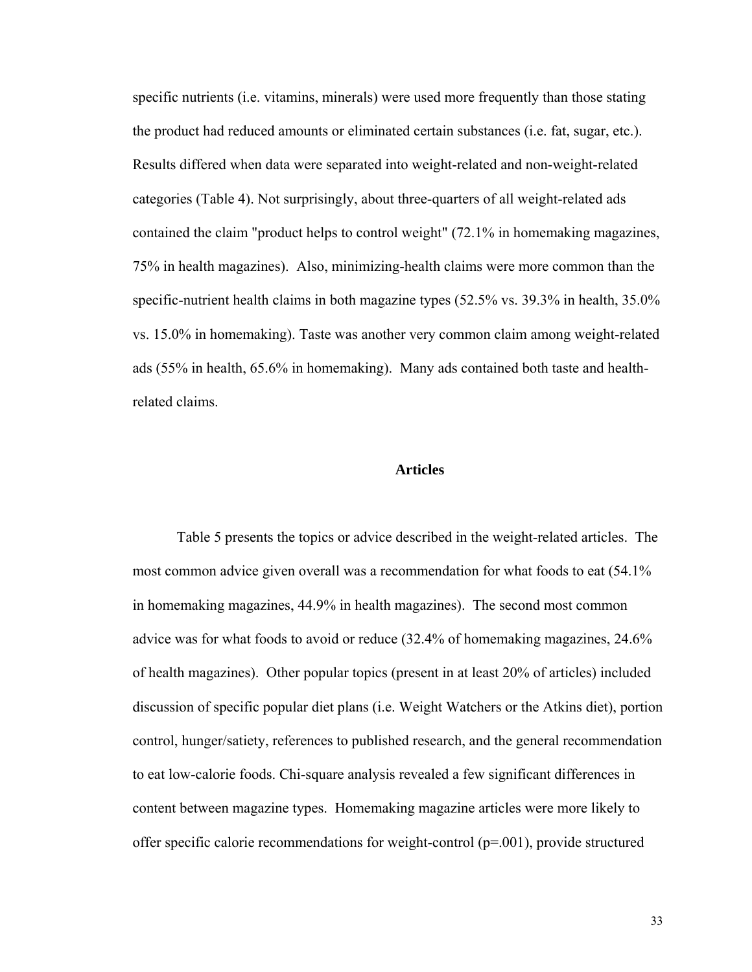specific nutrients (i.e. vitamins, minerals) were used more frequently than those stating the product had reduced amounts or eliminated certain substances (i.e. fat, sugar, etc.). Results differed when data were separated into weight-related and non-weight-related categories (Table 4). Not surprisingly, about three-quarters of all weight-related ads contained the claim "product helps to control weight" (72.1% in homemaking magazines, 75% in health magazines). Also, minimizing-health claims were more common than the specific-nutrient health claims in both magazine types (52.5% vs. 39.3% in health, 35.0% vs. 15.0% in homemaking). Taste was another very common claim among weight-related ads (55% in health, 65.6% in homemaking). Many ads contained both taste and healthrelated claims.

#### **Articles**

Table 5 presents the topics or advice described in the weight-related articles. The most common advice given overall was a recommendation for what foods to eat (54.1% in homemaking magazines, 44.9% in health magazines). The second most common advice was for what foods to avoid or reduce (32.4% of homemaking magazines, 24.6% of health magazines). Other popular topics (present in at least 20% of articles) included discussion of specific popular diet plans (i.e. Weight Watchers or the Atkins diet), portion control, hunger/satiety, references to published research, and the general recommendation to eat low-calorie foods. Chi-square analysis revealed a few significant differences in content between magazine types. Homemaking magazine articles were more likely to offer specific calorie recommendations for weight-control  $(p=001)$ , provide structured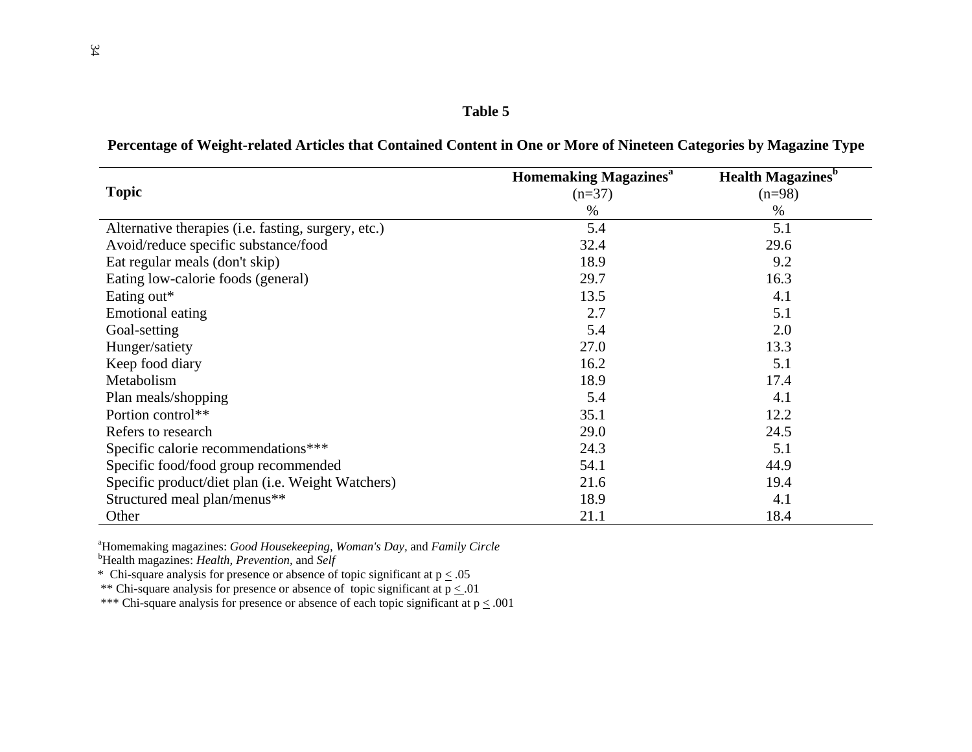| <b>Topic</b>                                        | <b>Homemaking Magazines</b> <sup>a</sup><br>$(n=37)$ | <b>Health Magazines</b> <sup>b</sup><br>$(n=98)$ |
|-----------------------------------------------------|------------------------------------------------------|--------------------------------------------------|
|                                                     | $\%$                                                 | $\%$                                             |
| Alternative therapies (i.e. fasting, surgery, etc.) | 5.4                                                  | 5.1                                              |
| Avoid/reduce specific substance/food                | 32.4                                                 | 29.6                                             |
| Eat regular meals (don't skip)                      | 18.9                                                 | 9.2                                              |
| Eating low-calorie foods (general)                  | 29.7                                                 | 16.3                                             |
| Eating out*                                         | 13.5                                                 | 4.1                                              |
| Emotional eating                                    | 2.7                                                  | 5.1                                              |
| Goal-setting                                        | 5.4                                                  | 2.0                                              |
| Hunger/satiety                                      | 27.0                                                 | 13.3                                             |
| Keep food diary                                     | 16.2                                                 | 5.1                                              |
| Metabolism                                          | 18.9                                                 | 17.4                                             |
| Plan meals/shopping                                 | 5.4                                                  | 4.1                                              |
| Portion control**                                   | 35.1                                                 | 12.2                                             |
| Refers to research                                  | 29.0                                                 | 24.5                                             |
| Specific calorie recommendations***                 | 24.3                                                 | 5.1                                              |
| Specific food/food group recommended                | 54.1                                                 | 44.9                                             |
| Specific product/diet plan (i.e. Weight Watchers)   | 21.6                                                 | 19.4                                             |
| Structured meal plan/menus**                        | 18.9                                                 | 4.1                                              |
| Other                                               | 21.1                                                 | 18.4                                             |

**Percentage of Weight-related Articles that Contained Content in One or More of Nineteen Categories by Magazine Type**

aHomemaking magazines: *Good Housekeeping, Woman's Day,* and *Family Circle* 

bHealth magazines: *Health, Prevention,* and *Self*

\* Chi-square analysis for presence or absence of topic significant at  $p \leq .05$ 

\*\* Chi-square analysis for presence or absence of topic significant at  $p \leq .01$ 

\*\*\* Chi-square analysis for presence or absence of each topic significant at  $p \leq .001$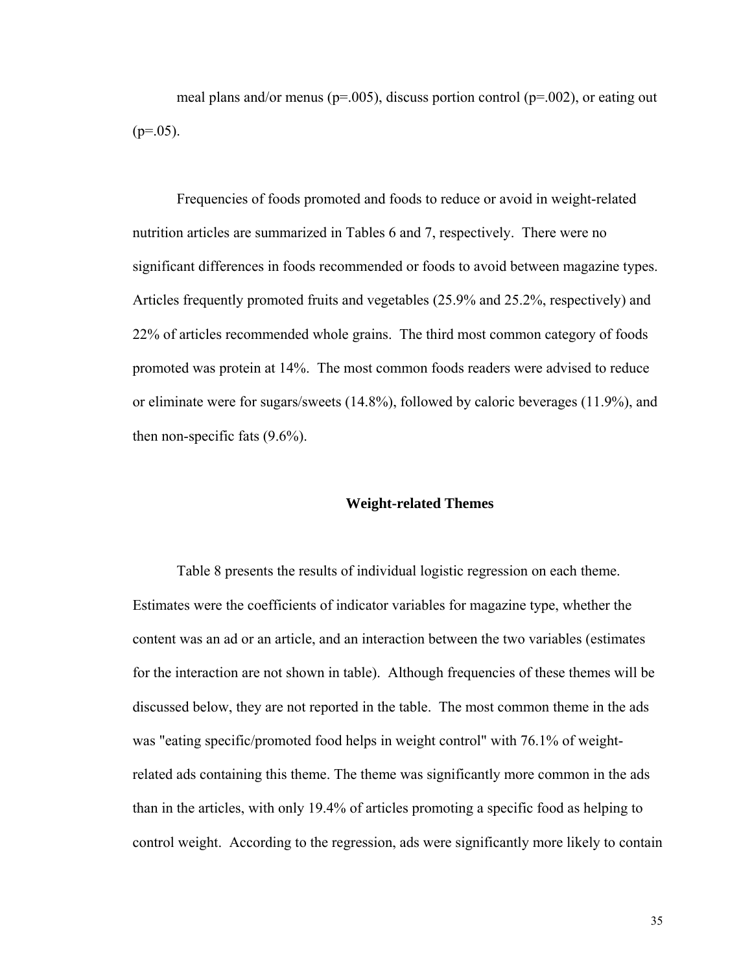meal plans and/or menus ( $p=0.005$ ), discuss portion control ( $p=0.002$ ), or eating out  $(p=0.05)$ .

Frequencies of foods promoted and foods to reduce or avoid in weight-related nutrition articles are summarized in Tables 6 and 7, respectively. There were no significant differences in foods recommended or foods to avoid between magazine types. Articles frequently promoted fruits and vegetables (25.9% and 25.2%, respectively) and 22% of articles recommended whole grains. The third most common category of foods promoted was protein at 14%. The most common foods readers were advised to reduce or eliminate were for sugars/sweets (14.8%), followed by caloric beverages (11.9%), and then non-specific fats (9.6%).

### **Weight-related Themes**

Table 8 presents the results of individual logistic regression on each theme. Estimates were the coefficients of indicator variables for magazine type, whether the content was an ad or an article, and an interaction between the two variables (estimates for the interaction are not shown in table). Although frequencies of these themes will be discussed below, they are not reported in the table. The most common theme in the ads was "eating specific/promoted food helps in weight control" with 76.1% of weightrelated ads containing this theme. The theme was significantly more common in the ads than in the articles, with only 19.4% of articles promoting a specific food as helping to control weight. According to the regression, ads were significantly more likely to contain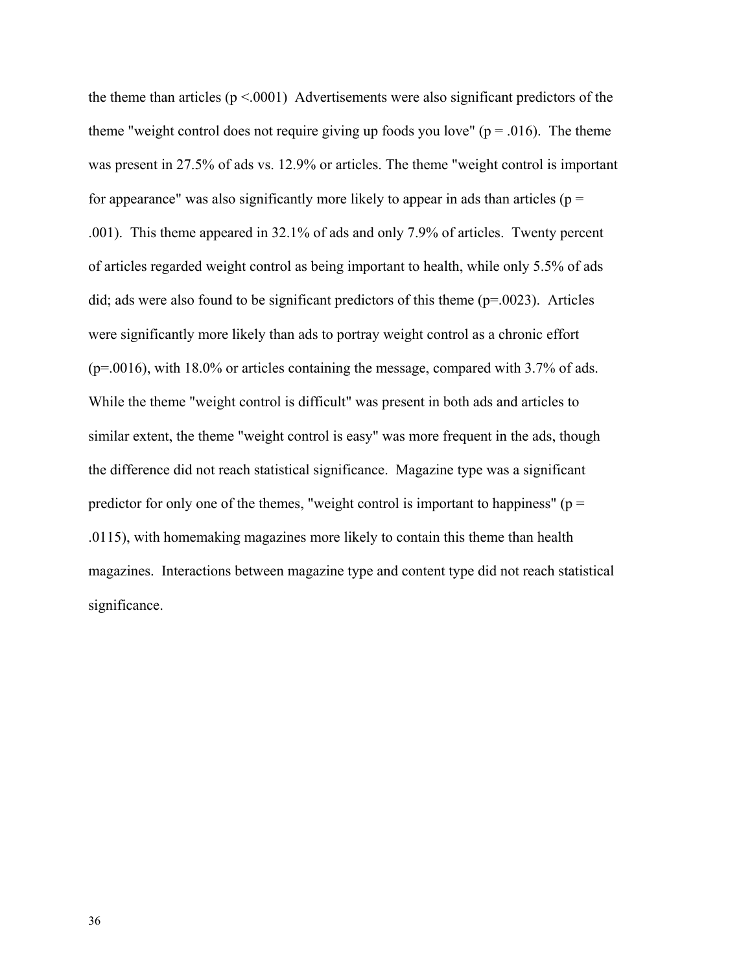the theme than articles ( $p < 0.0001$ ) Advertisements were also significant predictors of the theme "weight control does not require giving up foods you love" ( $p = .016$ ). The theme was present in 27.5% of ads vs. 12.9% or articles. The theme "weight control is important for appearance" was also significantly more likely to appear in ads than articles ( $p =$ .001). This theme appeared in 32.1% of ads and only 7.9% of articles. Twenty percent of articles regarded weight control as being important to health, while only 5.5% of ads did; ads were also found to be significant predictors of this theme (p=.0023). Articles were significantly more likely than ads to portray weight control as a chronic effort (p=.0016), with 18.0% or articles containing the message, compared with 3.7% of ads. While the theme "weight control is difficult" was present in both ads and articles to similar extent, the theme "weight control is easy" was more frequent in the ads, though the difference did not reach statistical significance. Magazine type was a significant predictor for only one of the themes, "weight control is important to happiness" ( $p =$ .0115), with homemaking magazines more likely to contain this theme than health magazines. Interactions between magazine type and content type did not reach statistical significance.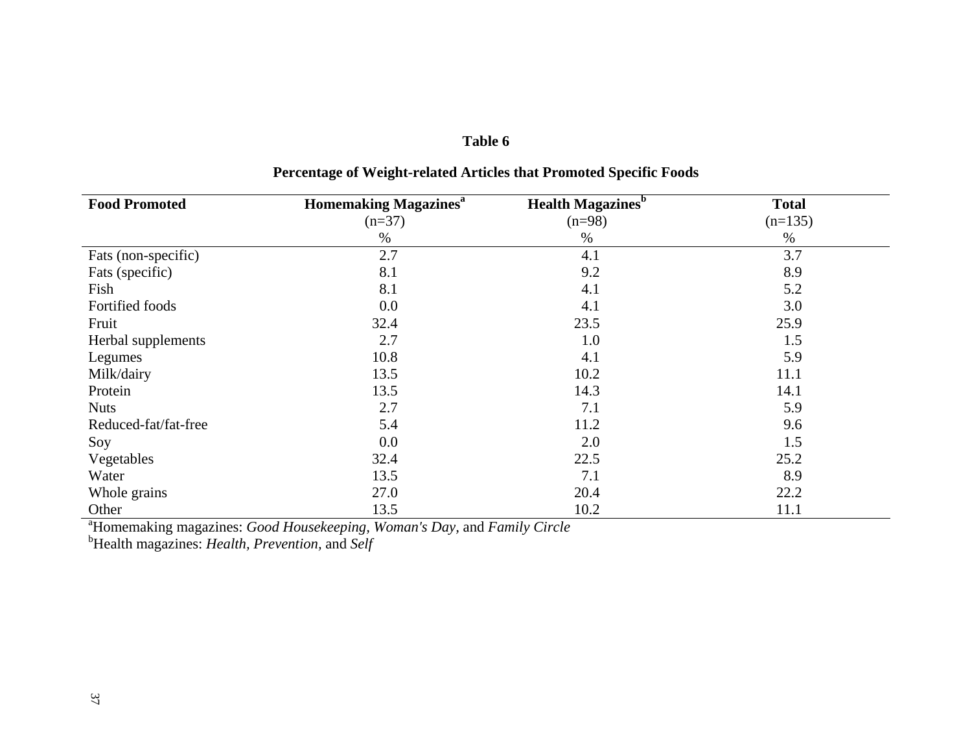| <b>Food Promoted</b> | <b>Homemaking Magazines</b> <sup>a</sup> | <b>Health Magazines</b> <sup>b</sup> | <b>Total</b> |
|----------------------|------------------------------------------|--------------------------------------|--------------|
|                      | $(n=37)$                                 | $(n=98)$                             | $(n=135)$    |
|                      | %                                        | $\%$                                 | $\%$         |
| Fats (non-specific)  | 2.7                                      | 4.1                                  | 3.7          |
| Fats (specific)      | 8.1                                      | 9.2                                  | 8.9          |
| Fish                 | 8.1                                      | 4.1                                  | 5.2          |
| Fortified foods      | 0.0                                      | 4.1                                  | 3.0          |
| Fruit                | 32.4                                     | 23.5                                 | 25.9         |
| Herbal supplements   | 2.7                                      | 1.0                                  | 1.5          |
| Legumes              | 10.8                                     | 4.1                                  | 5.9          |
| Milk/dairy           | 13.5                                     | 10.2                                 | 11.1         |
| Protein              | 13.5                                     | 14.3                                 | 14.1         |
| <b>Nuts</b>          | 2.7                                      | 7.1                                  | 5.9          |
| Reduced-fat/fat-free | 5.4                                      | 11.2                                 | 9.6          |
| Soy                  | 0.0                                      | 2.0                                  | 1.5          |
| Vegetables           | 32.4                                     | 22.5                                 | 25.2         |
| Water                | 13.5                                     | 7.1                                  | 8.9          |
| Whole grains         | 27.0                                     | 20.4                                 | 22.2         |
| Other                | 13.5                                     | 10.2                                 | 11.1         |

# **Percentage of Weight-related Articles that Promoted Specific Foods**

aHomemaking magazines: *Good Housekeeping, Woman's Day,* and *Family Circle* 

bHealth magazines: *Health, Prevention,* and *Self*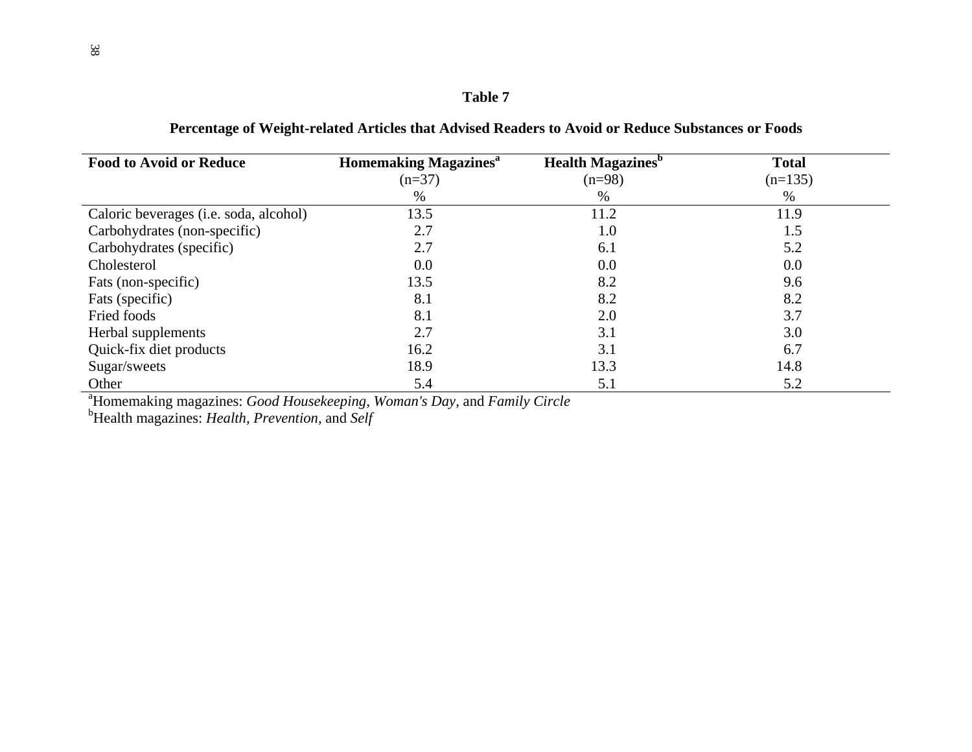| <b>Food to Avoid or Reduce</b>         | <b>Homemaking Magazines</b> <sup>a</sup> | <b>Health Magazines</b> <sup>b</sup> | <b>Total</b> |  |
|----------------------------------------|------------------------------------------|--------------------------------------|--------------|--|
|                                        | $(n=37)$                                 | $(n=98)$                             | $(n=135)$    |  |
|                                        | %                                        | %                                    | $\%$         |  |
| Caloric beverages (i.e. soda, alcohol) | 13.5                                     | 11.2                                 | 11.9         |  |
| Carbohydrates (non-specific)           | 2.7                                      | 1.0                                  | 1.5          |  |
| Carbohydrates (specific)               | 2.7                                      | 6.1                                  | 5.2          |  |
| Cholesterol                            | 0.0                                      | 0.0                                  | 0.0          |  |
| Fats (non-specific)                    | 13.5                                     | 8.2                                  | 9.6          |  |
| Fats (specific)                        | 8.1                                      | 8.2                                  | 8.2          |  |
| Fried foods                            | 8.1                                      | 2.0                                  | 3.7          |  |
| Herbal supplements                     | 2.7                                      | 3.1                                  | 3.0          |  |
| Quick-fix diet products                | 16.2                                     | 3.1                                  | 6.7          |  |
| Sugar/sweets                           | 18.9                                     | 13.3                                 | 14.8         |  |
| Other                                  | 5.4                                      | 5.1                                  | 5.2          |  |

# **Percentage of Weight-related Articles that Advised Readers to Avoid or Reduce Substances or Foods**

aHomemaking magazines: *Good Housekeeping, Woman's Day,* and *Family Circle* 

bHealth magazines: *Health, Prevention,* and *Self*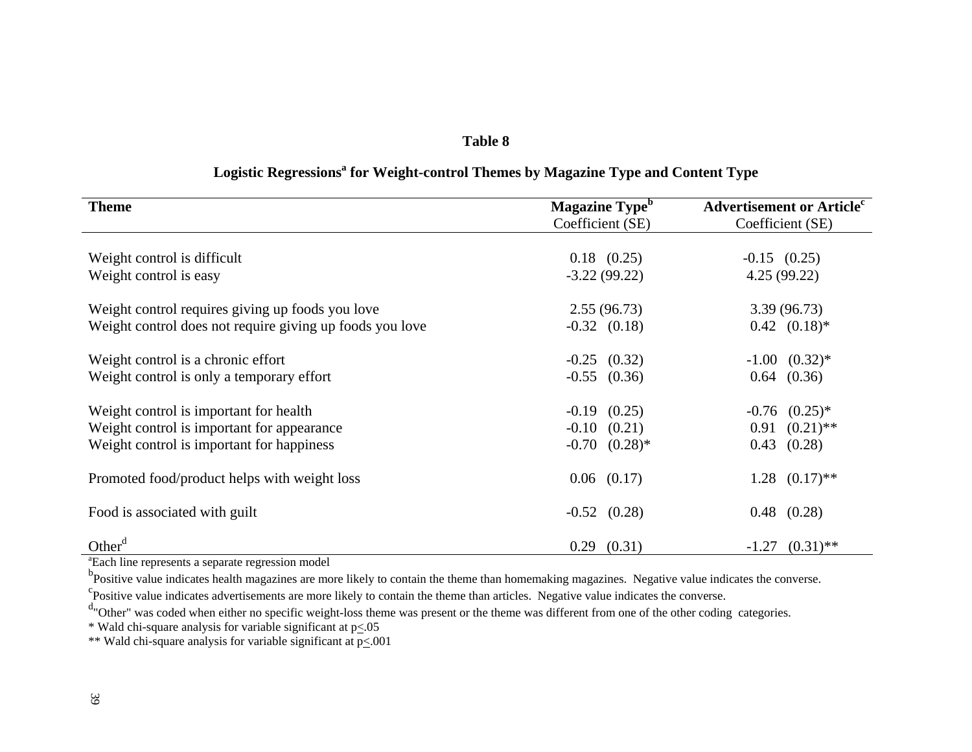# Logistic Regressions<sup>a</sup> for Weight-control Themes by Magazine Type and Content Type

| <b>Theme</b>                                             | Magazine Type <sup>b</sup> | <b>Advertisement or Article<sup>c</sup></b> |  |
|----------------------------------------------------------|----------------------------|---------------------------------------------|--|
|                                                          | Coefficient (SE)           | Coefficient (SE)                            |  |
| Weight control is difficult                              | $0.18$ $(0.25)$            | $-0.15$ $(0.25)$                            |  |
| Weight control is easy                                   | $-3.22(99.22)$             | 4.25(99.22)                                 |  |
|                                                          |                            |                                             |  |
| Weight control requires giving up foods you love         | 2.55(96.73)                | 3.39(96.73)                                 |  |
| Weight control does not require giving up foods you love | $-0.32$ $(0.18)$           | $0.42$ $(0.18)$ <sup>*</sup>                |  |
|                                                          |                            |                                             |  |
| Weight control is a chronic effort                       | $-0.25$ $(0.32)$           | $-1.00$ $(0.32)*$                           |  |
| Weight control is only a temporary effort                | $-0.55$ $(0.36)$           | $0.64$ $(0.36)$                             |  |
|                                                          |                            |                                             |  |
| Weight control is important for health.                  | $-0.19$ $(0.25)$           | $-0.76$ $(0.25)*$                           |  |
| Weight control is important for appearance               | $-0.10$ $(0.21)$           | $0.91 (0.21)$ **                            |  |
| Weight control is important for happiness                | $-0.70$ $(0.28)*$          | $0.43$ $(0.28)$                             |  |
|                                                          |                            |                                             |  |
| Promoted food/product helps with weight loss             | $0.06$ $(0.17)$            | $1.28$ $(0.17)$ **                          |  |
|                                                          |                            |                                             |  |
| Food is associated with guilt                            | $-0.52$ $(0.28)$           | $0.48$ $(0.28)$                             |  |
|                                                          |                            |                                             |  |
| Other <sup>d</sup>                                       | (0.31)<br>0.29             | $-1.27$ $(0.31)$ **                         |  |

<sup>a</sup>Each line represents a separate regression model

b<sub>Positive value indicates health magazines are more likely to contain the theme than homemaking magazines. Negative value indicates the converse.</sub>

<sup>c</sup>Positive value indicates advertisements are more likely to contain the theme than articles. Negative value indicates the converse.

<sup>d</sup>"Other" was coded when either no specific weight-loss theme was present or the theme was different from one of the other coding categories.

\* Wald chi-square analysis for variable significant at  $p \le 0.05$ 

\*\* Wald chi-square analysis for variable significant at  $p \leq 0.001$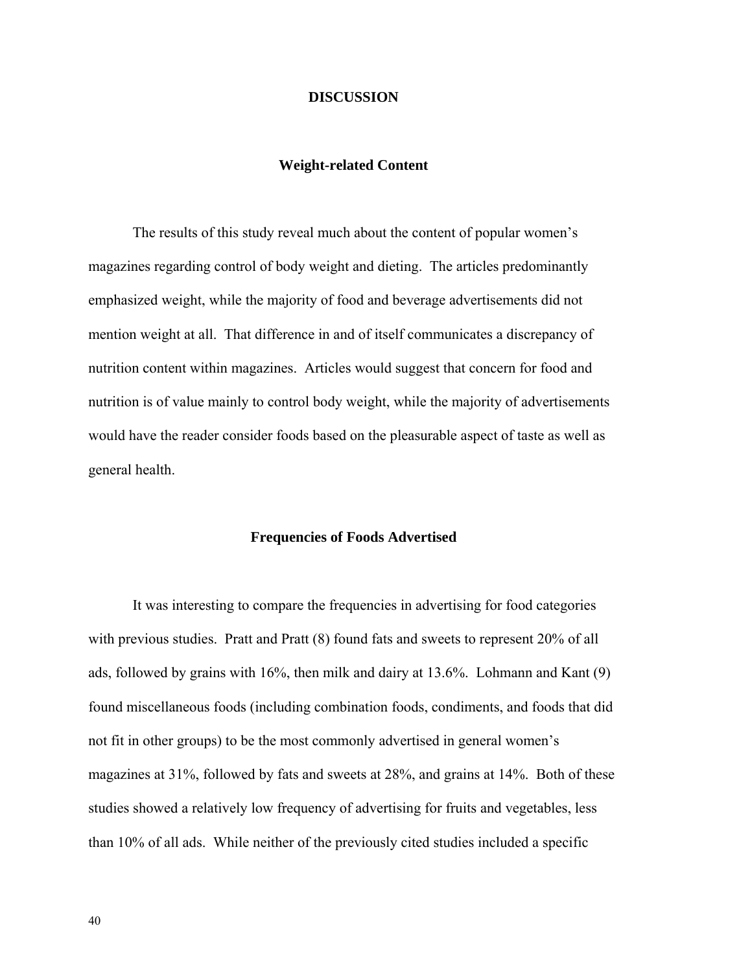### **DISCUSSION**

### **Weight-related Content**

 The results of this study reveal much about the content of popular women's magazines regarding control of body weight and dieting. The articles predominantly emphasized weight, while the majority of food and beverage advertisements did not mention weight at all. That difference in and of itself communicates a discrepancy of nutrition content within magazines. Articles would suggest that concern for food and nutrition is of value mainly to control body weight, while the majority of advertisements would have the reader consider foods based on the pleasurable aspect of taste as well as general health.

### **Frequencies of Foods Advertised**

 It was interesting to compare the frequencies in advertising for food categories with previous studies. Pratt and Pratt (8) found fats and sweets to represent 20% of all ads, followed by grains with 16%, then milk and dairy at 13.6%. Lohmann and Kant (9) found miscellaneous foods (including combination foods, condiments, and foods that did not fit in other groups) to be the most commonly advertised in general women's magazines at 31%, followed by fats and sweets at 28%, and grains at 14%. Both of these studies showed a relatively low frequency of advertising for fruits and vegetables, less than 10% of all ads. While neither of the previously cited studies included a specific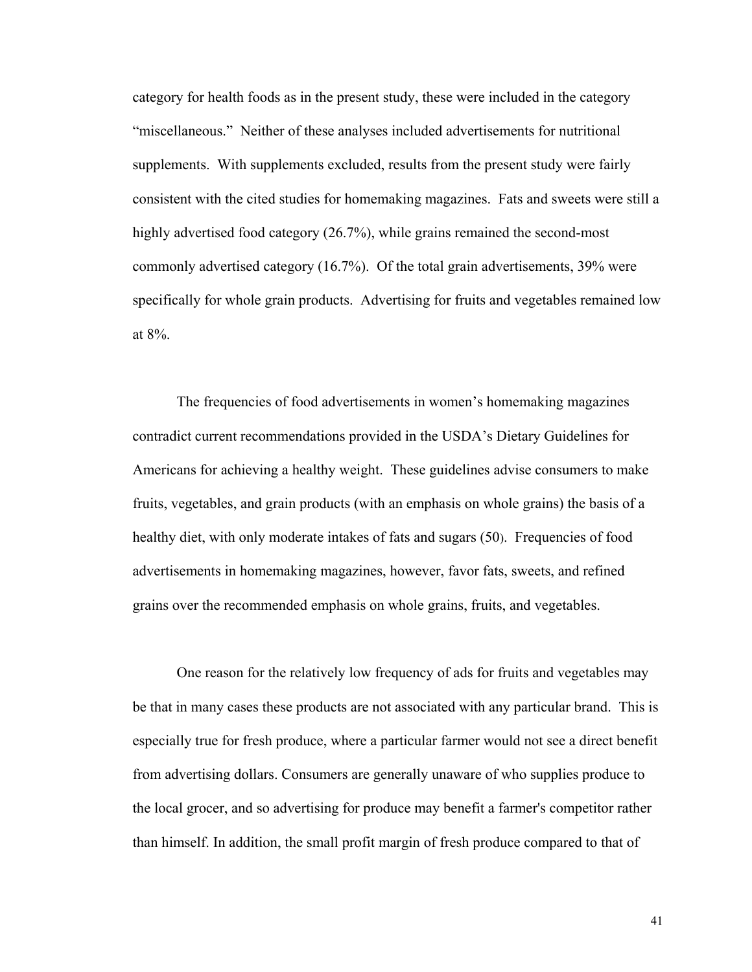category for health foods as in the present study, these were included in the category "miscellaneous." Neither of these analyses included advertisements for nutritional supplements. With supplements excluded, results from the present study were fairly consistent with the cited studies for homemaking magazines. Fats and sweets were still a highly advertised food category (26.7%), while grains remained the second-most commonly advertised category (16.7%). Of the total grain advertisements, 39% were specifically for whole grain products. Advertising for fruits and vegetables remained low at 8%.

The frequencies of food advertisements in women's homemaking magazines contradict current recommendations provided in the USDA's Dietary Guidelines for Americans for achieving a healthy weight. These guidelines advise consumers to make fruits, vegetables, and grain products (with an emphasis on whole grains) the basis of a healthy diet, with only moderate intakes of fats and sugars (50). Frequencies of food advertisements in homemaking magazines, however, favor fats, sweets, and refined grains over the recommended emphasis on whole grains, fruits, and vegetables.

 One reason for the relatively low frequency of ads for fruits and vegetables may be that in many cases these products are not associated with any particular brand. This is especially true for fresh produce, where a particular farmer would not see a direct benefit from advertising dollars. Consumers are generally unaware of who supplies produce to the local grocer, and so advertising for produce may benefit a farmer's competitor rather than himself. In addition, the small profit margin of fresh produce compared to that of

41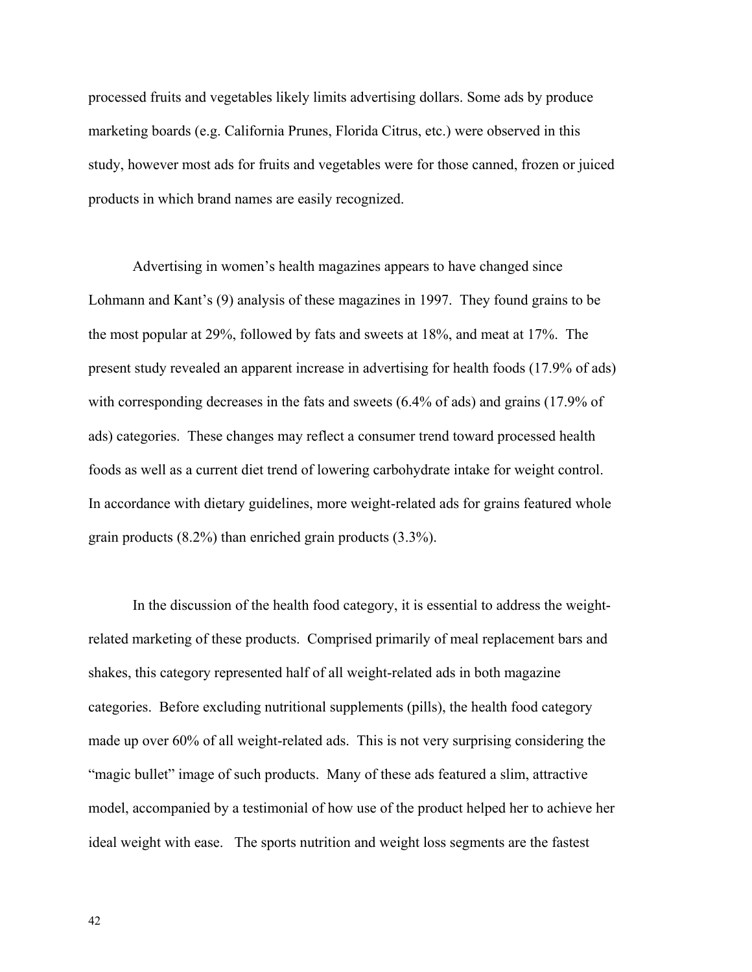processed fruits and vegetables likely limits advertising dollars. Some ads by produce marketing boards (e.g. California Prunes, Florida Citrus, etc.) were observed in this study, however most ads for fruits and vegetables were for those canned, frozen or juiced products in which brand names are easily recognized.

Advertising in women's health magazines appears to have changed since Lohmann and Kant's (9) analysis of these magazines in 1997. They found grains to be the most popular at 29%, followed by fats and sweets at 18%, and meat at 17%. The present study revealed an apparent increase in advertising for health foods (17.9% of ads) with corresponding decreases in the fats and sweets (6.4% of ads) and grains (17.9% of ads) categories. These changes may reflect a consumer trend toward processed health foods as well as a current diet trend of lowering carbohydrate intake for weight control. In accordance with dietary guidelines, more weight-related ads for grains featured whole grain products (8.2%) than enriched grain products (3.3%).

In the discussion of the health food category, it is essential to address the weightrelated marketing of these products. Comprised primarily of meal replacement bars and shakes, this category represented half of all weight-related ads in both magazine categories. Before excluding nutritional supplements (pills), the health food category made up over 60% of all weight-related ads. This is not very surprising considering the "magic bullet" image of such products. Many of these ads featured a slim, attractive model, accompanied by a testimonial of how use of the product helped her to achieve her ideal weight with ease. The sports nutrition and weight loss segments are the fastest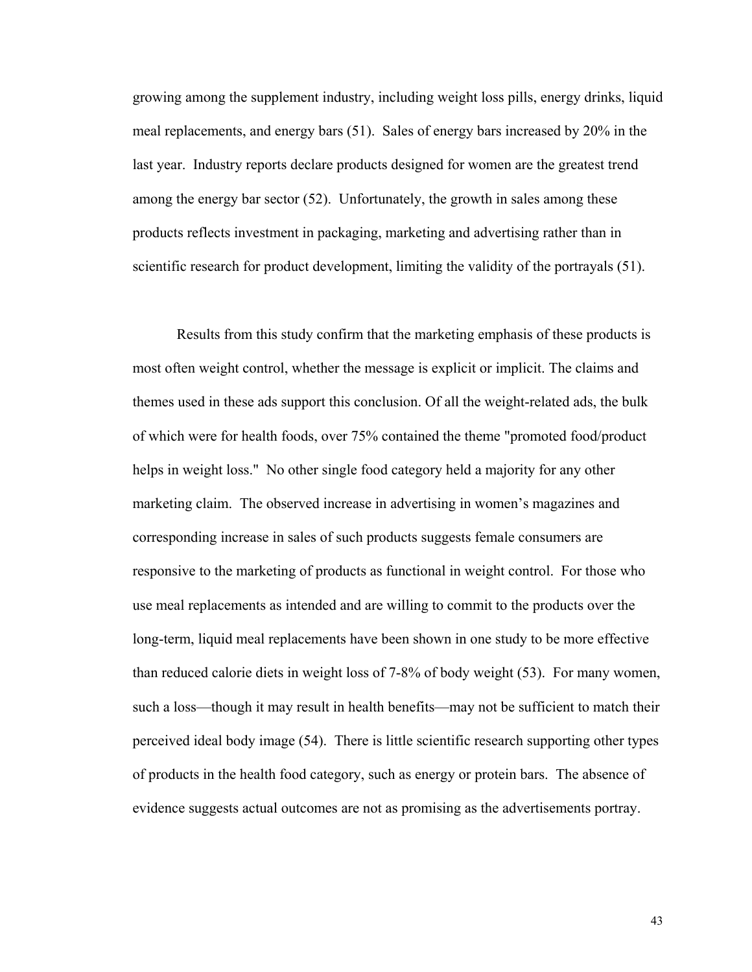growing among the supplement industry, including weight loss pills, energy drinks, liquid meal replacements, and energy bars (51). Sales of energy bars increased by 20% in the last year. Industry reports declare products designed for women are the greatest trend among the energy bar sector (52). Unfortunately, the growth in sales among these products reflects investment in packaging, marketing and advertising rather than in scientific research for product development, limiting the validity of the portrayals (51).

Results from this study confirm that the marketing emphasis of these products is most often weight control, whether the message is explicit or implicit. The claims and themes used in these ads support this conclusion. Of all the weight-related ads, the bulk of which were for health foods, over 75% contained the theme "promoted food/product helps in weight loss." No other single food category held a majority for any other marketing claim. The observed increase in advertising in women's magazines and corresponding increase in sales of such products suggests female consumers are responsive to the marketing of products as functional in weight control. For those who use meal replacements as intended and are willing to commit to the products over the long-term, liquid meal replacements have been shown in one study to be more effective than reduced calorie diets in weight loss of 7-8% of body weight (53). For many women, such a loss—though it may result in health benefits—may not be sufficient to match their perceived ideal body image (54). There is little scientific research supporting other types of products in the health food category, such as energy or protein bars. The absence of evidence suggests actual outcomes are not as promising as the advertisements portray.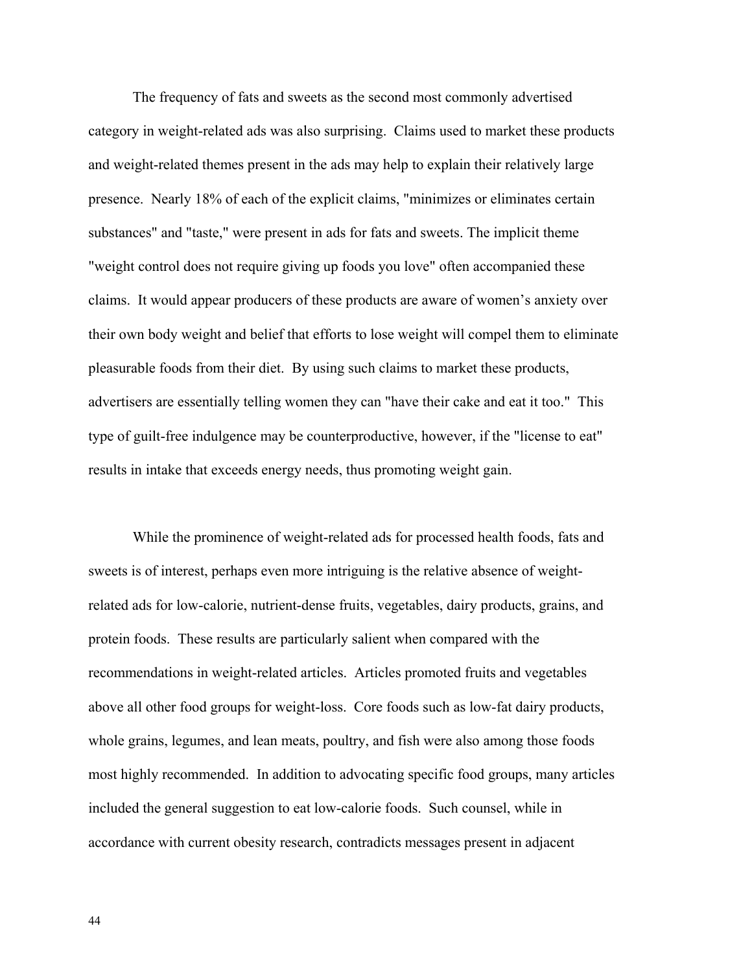The frequency of fats and sweets as the second most commonly advertised category in weight-related ads was also surprising. Claims used to market these products and weight-related themes present in the ads may help to explain their relatively large presence. Nearly 18% of each of the explicit claims, "minimizes or eliminates certain substances" and "taste," were present in ads for fats and sweets. The implicit theme "weight control does not require giving up foods you love" often accompanied these claims. It would appear producers of these products are aware of women's anxiety over their own body weight and belief that efforts to lose weight will compel them to eliminate pleasurable foods from their diet. By using such claims to market these products, advertisers are essentially telling women they can "have their cake and eat it too." This type of guilt-free indulgence may be counterproductive, however, if the "license to eat" results in intake that exceeds energy needs, thus promoting weight gain.

While the prominence of weight-related ads for processed health foods, fats and sweets is of interest, perhaps even more intriguing is the relative absence of weightrelated ads for low-calorie, nutrient-dense fruits, vegetables, dairy products, grains, and protein foods. These results are particularly salient when compared with the recommendations in weight-related articles. Articles promoted fruits and vegetables above all other food groups for weight-loss. Core foods such as low-fat dairy products, whole grains, legumes, and lean meats, poultry, and fish were also among those foods most highly recommended. In addition to advocating specific food groups, many articles included the general suggestion to eat low-calorie foods. Such counsel, while in accordance with current obesity research, contradicts messages present in adjacent

44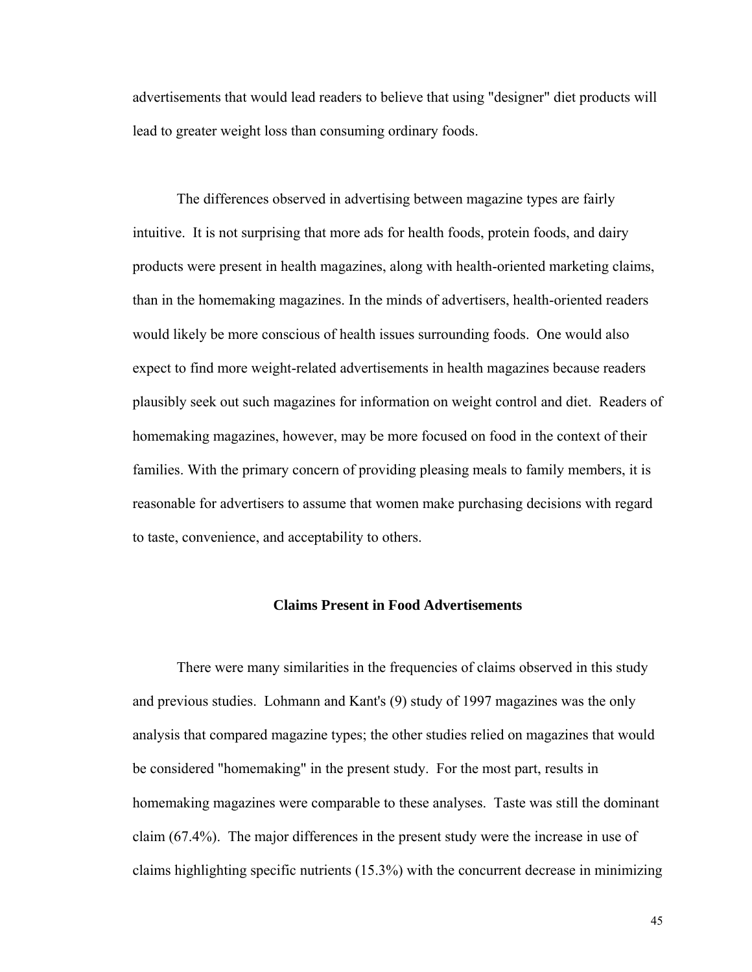advertisements that would lead readers to believe that using "designer" diet products will lead to greater weight loss than consuming ordinary foods.

The differences observed in advertising between magazine types are fairly intuitive. It is not surprising that more ads for health foods, protein foods, and dairy products were present in health magazines, along with health-oriented marketing claims, than in the homemaking magazines. In the minds of advertisers, health-oriented readers would likely be more conscious of health issues surrounding foods. One would also expect to find more weight-related advertisements in health magazines because readers plausibly seek out such magazines for information on weight control and diet. Readers of homemaking magazines, however, may be more focused on food in the context of their families. With the primary concern of providing pleasing meals to family members, it is reasonable for advertisers to assume that women make purchasing decisions with regard to taste, convenience, and acceptability to others.

### **Claims Present in Food Advertisements**

There were many similarities in the frequencies of claims observed in this study and previous studies. Lohmann and Kant's (9) study of 1997 magazines was the only analysis that compared magazine types; the other studies relied on magazines that would be considered "homemaking" in the present study. For the most part, results in homemaking magazines were comparable to these analyses. Taste was still the dominant claim (67.4%). The major differences in the present study were the increase in use of claims highlighting specific nutrients (15.3%) with the concurrent decrease in minimizing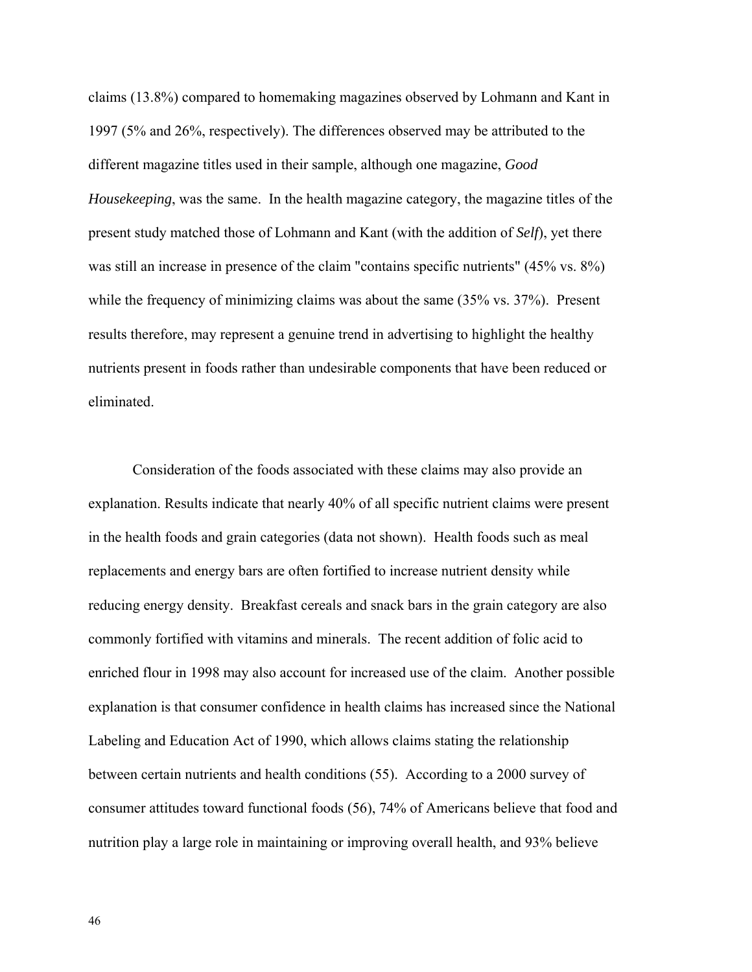claims (13.8%) compared to homemaking magazines observed by Lohmann and Kant in 1997 (5% and 26%, respectively). The differences observed may be attributed to the different magazine titles used in their sample, although one magazine, *Good Housekeeping*, was the same. In the health magazine category, the magazine titles of the present study matched those of Lohmann and Kant (with the addition of *Self*), yet there was still an increase in presence of the claim "contains specific nutrients" (45% vs. 8%) while the frequency of minimizing claims was about the same (35% vs. 37%). Present results therefore, may represent a genuine trend in advertising to highlight the healthy nutrients present in foods rather than undesirable components that have been reduced or eliminated.

Consideration of the foods associated with these claims may also provide an explanation. Results indicate that nearly 40% of all specific nutrient claims were present in the health foods and grain categories (data not shown). Health foods such as meal replacements and energy bars are often fortified to increase nutrient density while reducing energy density. Breakfast cereals and snack bars in the grain category are also commonly fortified with vitamins and minerals. The recent addition of folic acid to enriched flour in 1998 may also account for increased use of the claim. Another possible explanation is that consumer confidence in health claims has increased since the National Labeling and Education Act of 1990, which allows claims stating the relationship between certain nutrients and health conditions (55). According to a 2000 survey of consumer attitudes toward functional foods (56), 74% of Americans believe that food and nutrition play a large role in maintaining or improving overall health, and 93% believe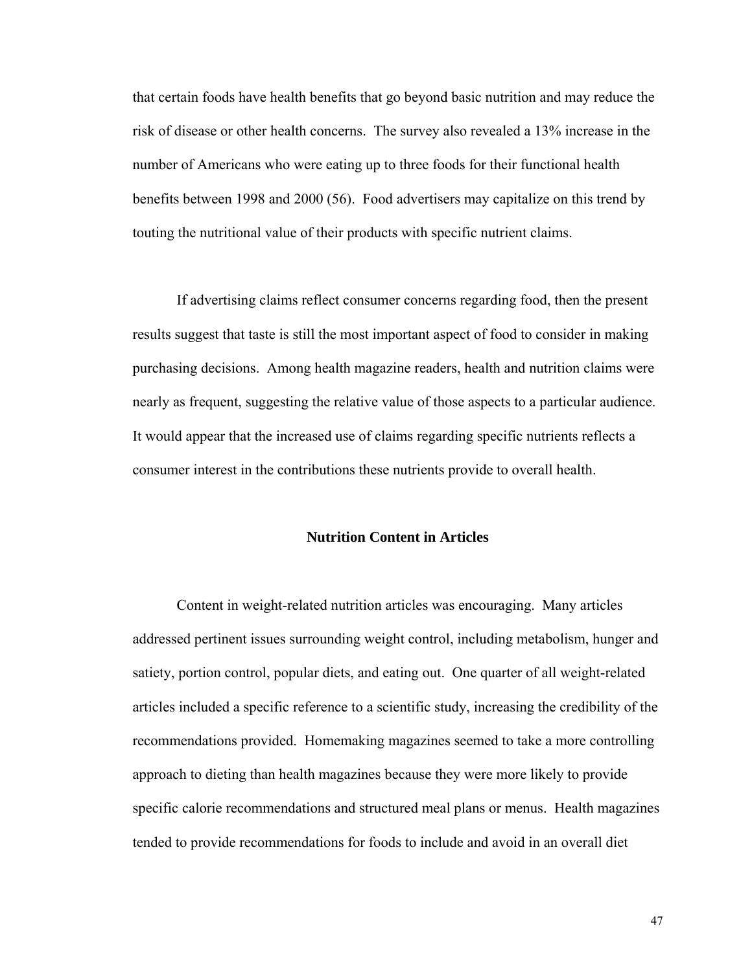that certain foods have health benefits that go beyond basic nutrition and may reduce the risk of disease or other health concerns. The survey also revealed a 13% increase in the number of Americans who were eating up to three foods for their functional health benefits between 1998 and 2000 (56). Food advertisers may capitalize on this trend by touting the nutritional value of their products with specific nutrient claims.

If advertising claims reflect consumer concerns regarding food, then the present results suggest that taste is still the most important aspect of food to consider in making purchasing decisions. Among health magazine readers, health and nutrition claims were nearly as frequent, suggesting the relative value of those aspects to a particular audience. It would appear that the increased use of claims regarding specific nutrients reflects a consumer interest in the contributions these nutrients provide to overall health.

### **Nutrition Content in Articles**

Content in weight-related nutrition articles was encouraging. Many articles addressed pertinent issues surrounding weight control, including metabolism, hunger and satiety, portion control, popular diets, and eating out. One quarter of all weight-related articles included a specific reference to a scientific study, increasing the credibility of the recommendations provided. Homemaking magazines seemed to take a more controlling approach to dieting than health magazines because they were more likely to provide specific calorie recommendations and structured meal plans or menus. Health magazines tended to provide recommendations for foods to include and avoid in an overall diet

47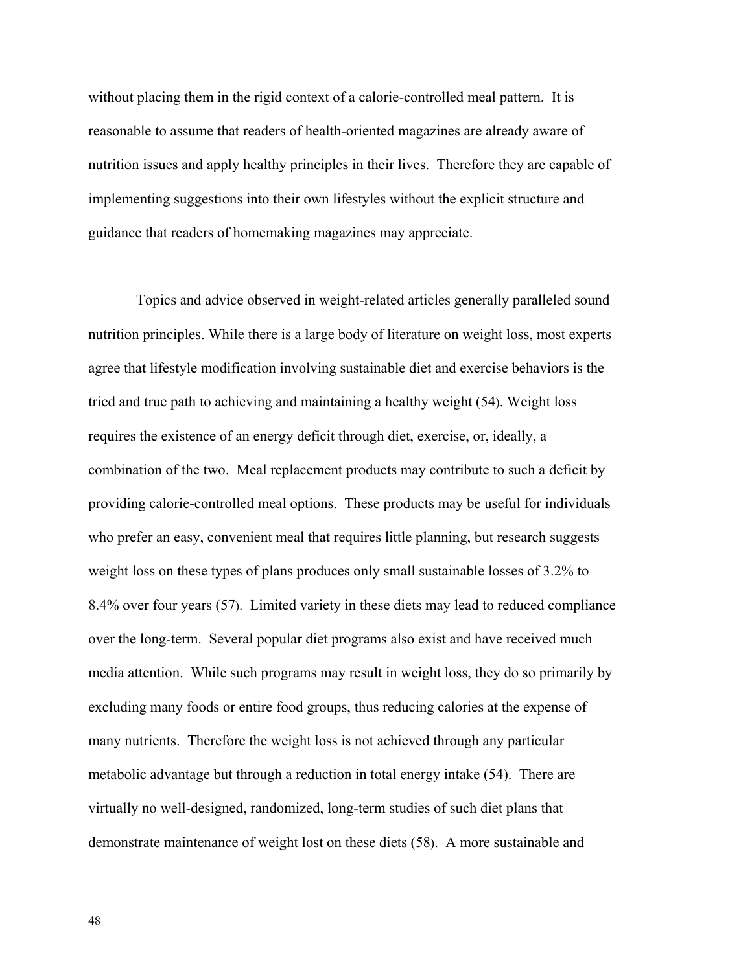without placing them in the rigid context of a calorie-controlled meal pattern. It is reasonable to assume that readers of health-oriented magazines are already aware of nutrition issues and apply healthy principles in their lives. Therefore they are capable of implementing suggestions into their own lifestyles without the explicit structure and guidance that readers of homemaking magazines may appreciate.

 Topics and advice observed in weight-related articles generally paralleled sound nutrition principles. While there is a large body of literature on weight loss, most experts agree that lifestyle modification involving sustainable diet and exercise behaviors is the tried and true path to achieving and maintaining a healthy weight (54). Weight loss requires the existence of an energy deficit through diet, exercise, or, ideally, a combination of the two. Meal replacement products may contribute to such a deficit by providing calorie-controlled meal options. These products may be useful for individuals who prefer an easy, convenient meal that requires little planning, but research suggests weight loss on these types of plans produces only small sustainable losses of 3.2% to 8.4% over four years (57). Limited variety in these diets may lead to reduced compliance over the long-term. Several popular diet programs also exist and have received much media attention. While such programs may result in weight loss, they do so primarily by excluding many foods or entire food groups, thus reducing calories at the expense of many nutrients. Therefore the weight loss is not achieved through any particular metabolic advantage but through a reduction in total energy intake (54). There are virtually no well-designed, randomized, long-term studies of such diet plans that demonstrate maintenance of weight lost on these diets (58). A more sustainable and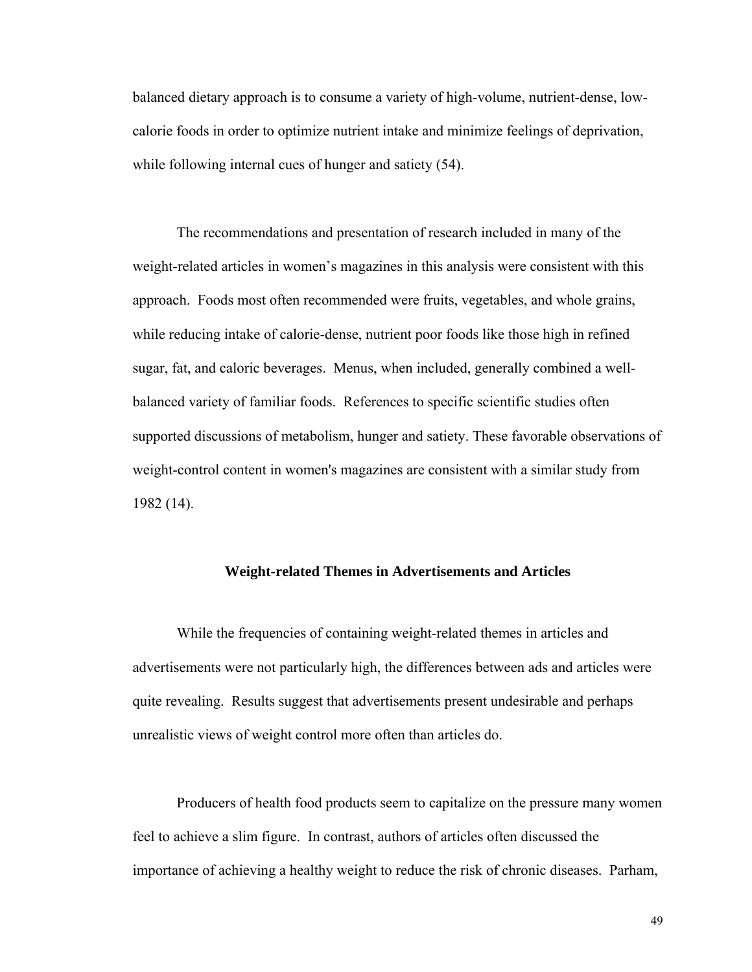balanced dietary approach is to consume a variety of high-volume, nutrient-dense, lowcalorie foods in order to optimize nutrient intake and minimize feelings of deprivation, while following internal cues of hunger and satiety (54).

The recommendations and presentation of research included in many of the weight-related articles in women's magazines in this analysis were consistent with this approach. Foods most often recommended were fruits, vegetables, and whole grains, while reducing intake of calorie-dense, nutrient poor foods like those high in refined sugar, fat, and caloric beverages. Menus, when included, generally combined a wellbalanced variety of familiar foods. References to specific scientific studies often supported discussions of metabolism, hunger and satiety. These favorable observations of weight-control content in women's magazines are consistent with a similar study from 1982 (14).

## **Weight-related Themes in Advertisements and Articles**

 While the frequencies of containing weight-related themes in articles and advertisements were not particularly high, the differences between ads and articles were quite revealing. Results suggest that advertisements present undesirable and perhaps unrealistic views of weight control more often than articles do.

Producers of health food products seem to capitalize on the pressure many women feel to achieve a slim figure. In contrast, authors of articles often discussed the importance of achieving a healthy weight to reduce the risk of chronic diseases. Parham,

49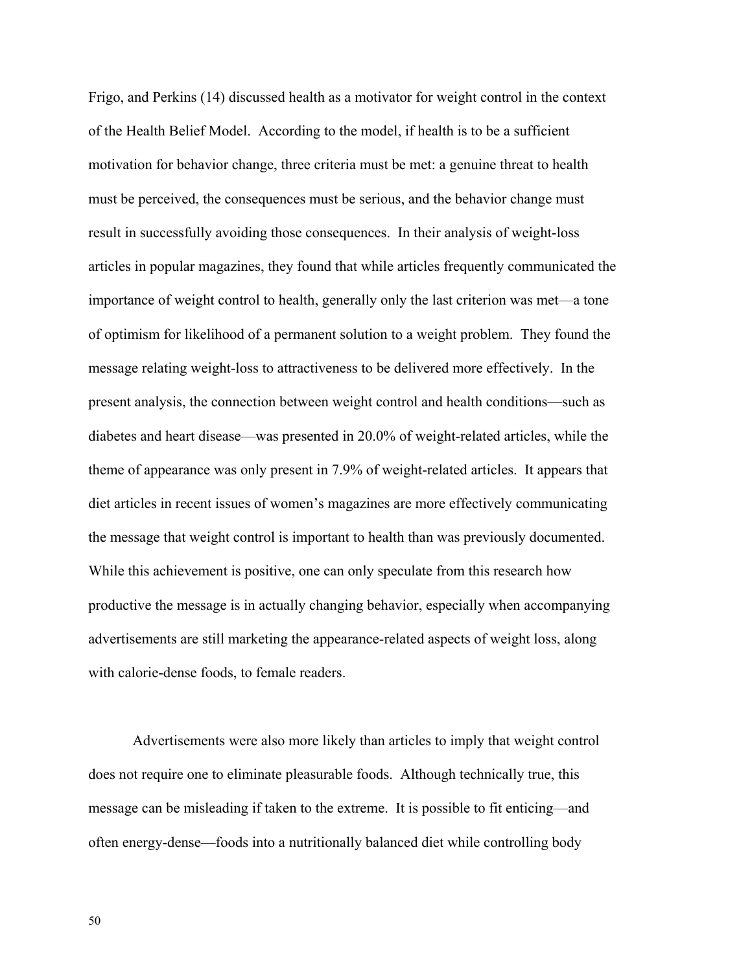Frigo, and Perkins (14) discussed health as a motivator for weight control in the context of the Health Belief Model. According to the model, if health is to be a sufficient motivation for behavior change, three criteria must be met: a genuine threat to health must be perceived, the consequences must be serious, and the behavior change must result in successfully avoiding those consequences. In their analysis of weight-loss articles in popular magazines, they found that while articles frequently communicated the importance of weight control to health, generally only the last criterion was met—a tone of optimism for likelihood of a permanent solution to a weight problem. They found the message relating weight-loss to attractiveness to be delivered more effectively. In the present analysis, the connection between weight control and health conditions—such as diabetes and heart disease—was presented in 20.0% of weight-related articles, while the theme of appearance was only present in 7.9% of weight-related articles. It appears that diet articles in recent issues of women's magazines are more effectively communicating the message that weight control is important to health than was previously documented. While this achievement is positive, one can only speculate from this research how productive the message is in actually changing behavior, especially when accompanying advertisements are still marketing the appearance-related aspects of weight loss, along with calorie-dense foods, to female readers.

Advertisements were also more likely than articles to imply that weight control does not require one to eliminate pleasurable foods. Although technically true, this message can be misleading if taken to the extreme. It is possible to fit enticing—and often energy-dense—foods into a nutritionally balanced diet while controlling body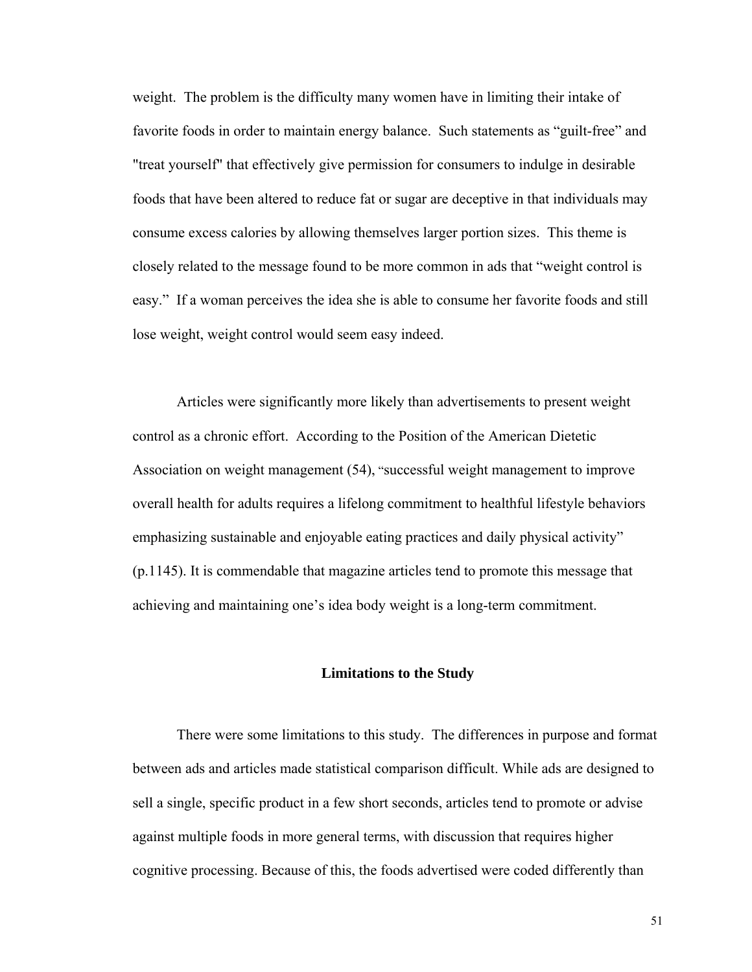weight. The problem is the difficulty many women have in limiting their intake of favorite foods in order to maintain energy balance. Such statements as "guilt-free" and "treat yourself" that effectively give permission for consumers to indulge in desirable foods that have been altered to reduce fat or sugar are deceptive in that individuals may consume excess calories by allowing themselves larger portion sizes. This theme is closely related to the message found to be more common in ads that "weight control is easy." If a woman perceives the idea she is able to consume her favorite foods and still lose weight, weight control would seem easy indeed.

Articles were significantly more likely than advertisements to present weight control as a chronic effort. According to the Position of the American Dietetic Association on weight management (54), "successful weight management to improve overall health for adults requires a lifelong commitment to healthful lifestyle behaviors emphasizing sustainable and enjoyable eating practices and daily physical activity" (p.1145). It is commendable that magazine articles tend to promote this message that achieving and maintaining one's idea body weight is a long-term commitment.

#### **Limitations to the Study**

 There were some limitations to this study. The differences in purpose and format between ads and articles made statistical comparison difficult. While ads are designed to sell a single, specific product in a few short seconds, articles tend to promote or advise against multiple foods in more general terms, with discussion that requires higher cognitive processing. Because of this, the foods advertised were coded differently than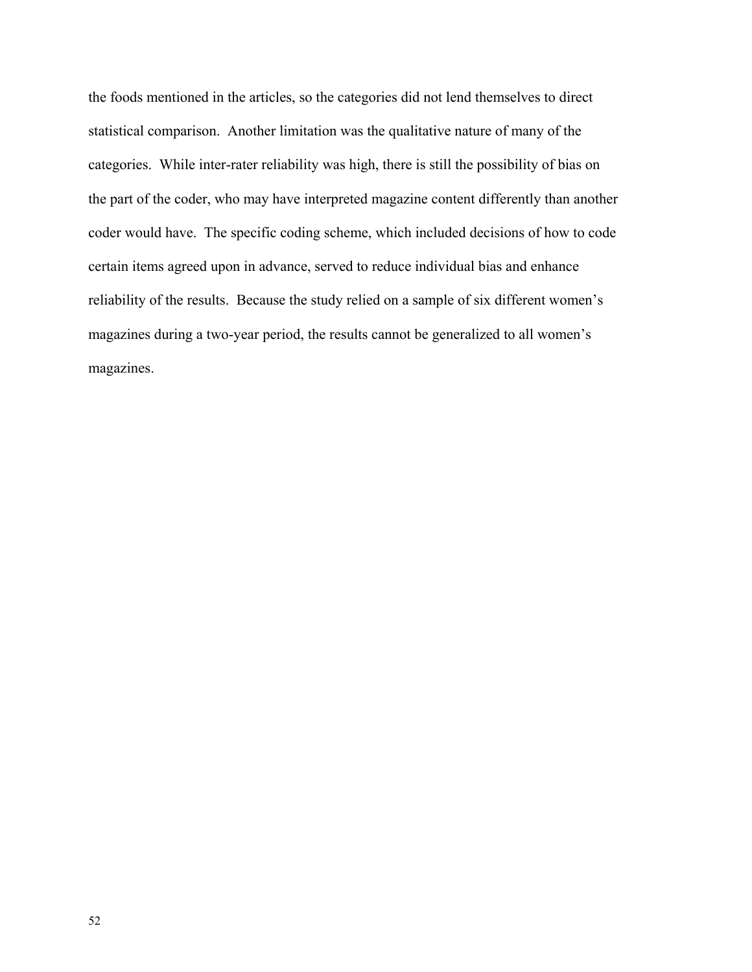the foods mentioned in the articles, so the categories did not lend themselves to direct statistical comparison. Another limitation was the qualitative nature of many of the categories. While inter-rater reliability was high, there is still the possibility of bias on the part of the coder, who may have interpreted magazine content differently than another coder would have. The specific coding scheme, which included decisions of how to code certain items agreed upon in advance, served to reduce individual bias and enhance reliability of the results. Because the study relied on a sample of six different women's magazines during a two-year period, the results cannot be generalized to all women's magazines.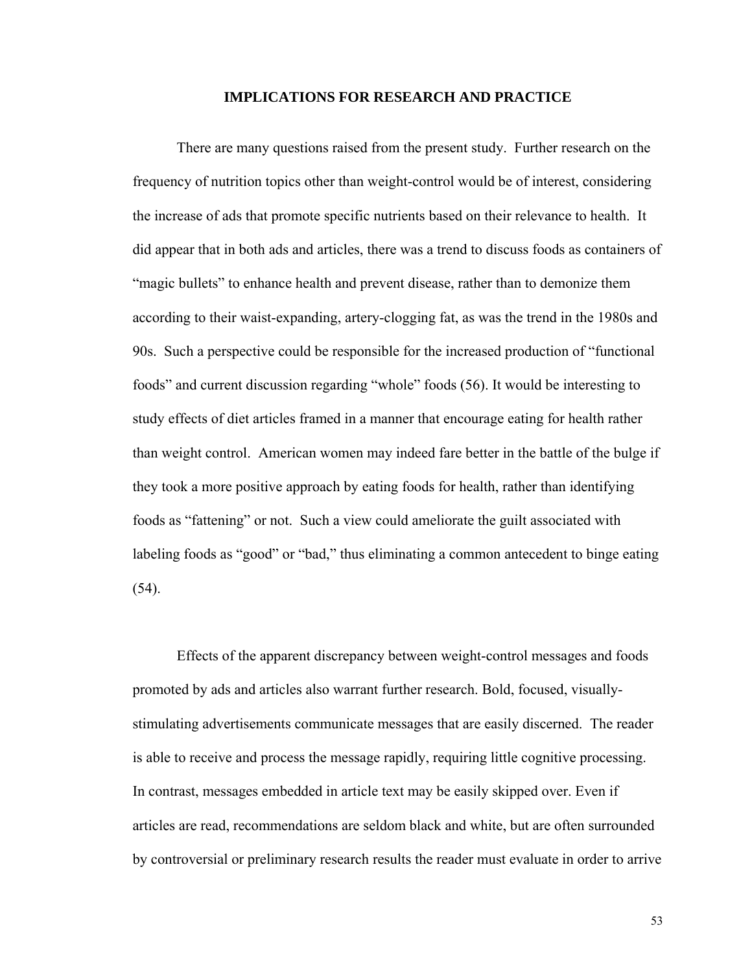#### **IMPLICATIONS FOR RESEARCH AND PRACTICE**

There are many questions raised from the present study. Further research on the frequency of nutrition topics other than weight-control would be of interest, considering the increase of ads that promote specific nutrients based on their relevance to health. It did appear that in both ads and articles, there was a trend to discuss foods as containers of "magic bullets" to enhance health and prevent disease, rather than to demonize them according to their waist-expanding, artery-clogging fat, as was the trend in the 1980s and 90s. Such a perspective could be responsible for the increased production of "functional foods" and current discussion regarding "whole" foods (56). It would be interesting to study effects of diet articles framed in a manner that encourage eating for health rather than weight control. American women may indeed fare better in the battle of the bulge if they took a more positive approach by eating foods for health, rather than identifying foods as "fattening" or not. Such a view could ameliorate the guilt associated with labeling foods as "good" or "bad," thus eliminating a common antecedent to binge eating (54).

Effects of the apparent discrepancy between weight-control messages and foods promoted by ads and articles also warrant further research. Bold, focused, visuallystimulating advertisements communicate messages that are easily discerned. The reader is able to receive and process the message rapidly, requiring little cognitive processing. In contrast, messages embedded in article text may be easily skipped over. Even if articles are read, recommendations are seldom black and white, but are often surrounded by controversial or preliminary research results the reader must evaluate in order to arrive

53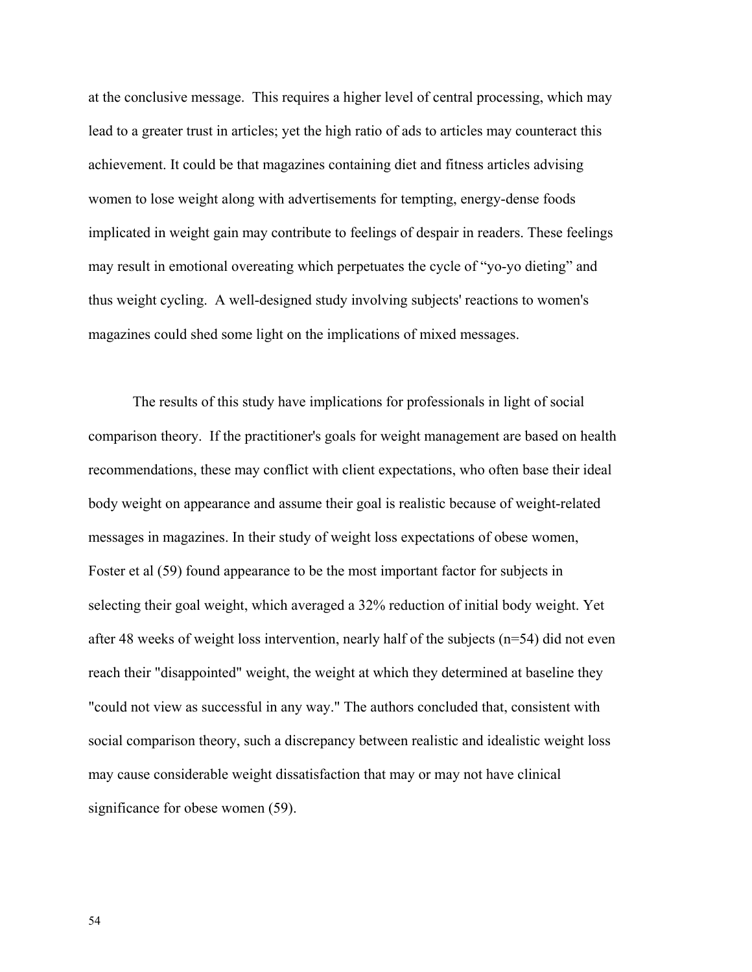at the conclusive message. This requires a higher level of central processing, which may lead to a greater trust in articles; yet the high ratio of ads to articles may counteract this achievement. It could be that magazines containing diet and fitness articles advising women to lose weight along with advertisements for tempting, energy-dense foods implicated in weight gain may contribute to feelings of despair in readers. These feelings may result in emotional overeating which perpetuates the cycle of "yo-yo dieting" and thus weight cycling. A well-designed study involving subjects' reactions to women's magazines could shed some light on the implications of mixed messages.

The results of this study have implications for professionals in light of social comparison theory. If the practitioner's goals for weight management are based on health recommendations, these may conflict with client expectations, who often base their ideal body weight on appearance and assume their goal is realistic because of weight-related messages in magazines. In their study of weight loss expectations of obese women, Foster et al (59) found appearance to be the most important factor for subjects in selecting their goal weight, which averaged a 32% reduction of initial body weight. Yet after 48 weeks of weight loss intervention, nearly half of the subjects (n=54) did not even reach their "disappointed" weight, the weight at which they determined at baseline they "could not view as successful in any way." The authors concluded that, consistent with social comparison theory, such a discrepancy between realistic and idealistic weight loss may cause considerable weight dissatisfaction that may or may not have clinical significance for obese women (59).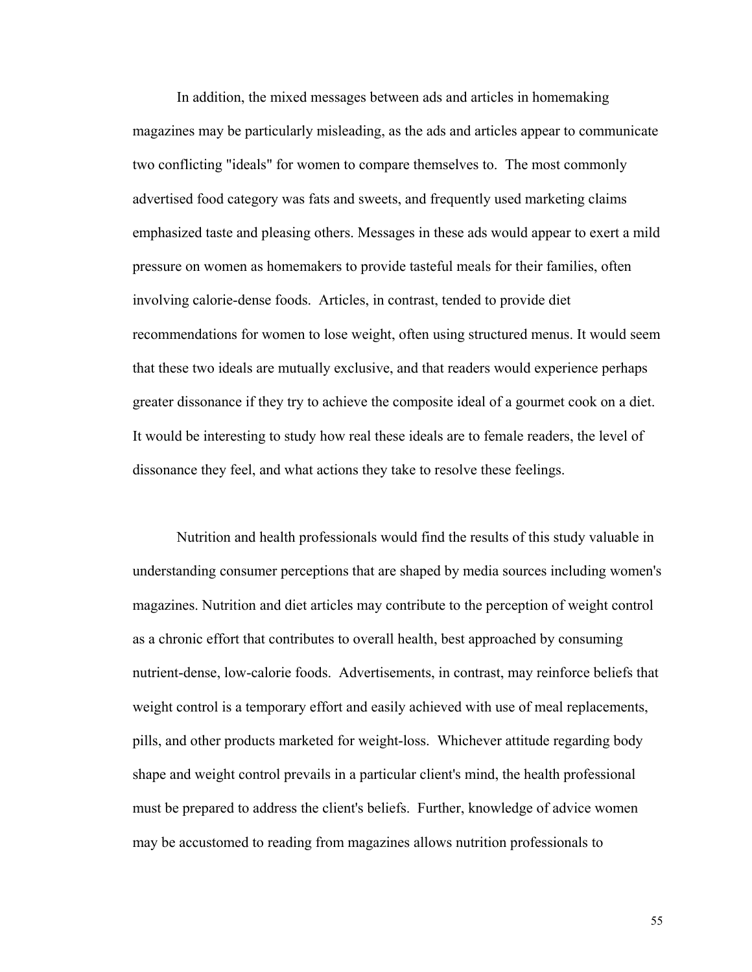In addition, the mixed messages between ads and articles in homemaking magazines may be particularly misleading, as the ads and articles appear to communicate two conflicting "ideals" for women to compare themselves to. The most commonly advertised food category was fats and sweets, and frequently used marketing claims emphasized taste and pleasing others. Messages in these ads would appear to exert a mild pressure on women as homemakers to provide tasteful meals for their families, often involving calorie-dense foods. Articles, in contrast, tended to provide diet recommendations for women to lose weight, often using structured menus. It would seem that these two ideals are mutually exclusive, and that readers would experience perhaps greater dissonance if they try to achieve the composite ideal of a gourmet cook on a diet. It would be interesting to study how real these ideals are to female readers, the level of dissonance they feel, and what actions they take to resolve these feelings.

Nutrition and health professionals would find the results of this study valuable in understanding consumer perceptions that are shaped by media sources including women's magazines. Nutrition and diet articles may contribute to the perception of weight control as a chronic effort that contributes to overall health, best approached by consuming nutrient-dense, low-calorie foods. Advertisements, in contrast, may reinforce beliefs that weight control is a temporary effort and easily achieved with use of meal replacements, pills, and other products marketed for weight-loss. Whichever attitude regarding body shape and weight control prevails in a particular client's mind, the health professional must be prepared to address the client's beliefs. Further, knowledge of advice women may be accustomed to reading from magazines allows nutrition professionals to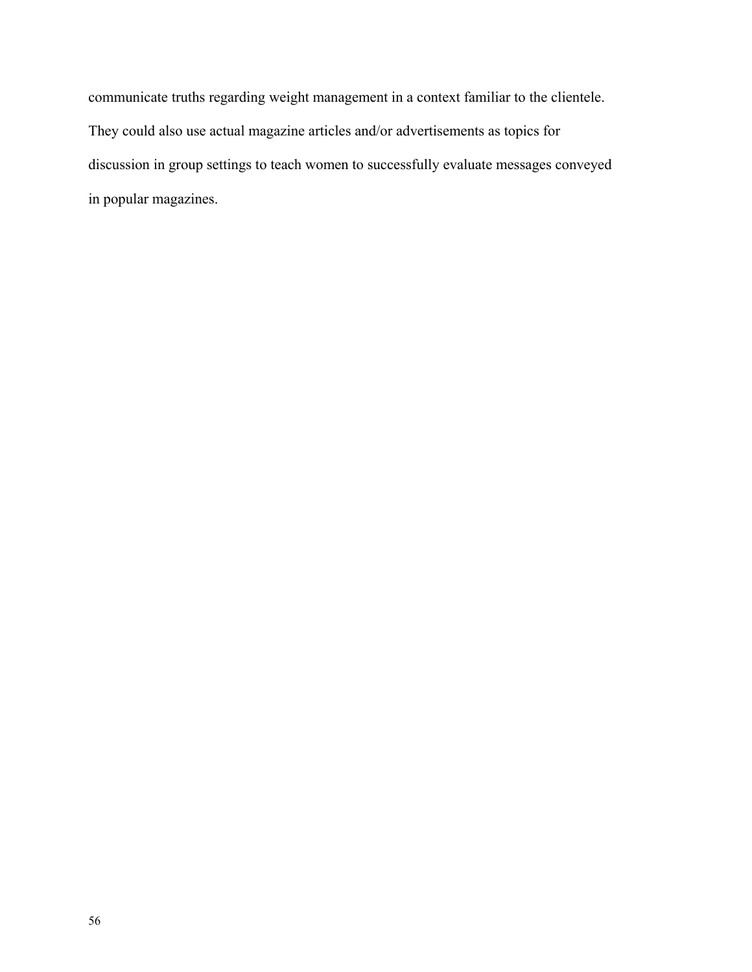communicate truths regarding weight management in a context familiar to the clientele. They could also use actual magazine articles and/or advertisements as topics for discussion in group settings to teach women to successfully evaluate messages conveyed in popular magazines.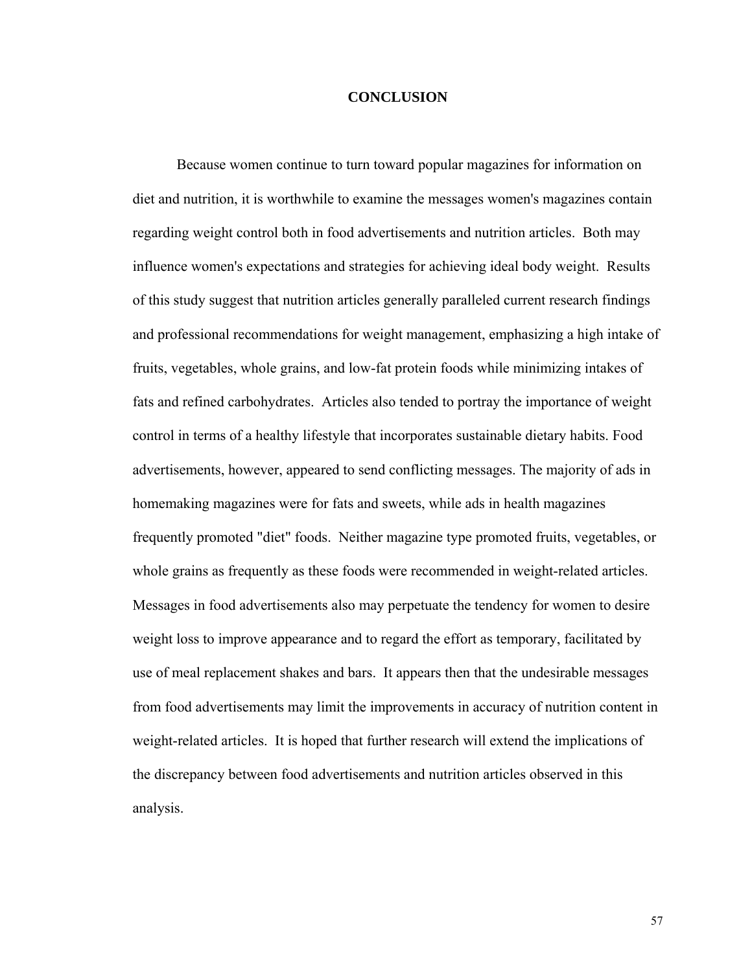### **CONCLUSION**

 Because women continue to turn toward popular magazines for information on diet and nutrition, it is worthwhile to examine the messages women's magazines contain regarding weight control both in food advertisements and nutrition articles. Both may influence women's expectations and strategies for achieving ideal body weight. Results of this study suggest that nutrition articles generally paralleled current research findings and professional recommendations for weight management, emphasizing a high intake of fruits, vegetables, whole grains, and low-fat protein foods while minimizing intakes of fats and refined carbohydrates. Articles also tended to portray the importance of weight control in terms of a healthy lifestyle that incorporates sustainable dietary habits. Food advertisements, however, appeared to send conflicting messages. The majority of ads in homemaking magazines were for fats and sweets, while ads in health magazines frequently promoted "diet" foods. Neither magazine type promoted fruits, vegetables, or whole grains as frequently as these foods were recommended in weight-related articles. Messages in food advertisements also may perpetuate the tendency for women to desire weight loss to improve appearance and to regard the effort as temporary, facilitated by use of meal replacement shakes and bars. It appears then that the undesirable messages from food advertisements may limit the improvements in accuracy of nutrition content in weight-related articles. It is hoped that further research will extend the implications of the discrepancy between food advertisements and nutrition articles observed in this analysis.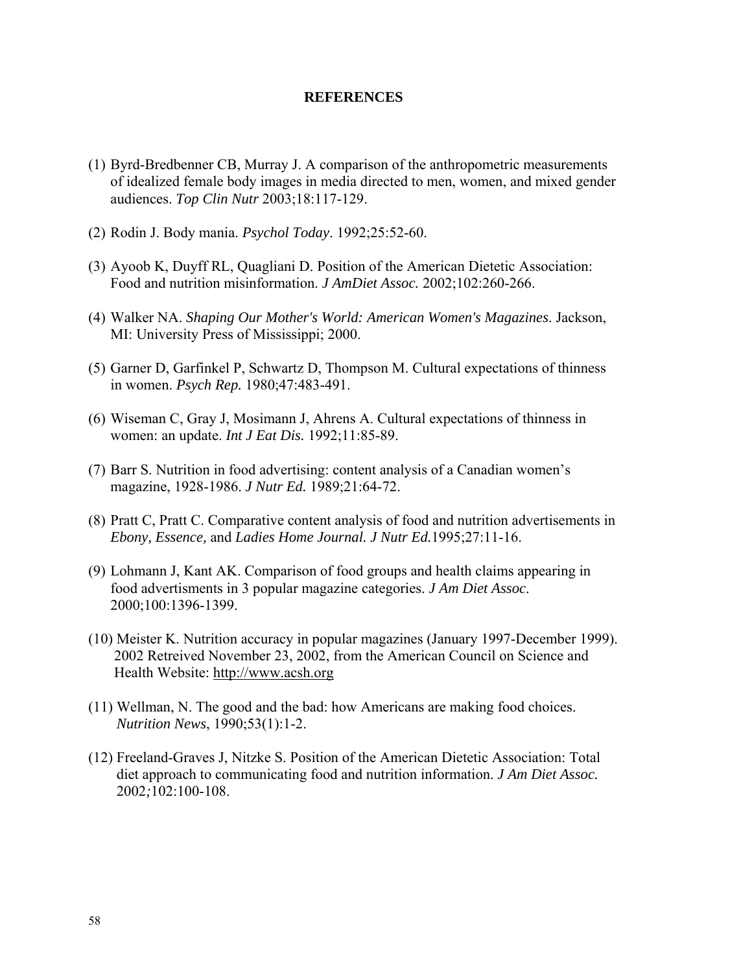## **REFERENCES**

- (1) Byrd-Bredbenner CB, Murray J. A comparison of the anthropometric measurements of idealized female body images in media directed to men, women, and mixed gender audiences. *Top Clin Nutr* 2003;18:117-129.
- (2) Rodin J. Body mania. *Psychol Today*. 1992;25:52-60.
- (3) Ayoob K, Duyff RL, Quagliani D. Position of the American Dietetic Association: Food and nutrition misinformation. *J AmDiet Assoc.* 2002;102:260-266.
- (4) Walker NA. *Shaping Our Mother's World: American Women's Magazines*. Jackson, MI: University Press of Mississippi; 2000.
- (5) Garner D, Garfinkel P, Schwartz D, Thompson M. Cultural expectations of thinness in women. *Psych Rep.* 1980;47:483-491.
- (6) Wiseman C, Gray J, Mosimann J, Ahrens A. Cultural expectations of thinness in women: an update. *Int J Eat Dis.* 1992;11:85-89.
- (7) Barr S. Nutrition in food advertising: content analysis of a Canadian women's magazine, 1928-1986. *J Nutr Ed.* 1989;21:64-72.
- (8) Pratt C, Pratt C. Comparative content analysis of food and nutrition advertisements in *Ebony, Essence,* and *Ladies Home Journal. J Nutr Ed.*1995;27:11-16.
- (9) Lohmann J, Kant AK. Comparison of food groups and health claims appearing in food advertisments in 3 popular magazine categories. *J Am Diet Assoc*. 2000;100:1396-1399.
- (10) Meister K. Nutrition accuracy in popular magazines (January 1997-December 1999). 2002 Retreived November 23, 2002, from the American Council on Science and Health Website: [http://www.acsh.org](http://www.acsh.org/)
- (11) Wellman, N. The good and the bad: how Americans are making food choices. *Nutrition News*, 1990;53(1):1-2.
- (12) Freeland-Graves J, Nitzke S. Position of the American Dietetic Association: Total diet approach to communicating food and nutrition information. *J Am Diet Assoc.*  2002*;*102:100-108.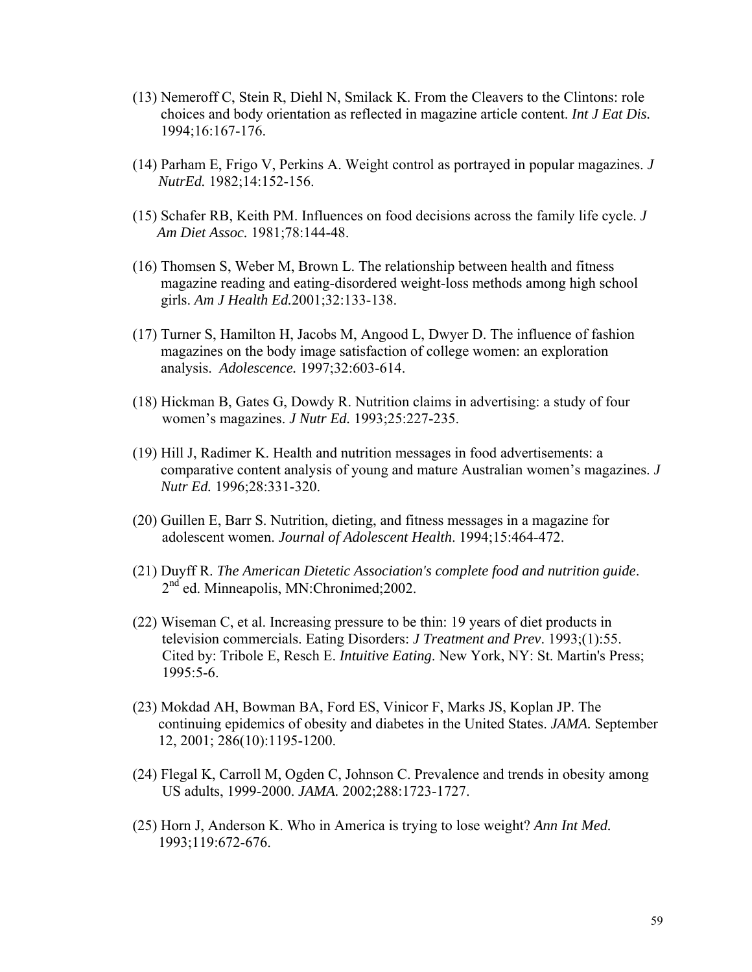- (13) Nemeroff C, Stein R, Diehl N, Smilack K. From the Cleavers to the Clintons: role choices and body orientation as reflected in magazine article content. *Int J Eat Dis.* 1994;16:167-176.
- (14) Parham E, Frigo V, Perkins A. Weight control as portrayed in popular magazines. *J NutrEd.* 1982;14:152-156.
- (15) Schafer RB, Keith PM. Influences on food decisions across the family life cycle. *J Am Diet Assoc.* 1981;78:144-48.
- (16) Thomsen S, Weber M, Brown L. The relationship between health and fitness magazine reading and eating-disordered weight-loss methods among high school girls. *Am J Health Ed.*2001;32:133-138.
- (17) Turner S, Hamilton H, Jacobs M, Angood L, Dwyer D. The influence of fashion magazines on the body image satisfaction of college women: an exploration analysis. *Adolescence.* 1997;32:603-614.
- (18) Hickman B, Gates G, Dowdy R. Nutrition claims in advertising: a study of four women's magazines. *J Nutr Ed.* 1993;25:227-235.
- (19) Hill J, Radimer K. Health and nutrition messages in food advertisements: a comparative content analysis of young and mature Australian women's magazines. *J Nutr Ed.* 1996;28:331-320.
- (20) Guillen E, Barr S. Nutrition, dieting, and fitness messages in a magazine for adolescent women. *Journal of Adolescent Health*. 1994;15:464-472.
- (21) Duyff R. *The American Dietetic Association's complete food and nutrition guide*. 2<sup>nd</sup> ed. Minneapolis, MN:Chronimed;2002.
- (22) Wiseman C, et al. Increasing pressure to be thin: 19 years of diet products in television commercials. Eating Disorders: *J Treatment and Prev*. 1993;(1):55. Cited by: Tribole E, Resch E. *Intuitive Eating*. New York, NY: St. Martin's Press; 1995:5-6.
- (23) Mokdad AH, Bowman BA, Ford ES, Vinicor F, Marks JS, Koplan JP. The continuing epidemics of obesity and diabetes in the United States. *JAMA.* September 12, 2001; 286(10):1195-1200.
- (24) Flegal K, Carroll M, Ogden C, Johnson C. Prevalence and trends in obesity among US adults, 1999-2000. *JAMA.* 2002;288:1723-1727.
- (25) Horn J, Anderson K. Who in America is trying to lose weight? *Ann Int Med.* 1993;119:672-676.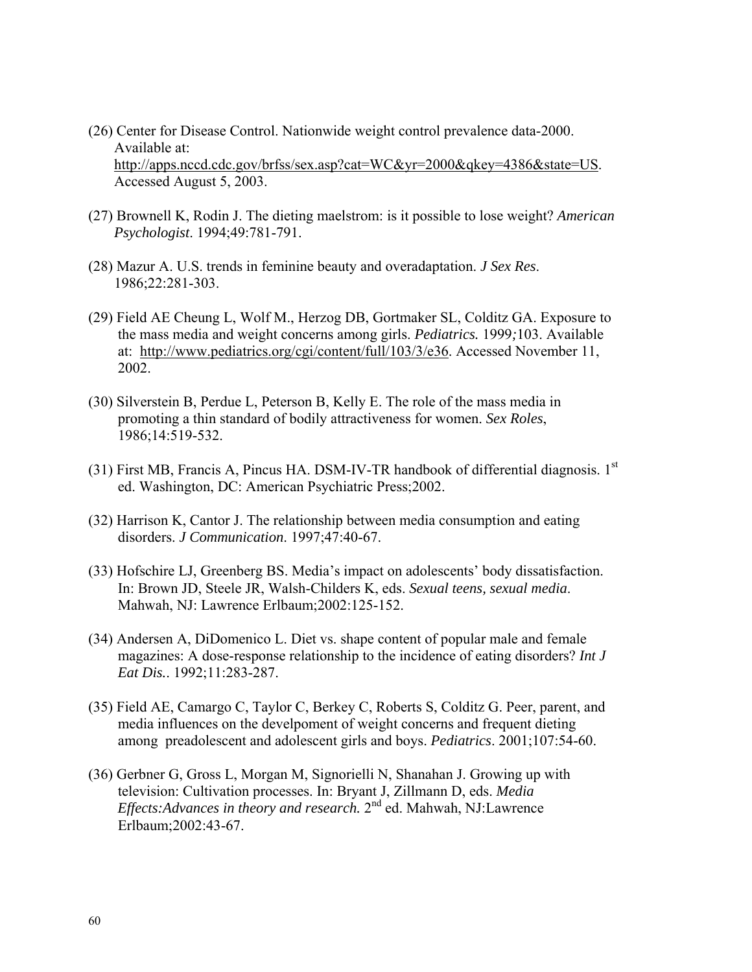- (26) Center for Disease Control. Nationwide weight control prevalence data-2000. Available at: [http://apps.nccd.cdc.gov/brfss/sex.asp?cat=WC&yr=2000&qkey=4386&state=US.](http://apps.nccd.cdc.gov/brfss/sex.asp?cat=WC&yr=2000&qkey=4386&state=US) Accessed August 5, 2003.
- (27) Brownell K, Rodin J. The dieting maelstrom: is it possible to lose weight? *American Psychologist*. 1994;49:781-791.
- (28) Mazur A. U.S. trends in feminine beauty and overadaptation. *J Sex Res*. 1986;22:281-303.
- (29) Field AE Cheung L, Wolf M., Herzog DB, Gortmaker SL, Colditz GA. Exposure to the mass media and weight concerns among girls. *Pediatrics.* 1999*;*103. Available at: [http://www.pediatrics.org/cgi/content/full/103/3/e36.](http://www.pediatrics.org/cgi/content/full/103/3/e36) Accessed November 11, 2002.
- (30) Silverstein B, Perdue L, Peterson B, Kelly E. The role of the mass media in promoting a thin standard of bodily attractiveness for women. *Sex Roles*, 1986;14:519-532.
- (31) First MB, Francis A, Pincus HA. DSM-IV-TR handbook of differential diagnosis.  $1<sup>st</sup>$ ed. Washington, DC: American Psychiatric Press;2002.
- (32) Harrison K, Cantor J. The relationship between media consumption and eating disorders. *J Communication*. 1997;47:40-67.
- (33) Hofschire LJ, Greenberg BS. Media's impact on adolescents' body dissatisfaction. In: Brown JD, Steele JR, Walsh-Childers K, eds. *Sexual teens, sexual media*. Mahwah, NJ: Lawrence Erlbaum;2002:125-152.
- (34) Andersen A, DiDomenico L. Diet vs. shape content of popular male and female magazines: A dose-response relationship to the incidence of eating disorders? *Int J Eat Dis.*. 1992;11:283-287.
- (35) Field AE, Camargo C, Taylor C, Berkey C, Roberts S, Colditz G. Peer, parent, and media influences on the develpoment of weight concerns and frequent dieting among preadolescent and adolescent girls and boys. *Pediatrics*. 2001;107:54-60.
- (36) Gerbner G, Gross L, Morgan M, Signorielli N, Shanahan J. Growing up with television: Cultivation processes. In: Bryant J, Zillmann D, eds. *Media Effects:Advances in theory and research.* 2<sup>nd</sup> ed. Mahwah, NJ:Lawrence Erlbaum;2002:43-67.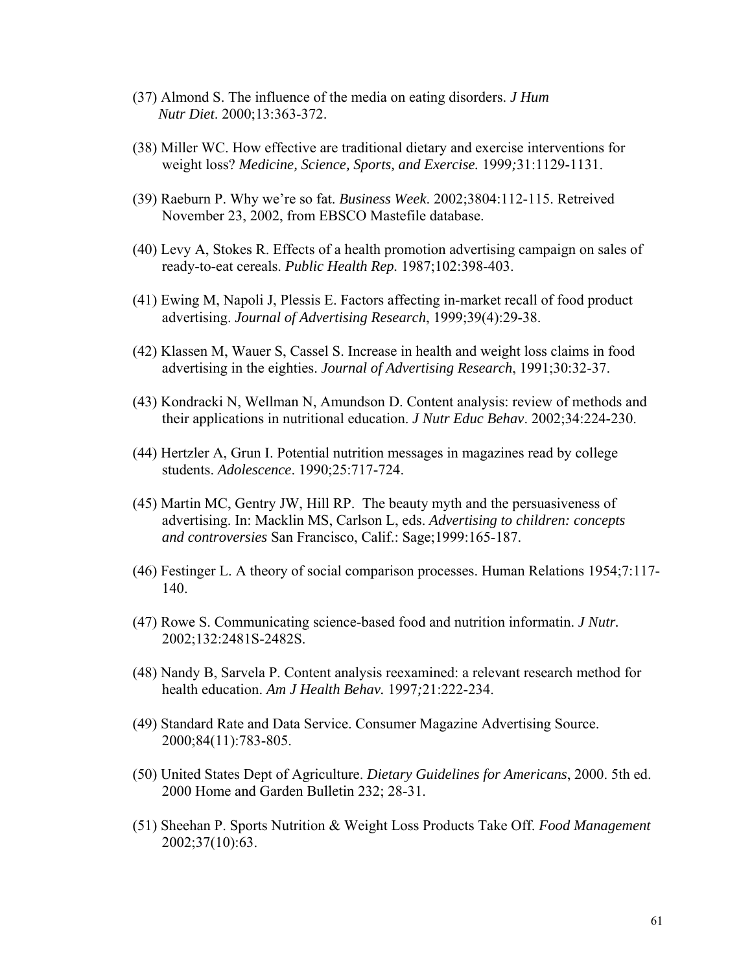- (37) Almond S. The influence of the media on eating disorders. *J Hum Nutr Diet*. 2000;13:363-372.
- (38) Miller WC. How effective are traditional dietary and exercise interventions for weight loss? *Medicine, Science, Sports, and Exercise.* 1999*;*31:1129-1131.
- (39) Raeburn P. Why we're so fat. *Business Week*. 2002;3804:112-115. Retreived November 23, 2002, from EBSCO Mastefile database.
- (40) Levy A, Stokes R. Effects of a health promotion advertising campaign on sales of ready-to-eat cereals. *Public Health Rep.* 1987;102:398-403.
- (41) Ewing M, Napoli J, Plessis E. Factors affecting in-market recall of food product advertising. *Journal of Advertising Research*, 1999;39(4):29-38.
- (42) Klassen M, Wauer S, Cassel S. Increase in health and weight loss claims in food advertising in the eighties. *Journal of Advertising Research*, 1991;30:32-37.
- (43) Kondracki N, Wellman N, Amundson D. Content analysis: review of methods and their applications in nutritional education. *J Nutr Educ Behav*. 2002;34:224-230.
- (44) Hertzler A, Grun I. Potential nutrition messages in magazines read by college students. *Adolescence*. 1990;25:717-724.
- (45) Martin MC, Gentry JW, Hill RP. The beauty myth and the persuasiveness of advertising. In: Macklin MS, Carlson L, eds. *Advertising to children: concepts and controversies* San Francisco, Calif.: Sage;1999:165-187.
- (46) Festinger L. A theory of social comparison processes. Human Relations 1954;7:117- 140.
- (47) Rowe S. Communicating science-based food and nutrition informatin. *J Nutr.* 2002;132:2481S-2482S.
- (48) Nandy B, Sarvela P. Content analysis reexamined: a relevant research method for health education. *Am J Health Behav.* 1997*;*21:222-234.
- (49) Standard Rate and Data Service. Consumer Magazine Advertising Source. 2000;84(11):783-805.
- (50) United States Dept of Agriculture. *Dietary Guidelines for Americans*, 2000. 5th ed. 2000 Home and Garden Bulletin 232; 28-31.
- (51) Sheehan P. Sports Nutrition & Weight Loss Products Take Off. *Food Management* 2002;37(10):63.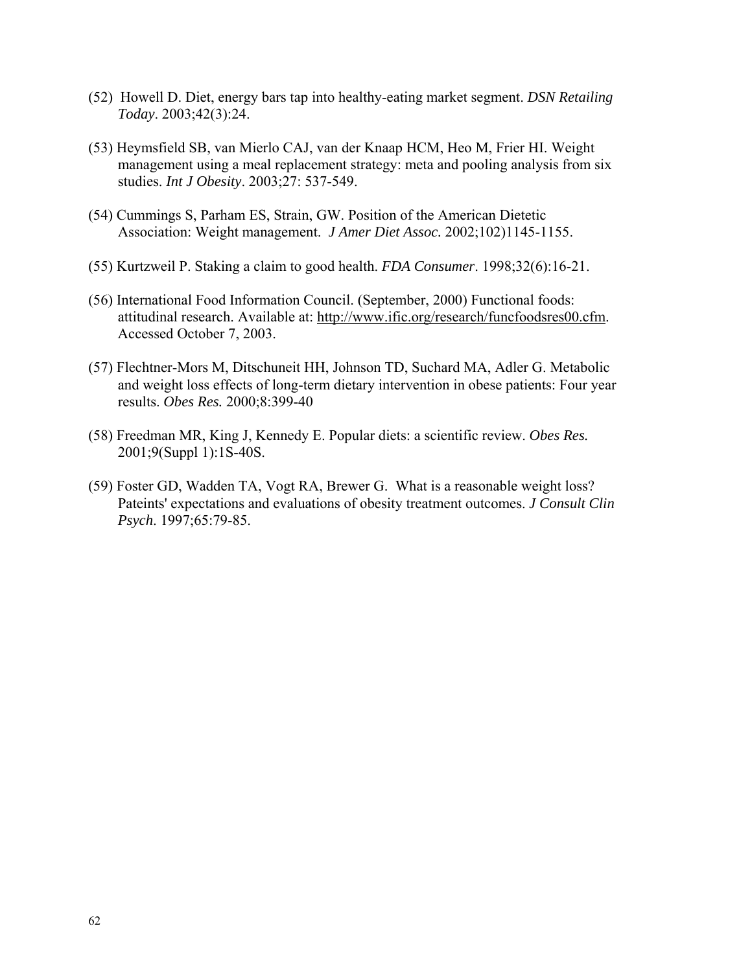- (52) Howell D. Diet, energy bars tap into healthy-eating market segment. *DSN Retailing Today*. 2003;42(3):24.
- (53) Heymsfield SB, van Mierlo CAJ, van der Knaap HCM, Heo M, Frier HI. Weight management using a meal replacement strategy: meta and pooling analysis from six studies. *Int J Obesity*. 2003;27: 537-549.
- (54) Cummings S, Parham ES, Strain, GW. Position of the American Dietetic Association: Weight management. *J Amer Diet Assoc.* 2002;102)1145-1155.
- (55) Kurtzweil P. Staking a claim to good health. *FDA Consumer*. 1998;32(6):16-21.
- (56) International Food Information Council. (September, 2000) Functional foods: attitudinal research. Available at: [http://www.ific.org/research/funcfoodsres00.cfm.](http://www.ific.org/research/funcfoodsres00.cfm) Accessed October 7, 2003.
- (57) Flechtner-Mors M, Ditschuneit HH, Johnson TD, Suchard MA, Adler G. Metabolic and weight loss effects of long-term dietary intervention in obese patients: Four year results. *Obes Res.* 2000;8:399-40
- (58) Freedman MR, King J, Kennedy E. Popular diets: a scientific review. *Obes Res.* 2001;9(Suppl 1):1S-40S.
- (59) Foster GD, Wadden TA, Vogt RA, Brewer G. What is a reasonable weight loss? Pateints' expectations and evaluations of obesity treatment outcomes. *J Consult Clin Psych*. 1997;65:79-85.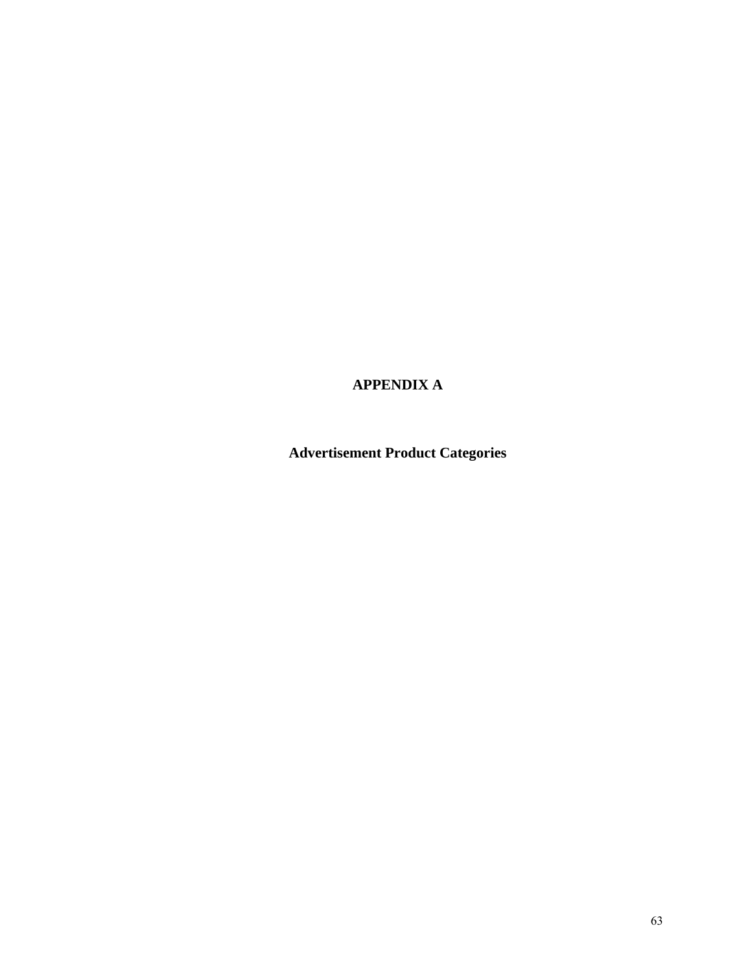# **APPENDIX A**

**Advertisement Product Categories**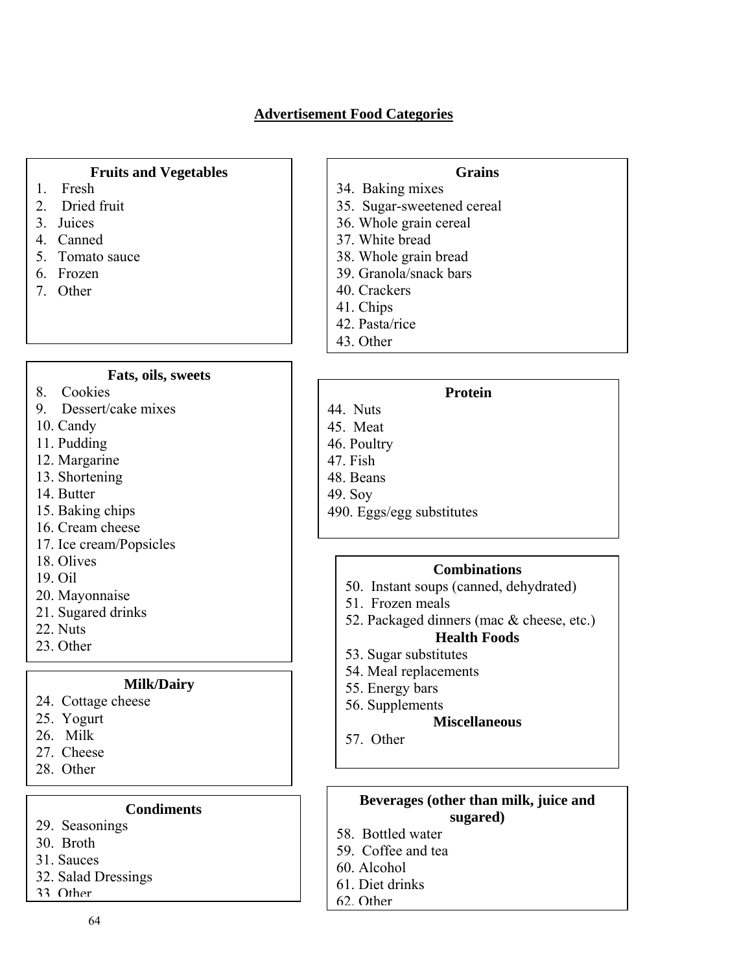# **Advertisement Food Categories**

# **Fruits and Vegetables**

- 1. Fresh
- 2. Dried fruit
- 3. Juices
- 4. Canned
- 5. Tomato sauce
- 6. Frozen
- 7. Other

### **Fats, oils, sweets**

- 8. Cookies
- 9. Dessert/cake mixes
- 10. Candy
- 11. Pudding
- 12. Margarine
- 13. Shortening
- 14. Butter
- 15. Baking chips
- 16. Cream cheese
- 17. Ice cream/Popsicles
- 18. Olives
- 19. Oil
- 20. Mayonnaise
- 21. Sugared drinks
- 22. Nuts
- 23. Other

## **Milk/Dairy**

- 24. Cottage cheese
- 25. Yogurt
- 26. Milk
- 27. Cheese
- 28. Other

## **Condiments**

- 29. Seasonings
- 30. Broth
- 31. Sauces
- 32. Salad Dressings
- 33 Other
- **Grains**
- 34. Baking mixes
- 35. Sugar-sweetened cereal
- 36. Whole grain cereal
- 37. White bread
- 38. Whole grain bread
- 39. Granola/snack bars
- 40. Crackers
- 41. Chips
- 42. Pasta/rice
- 43. Other

### **Protein**

- 44. Nuts
- 45. Meat
- 46. Poultry
- 47. Fish
- 48. Beans
- 49. Soy
- 490. Eggs/egg substitutes

# **Combinations**

- 50. Instant soups (canned, dehydrated)
- 51. Frozen meals
- 52. Packaged dinners (mac & cheese, etc.)

# **Health Foods**

- 53. Sugar substitutes
- 54. Meal replacements
- 55. Energy bars
- 56. Supplements

## **Miscellaneous**

57. Other

# **Beverages (other than milk, juice and sugared)**

- 58. Bottled water
- 59. Coffee and tea
- 60. Alcohol
- 61. Diet drinks
- 62. Other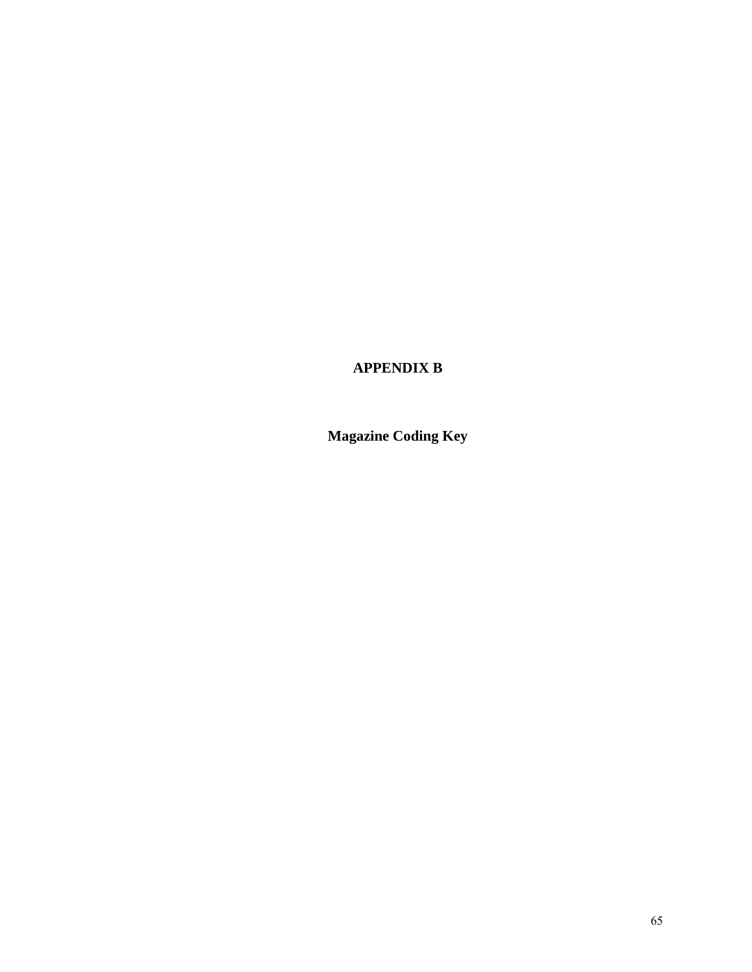# **APPENDIX B**

**Magazine Coding Key**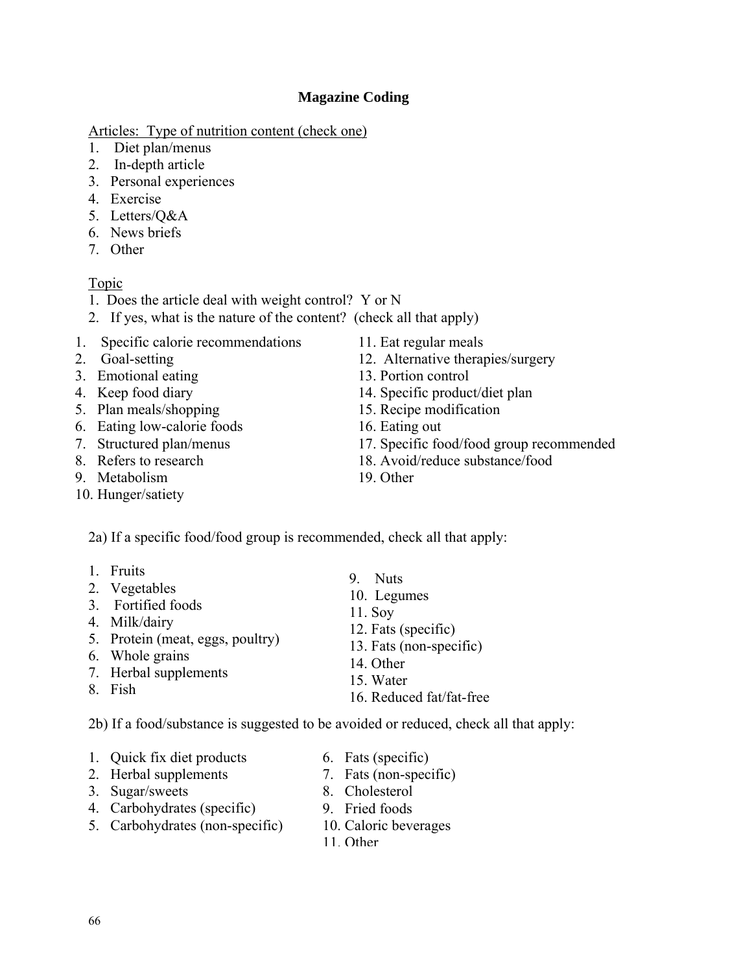### **Magazine Coding**

Articles: Type of nutrition content (check one)

- 1. Diet plan/menus
- 2. In-depth article
- 3. Personal experiences
- 4. Exercise
- 5. Letters/Q&A
- 6. News briefs
- 7. Other

## Topic

- 1. Does the article deal with weight control? Y or N
- 2. If yes, what is the nature of the content? (check all that apply)
- 1. Specific calorie recommendations
- 2. Goal-setting
- 3. Emotional eating
- 4. Keep food diary
- 5. Plan meals/shopping
- 6. Eating low-calorie foods
- 7. Structured plan/menus
- 8. Refers to research
- 9. Metabolism
- 10. Hunger/satiety
- 11. Eat regular meals
- 12. Alternative therapies/surgery
- 13. Portion control
- 14. Specific product/diet plan
- 15. Recipe modification
- 16. Eating out
- 17. Specific food/food group recommended
- 18. Avoid/reduce substance/food
- 19. Other

2a) If a specific food/food group is recommended, check all that apply:

- 1. Fruits
- 2. Vegetables
- 3. Fortified foods
- 4. Milk/dairy
- 5. Protein (meat, eggs, poultry)
- 6. Whole grains
- 7. Herbal supplements
- 8. Fish

2b) If a food/substance is suggested to be avoided or reduced, check all that apply:

- 1. Quick fix diet products
- 2. Herbal supplements
- 3. Sugar/sweets
- 4. Carbohydrates (specific)
- 5. Carbohydrates (non-specific)
- 6. Fats (specific)
- 7. Fats (non-specific)

16. Reduced fat/fat-free

- 8. Cholesterol
- 9. Fried foods
- 10. Caloric beverages
- 11. Other

11. Soy 12. Fats (specific) 13. Fats (non-specific)

> 14. Other 15. Water

9. Nuts 10. Legumes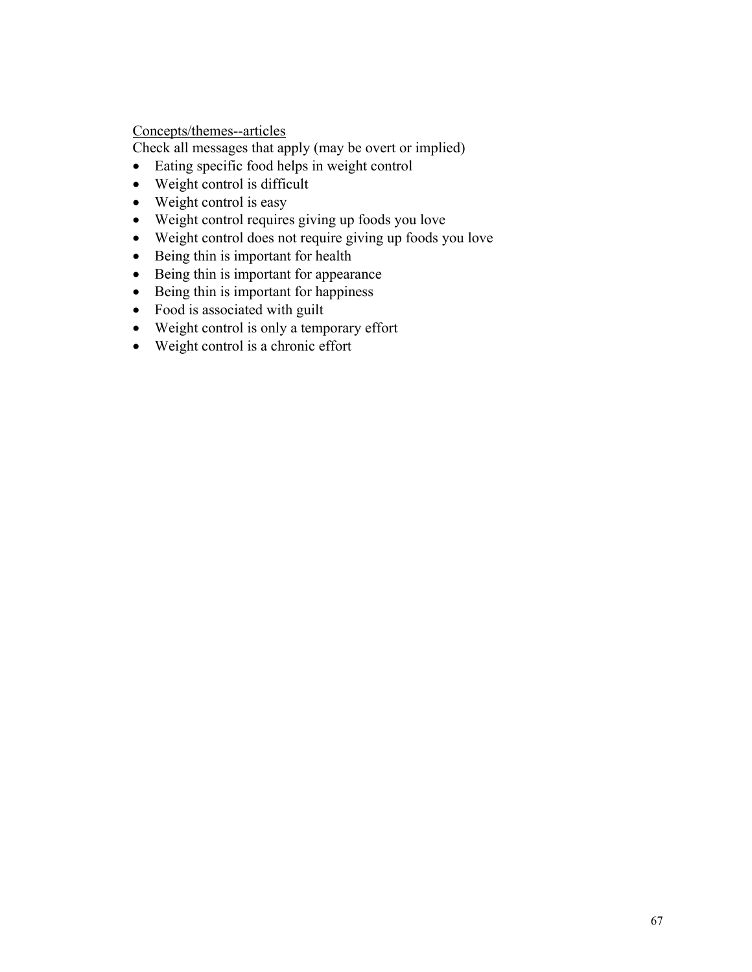## Concepts/themes--articles

Check all messages that apply (may be overt or implied)

- Eating specific food helps in weight control
- Weight control is difficult
- Weight control is easy
- Weight control requires giving up foods you love
- Weight control does not require giving up foods you love
- Being thin is important for health
- Being thin is important for appearance
- Being thin is important for happiness
- Food is associated with guilt
- Weight control is only a temporary effort
- Weight control is a chronic effort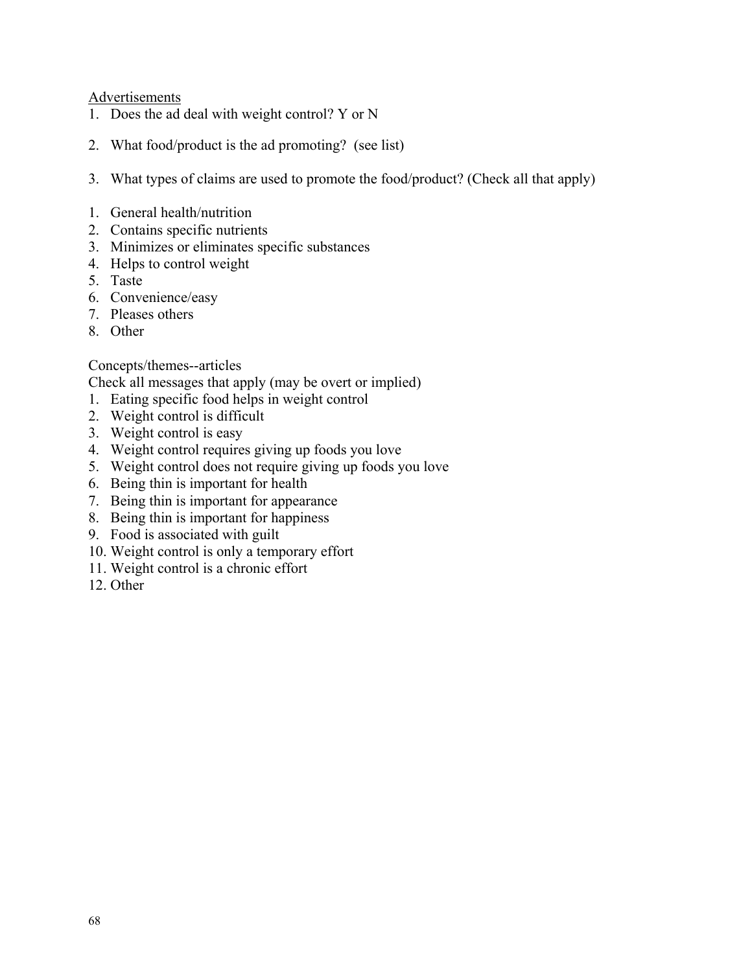Advertisements

- 1. Does the ad deal with weight control? Y or N
- 2. What food/product is the ad promoting? (see list)
- 3. What types of claims are used to promote the food/product? (Check all that apply)
- 1. General health/nutrition
- 2. Contains specific nutrients
- 3. Minimizes or eliminates specific substances
- 4. Helps to control weight
- 5. Taste
- 6. Convenience/easy
- 7. Pleases others
- 8. Other

#### Concepts/themes--articles

Check all messages that apply (may be overt or implied)

- 1. Eating specific food helps in weight control
- 2. Weight control is difficult
- 3. Weight control is easy
- 4. Weight control requires giving up foods you love
- 5. Weight control does not require giving up foods you love
- 6. Being thin is important for health
- 7. Being thin is important for appearance
- 8. Being thin is important for happiness
- 9. Food is associated with guilt
- 10. Weight control is only a temporary effort
- 11. Weight control is a chronic effort
- 12. Other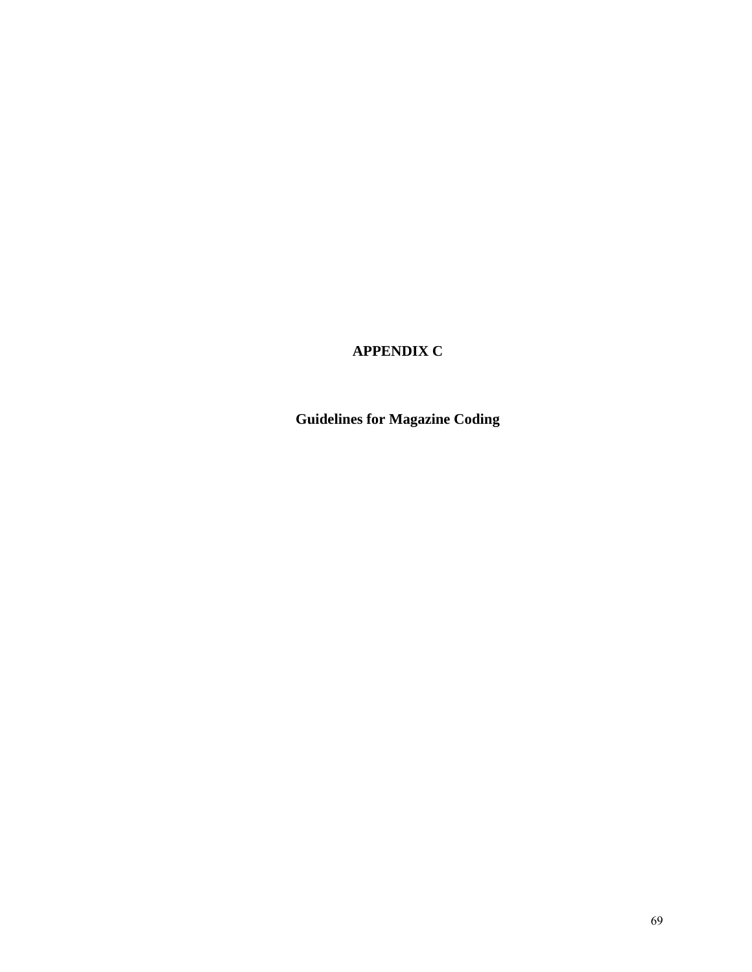# **APPENDIX C**

**Guidelines for Magazine Coding**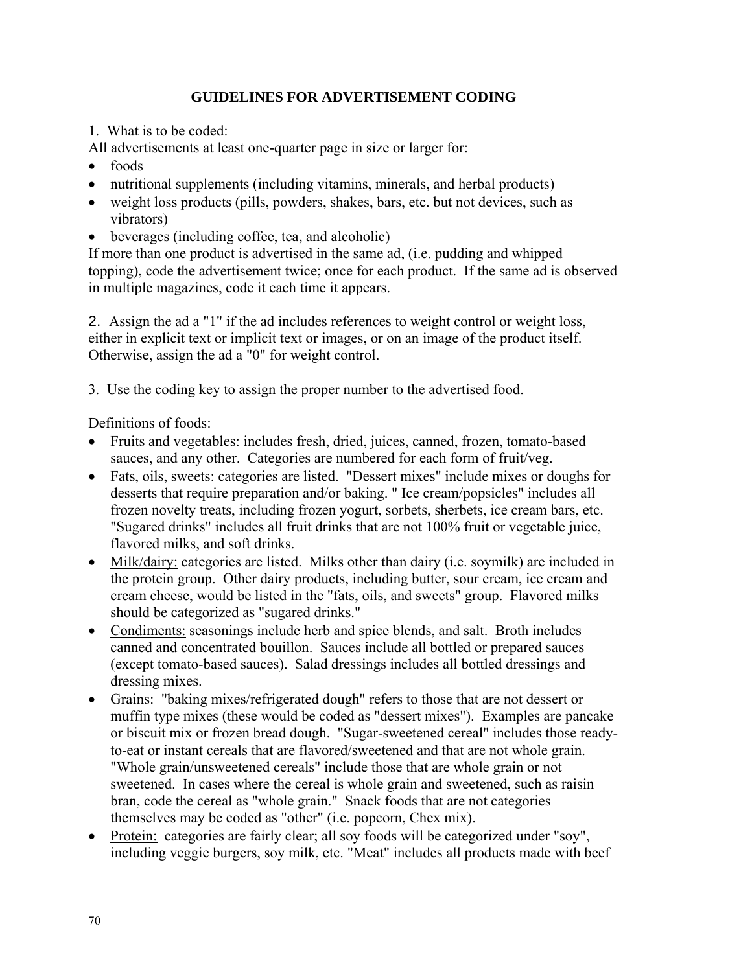### **GUIDELINES FOR ADVERTISEMENT CODING**

1. What is to be coded:

All advertisements at least one-quarter page in size or larger for:

- foods
- nutritional supplements (including vitamins, minerals, and herbal products)
- weight loss products (pills, powders, shakes, bars, etc. but not devices, such as vibrators)
- beverages (including coffee, tea, and alcoholic)

If more than one product is advertised in the same ad, (i.e. pudding and whipped topping), code the advertisement twice; once for each product. If the same ad is observed in multiple magazines, code it each time it appears.

2. Assign the ad a "1" if the ad includes references to weight control or weight loss, either in explicit text or implicit text or images, or on an image of the product itself. Otherwise, assign the ad a "0" for weight control.

3. Use the coding key to assign the proper number to the advertised food.

Definitions of foods:

- Fruits and vegetables: includes fresh, dried, juices, canned, frozen, tomato-based sauces, and any other. Categories are numbered for each form of fruit/veg.
- Fats, oils, sweets: categories are listed. "Dessert mixes" include mixes or doughs for desserts that require preparation and/or baking. " Ice cream/popsicles" includes all frozen novelty treats, including frozen yogurt, sorbets, sherbets, ice cream bars, etc. "Sugared drinks" includes all fruit drinks that are not 100% fruit or vegetable juice, flavored milks, and soft drinks.
- Milk/dairy: categories are listed. Milks other than dairy (i.e. soymilk) are included in the protein group. Other dairy products, including butter, sour cream, ice cream and cream cheese, would be listed in the "fats, oils, and sweets" group. Flavored milks should be categorized as "sugared drinks."
- Condiments: seasonings include herb and spice blends, and salt. Broth includes canned and concentrated bouillon. Sauces include all bottled or prepared sauces (except tomato-based sauces). Salad dressings includes all bottled dressings and dressing mixes.
- Grains: "baking mixes/refrigerated dough" refers to those that are not dessert or muffin type mixes (these would be coded as "dessert mixes"). Examples are pancake or biscuit mix or frozen bread dough. "Sugar-sweetened cereal" includes those readyto-eat or instant cereals that are flavored/sweetened and that are not whole grain. "Whole grain/unsweetened cereals" include those that are whole grain or not sweetened. In cases where the cereal is whole grain and sweetened, such as raisin bran, code the cereal as "whole grain." Snack foods that are not categories themselves may be coded as "other" (i.e. popcorn, Chex mix).
- Protein: categories are fairly clear; all soy foods will be categorized under "soy", including veggie burgers, soy milk, etc. "Meat" includes all products made with beef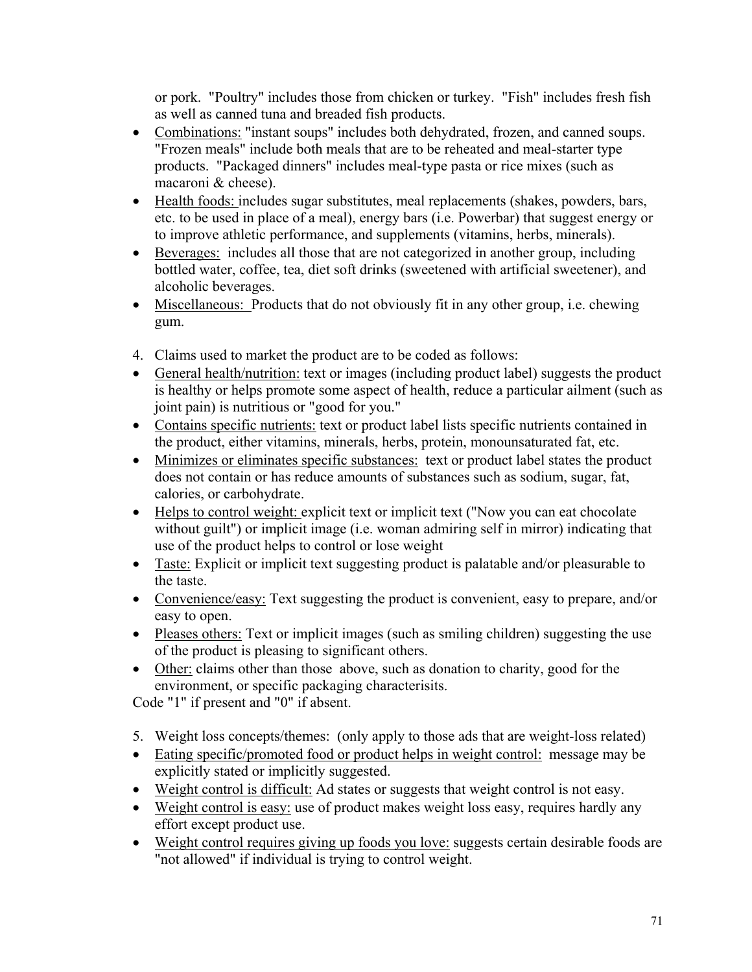or pork. "Poultry" includes those from chicken or turkey. "Fish" includes fresh fish as well as canned tuna and breaded fish products.

- Combinations: "instant soups" includes both dehydrated, frozen, and canned soups. "Frozen meals" include both meals that are to be reheated and meal-starter type products. "Packaged dinners" includes meal-type pasta or rice mixes (such as macaroni & cheese).
- Health foods: includes sugar substitutes, meal replacements (shakes, powders, bars, etc. to be used in place of a meal), energy bars (i.e. Powerbar) that suggest energy or to improve athletic performance, and supplements (vitamins, herbs, minerals).
- Beverages: includes all those that are not categorized in another group, including bottled water, coffee, tea, diet soft drinks (sweetened with artificial sweetener), and alcoholic beverages.
- Miscellaneous: Products that do not obviously fit in any other group, i.e. chewing gum.
- 4. Claims used to market the product are to be coded as follows:
- General health/nutrition: text or images (including product label) suggests the product is healthy or helps promote some aspect of health, reduce a particular ailment (such as joint pain) is nutritious or "good for you."
- Contains specific nutrients: text or product label lists specific nutrients contained in the product, either vitamins, minerals, herbs, protein, monounsaturated fat, etc.
- Minimizes or eliminates specific substances: text or product label states the product does not contain or has reduce amounts of substances such as sodium, sugar, fat, calories, or carbohydrate.
- Helps to control weight: explicit text or implicit text ("Now you can eat chocolate without guilt") or implicit image (i.e. woman admiring self in mirror) indicating that use of the product helps to control or lose weight
- Taste: Explicit or implicit text suggesting product is palatable and/or pleasurable to the taste.
- Convenience/easy: Text suggesting the product is convenient, easy to prepare, and/or easy to open.
- Pleases others: Text or implicit images (such as smiling children) suggesting the use of the product is pleasing to significant others.
- Other: claims other than those above, such as donation to charity, good for the environment, or specific packaging characterisits.

Code "1" if present and "0" if absent.

- 5. Weight loss concepts/themes: (only apply to those ads that are weight-loss related)
- Eating specific/promoted food or product helps in weight control: message may be explicitly stated or implicitly suggested.
- Weight control is difficult: Ad states or suggests that weight control is not easy.
- Weight control is easy: use of product makes weight loss easy, requires hardly any effort except product use.
- Weight control requires giving up foods you love: suggests certain desirable foods are "not allowed" if individual is trying to control weight.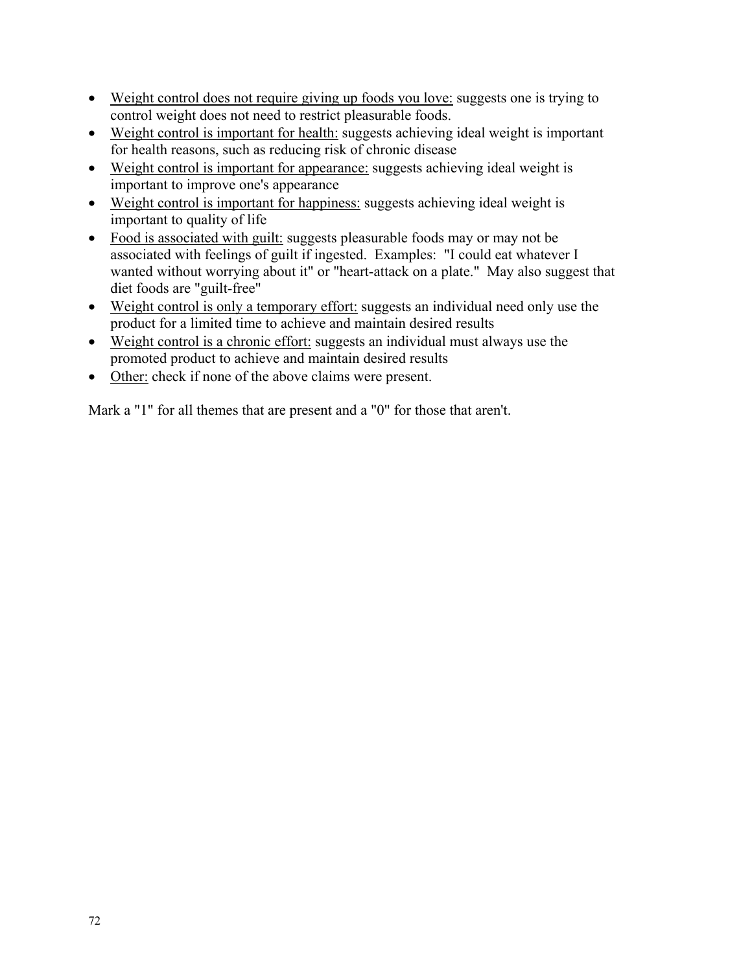- Weight control does not require giving up foods you love: suggests one is trying to control weight does not need to restrict pleasurable foods.
- Weight control is important for health: suggests achieving ideal weight is important for health reasons, such as reducing risk of chronic disease
- Weight control is important for appearance: suggests achieving ideal weight is important to improve one's appearance
- Weight control is important for happiness: suggests achieving ideal weight is important to quality of life
- Food is associated with guilt: suggests pleasurable foods may or may not be associated with feelings of guilt if ingested. Examples: "I could eat whatever I wanted without worrying about it" or "heart-attack on a plate." May also suggest that diet foods are "guilt-free"
- Weight control is only a temporary effort: suggests an individual need only use the product for a limited time to achieve and maintain desired results
- Weight control is a chronic effort: suggests an individual must always use the promoted product to achieve and maintain desired results
- Other: check if none of the above claims were present.

Mark a "1" for all themes that are present and a "0" for those that aren't.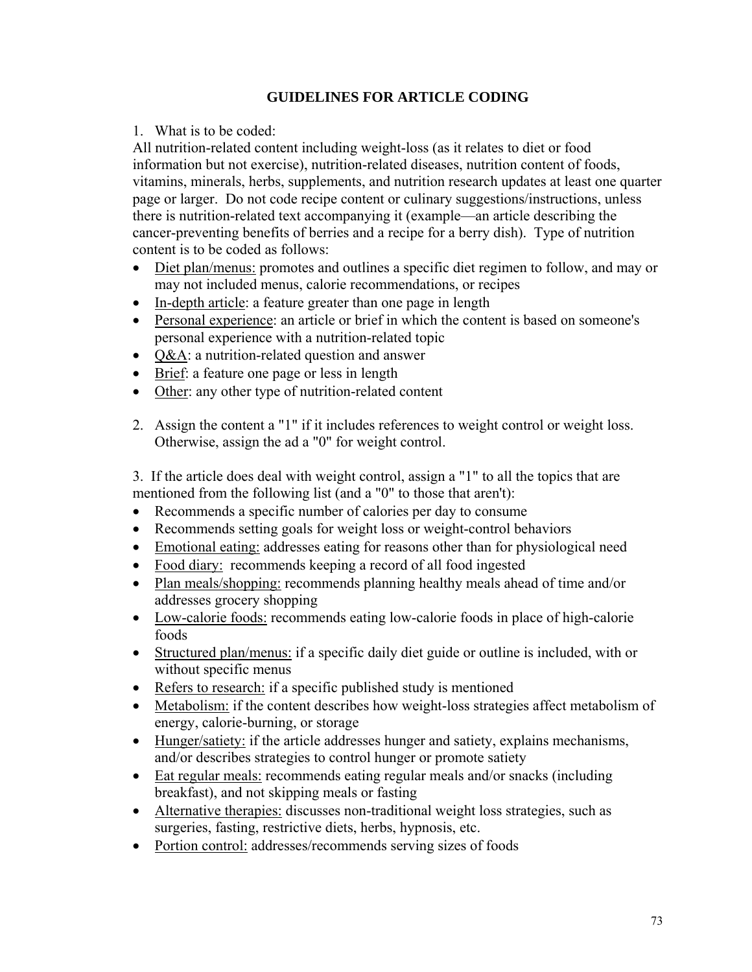#### **GUIDELINES FOR ARTICLE CODING**

#### 1. What is to be coded:

All nutrition-related content including weight-loss (as it relates to diet or food information but not exercise), nutrition-related diseases, nutrition content of foods, vitamins, minerals, herbs, supplements, and nutrition research updates at least one quarter page or larger. Do not code recipe content or culinary suggestions/instructions, unless there is nutrition-related text accompanying it (example—an article describing the cancer-preventing benefits of berries and a recipe for a berry dish). Type of nutrition content is to be coded as follows:

- Diet plan/menus: promotes and outlines a specific diet regimen to follow, and may or may not included menus, calorie recommendations, or recipes
- In-depth article: a feature greater than one page in length
- Personal experience: an article or brief in which the content is based on someone's personal experience with a nutrition-related topic
- O&A: a nutrition-related question and answer
- Brief: a feature one page or less in length
- Other: any other type of nutrition-related content
- 2. Assign the content a "1" if it includes references to weight control or weight loss. Otherwise, assign the ad a "0" for weight control.

3. If the article does deal with weight control, assign a "1" to all the topics that are mentioned from the following list (and a "0" to those that aren't):

- Recommends a specific number of calories per day to consume
- Recommends setting goals for weight loss or weight-control behaviors
- Emotional eating: addresses eating for reasons other than for physiological need
- Food diary: recommends keeping a record of all food ingested
- Plan meals/shopping: recommends planning healthy meals ahead of time and/or addresses grocery shopping
- Low-calorie foods: recommends eating low-calorie foods in place of high-calorie foods
- Structured plan/menus: if a specific daily diet guide or outline is included, with or without specific menus
- Refers to research: if a specific published study is mentioned
- Metabolism: if the content describes how weight-loss strategies affect metabolism of energy, calorie-burning, or storage
- Hunger/satiety: if the article addresses hunger and satiety, explains mechanisms, and/or describes strategies to control hunger or promote satiety
- Eat regular meals: recommends eating regular meals and/or snacks (including breakfast), and not skipping meals or fasting
- Alternative therapies: discusses non-traditional weight loss strategies, such as surgeries, fasting, restrictive diets, herbs, hypnosis, etc.
- Portion control: addresses/recommends serving sizes of foods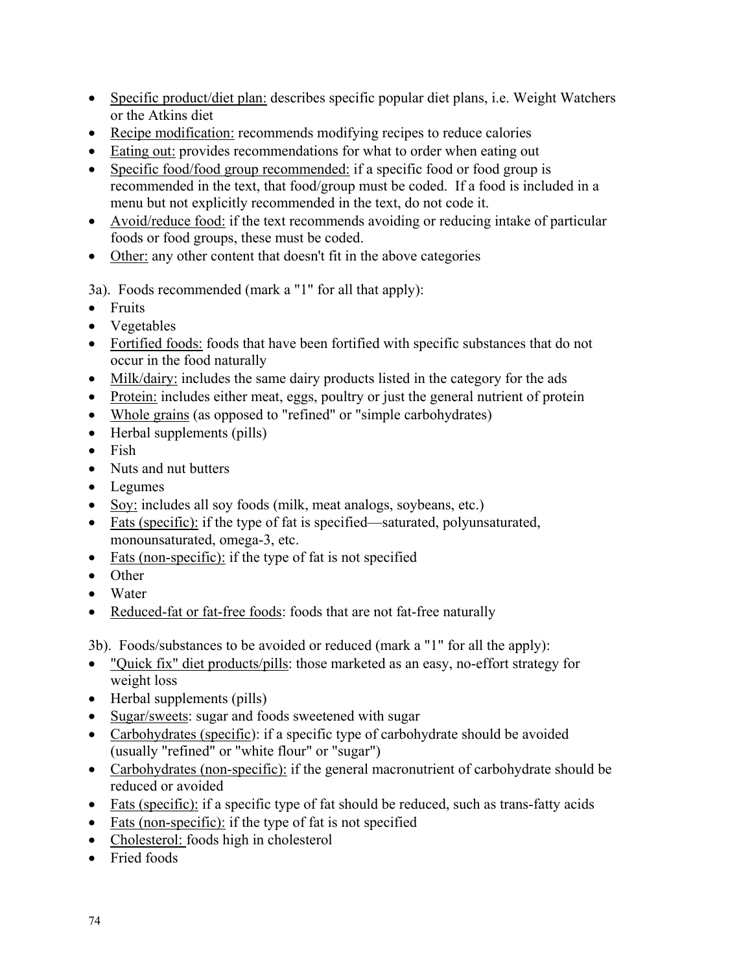- Specific product/diet plan: describes specific popular diet plans, i.e. Weight Watchers or the Atkins diet
- Recipe modification: recommends modifying recipes to reduce calories
- Eating out: provides recommendations for what to order when eating out
- Specific food/food group recommended: if a specific food or food group is recommended in the text, that food/group must be coded. If a food is included in a menu but not explicitly recommended in the text, do not code it.
- Avoid/reduce food: if the text recommends avoiding or reducing intake of particular foods or food groups, these must be coded.
- Other: any other content that doesn't fit in the above categories

3a). Foods recommended (mark a "1" for all that apply):

- Fruits
- Vegetables
- Fortified foods: foods that have been fortified with specific substances that do not occur in the food naturally
- Milk/dairy: includes the same dairy products listed in the category for the ads
- Protein: includes either meat, eggs, poultry or just the general nutrient of protein
- Whole grains (as opposed to "refined" or "simple carbohydrates)
- Herbal supplements (pills)
- Fish
- Nuts and nut butters
- Legumes
- Soy: includes all soy foods (milk, meat analogs, soybeans, etc.)
- Fats (specific): if the type of fat is specified—saturated, polyunsaturated, monounsaturated, omega-3, etc.
- Fats (non-specific): if the type of fat is not specified
- Other
- Water
- Reduced-fat or fat-free foods: foods that are not fat-free naturally

3b). Foods/substances to be avoided or reduced (mark a "1" for all the apply):

- "Quick fix" diet products/pills: those marketed as an easy, no-effort strategy for weight loss
- Herbal supplements (pills)
- Sugar/sweets: sugar and foods sweetened with sugar
- Carbohydrates (specific): if a specific type of carbohydrate should be avoided (usually "refined" or "white flour" or "sugar")
- Carbohydrates (non-specific): if the general macronutrient of carbohydrate should be reduced or avoided
- Fats (specific): if a specific type of fat should be reduced, such as trans-fatty acids
- Fats (non-specific): if the type of fat is not specified
- Cholesterol: foods high in cholesterol
- Fried foods